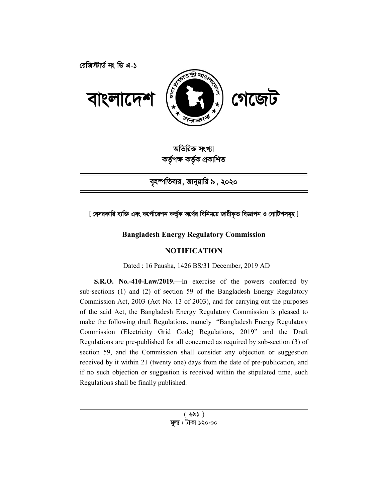

অতিরিক্ত সংখ্যা কৰ্তৃপক্ষ কৰ্তৃক প্ৰকাশিত

বৃহস্পতিবার, জানুয়ারি ৯, ২০২০

[ বেসরকারি ব্যক্তি এবং কর্পোরেশন কর্তৃক অর্থের বিনিময়ে জারীকৃত বিজ্ঞাপন ও নোটিশসমূহ ]

# **Bangladesh Energy Regulatory Commission**

# **NOTIFICATION**

Dated : 16 Pausha, 1426 BS/31 December, 2019 AD

S.R.O. No.-410-Law/2019.—In exercise of the powers conferred by sub-sections (1) and (2) of section 59 of the Bangladesh Energy Regulatory Commission Act, 2003 (Act No. 13 of 2003), and for carrying out the purposes of the said Act, the Bangladesh Energy Regulatory Commission is pleased to make the following draft Regulations, namely "Bangladesh Energy Regulatory Commission (Electricity Grid Code) Regulations, 2019" and the Draft Regulations are pre-published for all concerned as required by sub-section (3) of section 59, and the Commission shall consider any objection or suggestion received by it within 21 (twenty one) days from the date of pre-publication, and if no such objection or suggestion is received within the stipulated time, such Regulations shall be finally published.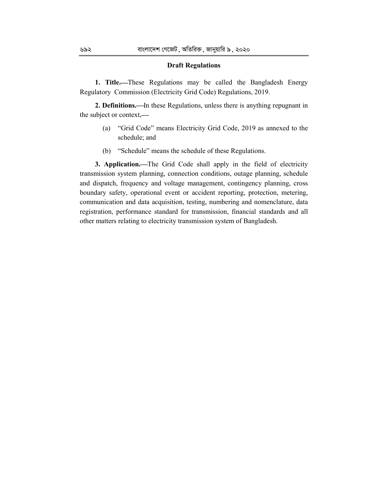#### **Draft Regulations**

**1. Title.**These Regulations may be called the Bangladesh Energy Regulatory Commission (Electricity Grid Code) Regulations, 2019.

**2. Definitions.—In these Regulations, unless there is anything repugnant in** the subject or context,

- (a) "Grid Code" means Electricity Grid Code, 2019 as annexed to the schedule; and
- (b) "Schedule" means the schedule of these Regulations.

**3. Application.**—The Grid Code shall apply in the field of electricity transmission system planning, connection conditions, outage planning, schedule and dispatch, frequency and voltage management, contingency planning, cross boundary safety, operational event or accident reporting, protection, metering, communication and data acquisition, testing, numbering and nomenclature, data registration, performance standard for transmission, financial standards and all other matters relating to electricity transmission system of Bangladesh.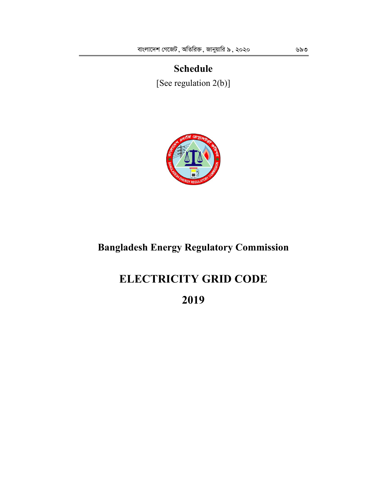# **Schedule** [See regulation 2(b)]



# **Bangladesh Energy Regulatory Commission**

# **ELECTRICITY GRID CODE**

**2019**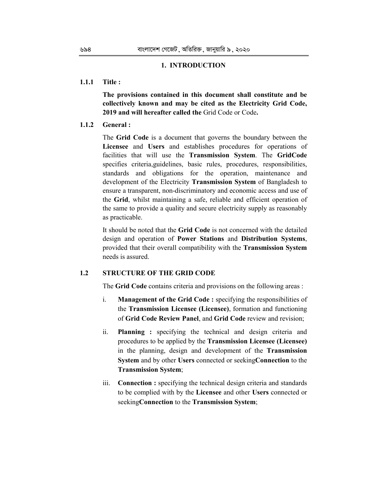### **1. INTRODUCTION**

#### **1.1.1 Title :**

**The provisions contained in this document shall constitute and be collectively known and may be cited as the Electricity Grid Code, 2019 and will hereafter called the** Grid Code or Code**.** 

# **1.1.2 General :**

The **Grid Code** is a document that governs the boundary between the **Licensee** and **Users** and establishes procedures for operations of facilities that will use the **Transmission System**. The **GridCode** specifies criteria,guidelines, basic rules, procedures, responsibilities, standards and obligations for the operation, maintenance and development of the Electricity **Transmission System** of Bangladesh to ensure a transparent, non-discriminatory and economic access and use of the **Grid**, whilst maintaining a safe, reliable and efficient operation of the same to provide a quality and secure electricity supply as reasonably as practicable.

It should be noted that the **Grid Code** is not concerned with the detailed design and operation of **Power Stations** and **Distribution Systems**, provided that their overall compatibility with the **Transmission System** needs is assured.

# **1.2 STRUCTURE OF THE GRID CODE**

The **Grid Code** contains criteria and provisions on the following areas :

- i. **Management of the Grid Code :** specifying the responsibilities of the **Transmission Licensee (Licensee)**, formation and functioning of **Grid Code Review Panel**, and **Grid Code** review and revision;
- ii. **Planning :** specifying the technical and design criteria and procedures to be applied by the **Transmission Licensee (Licensee)**  in the planning, design and development of the **Transmission System** and by other **Users** connected or seeking**Connection** to the **Transmission System**;
- iii. **Connection :** specifying the technical design criteria and standards to be complied with by the **Licensee** and other **Users** connected or seeking**Connection** to the **Transmission System**;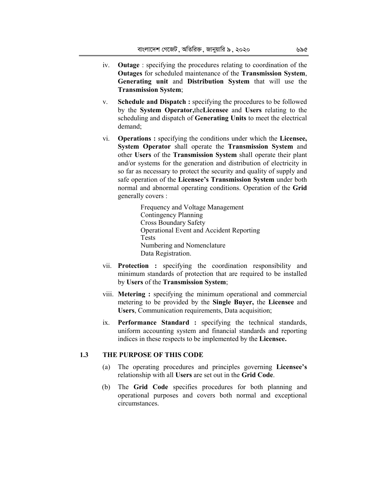- iv. **Outage** : specifying the procedures relating to coordination of the **Outages** for scheduled maintenance of the **Transmission System**, **Generating unit** and **Distribution System** that will use the **Transmission System**;
- v. **Schedule and Dispatch :** specifying the procedures to be followed by the **System Operator,**the**Licensee** and **Users** relating to the scheduling and dispatch of **Generating Units** to meet the electrical demand;
- vi. **Operations :** specifying the conditions under which the **Licensee, System Operator** shall operate the **Transmission System** and other **Users** of the **Transmission System** shall operate their plant and/or systems for the generation and distribution of electricity in so far as necessary to protect the security and quality of supply and safe operation of the **Licensee's Transmission System** under both normal and abnormal operating conditions. Operation of the **Grid** generally covers :

Frequency and Voltage Management Contingency Planning Cross Boundary Safety Operational Event and Accident Reporting Tests Numbering and Nomenclature Data Registration.

- vii. **Protection :** specifying the coordination responsibility and minimum standards of protection that are required to be installed by **Users** of the **Transmission System**;
- viii. **Metering :** specifying the minimum operational and commercial metering to be provided by the **Single Buyer,** the **Licensee** and **Users**, Communication requirements, Data acquisition;
- ix. **Performance Standard :** specifying the technical standards, uniform accounting system and financial standards and reporting indices in these respects to be implemented by the **Licensee.**

# **1.3 THE PURPOSE OF THIS CODE**

- (a) The operating procedures and principles governing **Licensee's** relationship with all **Users** are set out in the **Grid Code**.
- (b) The **Grid Code** specifies procedures for both planning and operational purposes and covers both normal and exceptional circumstances.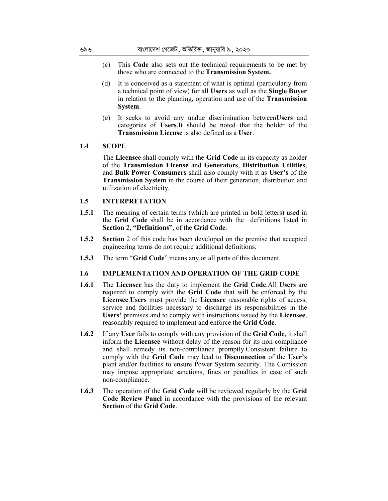- (c) This **Code** also sets out the technical requirements to be met by those who are connected to the **Transmission System.**
- (d) It is conceived as a statement of what is optimal (particularly from a technical point of view) for all **Users** as well as the **Single Buyer** in relation to the planning, operation and use of the **Transmission System**.
- (e) It seeks to avoid any undue discrimination between**Users** and categories of **Users**.It should be noted that the holder of the **Transmission License** is also defined as a **User**.

## **1.4 SCOPE**

The **Licensee** shall comply with the **Grid Code** in its capacity as holder of the **Transmission License** and **Generators**, **Distribution Utilities**, and **Bulk Power Consumers** shall also comply with it as **User's** of the **Transmission System** in the course of their generation, distribution and utilization of electricity.

#### **1.5 INTERPRETATION**

- **1.5.1** The meaning of certain terms (which are printed in bold letters) used in the **Grid Code** shall be in accordance with the definitions listed in **Section** 2, **"Definitions"**, of the **Grid Code**.
- **1.5.2 Section** 2 of this code has been developed on the premise that accepted engineering terms do not require additional definitions.
- **1.5.3** The term "**Grid Code**" means any or all parts of this document.

# **1.6 IMPLEMENTATION AND OPERATION OF THE GRID CODE**

- **1.6.1** The **Licensee** has the duty to implement the **Grid Code**.All **Users** are required to comply with the **Grid Code** that will be enforced by the **Licensee**.**Users** must provide the **Licensee** reasonable rights of access, service and facilities necessary to discharge its responsibilities in the **Users'** premises and to comply with instructions issued by the **Licensee**, reasonably required to implement and enforce the **Grid Code**.
- **1.6.2** If any **User** fails to comply with any provision of the **Grid Code**, it shall inform the **Licensee** without delay of the reason for its non-compliance and shall remedy its non-compliance promptly.Consistent failure to comply with the **Grid Code** may lead to **Disconnection** of the **User's**  plant and/or facilities to ensure Power System security. The Comission may impose appropriate sanctions, fines or penalties in case of such non-compliance.
- **1.6.3** The operation of the **Grid Code** will be reviewed regularly by the **Grid Code Review Panel** in accordance with the provisions of the relevant **Section** of the **Grid Code**.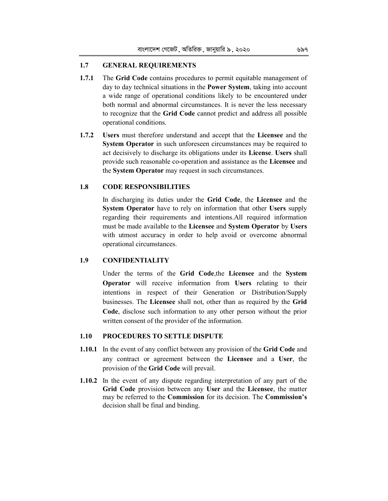# **1.7 GENERAL REQUIREMENTS**

- **1.7.1** The **Grid Code** contains procedures to permit equitable management of day to day technical situations in the **Power System**, taking into account a wide range of operational conditions likely to be encountered under both normal and abnormal circumstances. It is never the less necessary to recognize that the **Grid Code** cannot predict and address all possible operational conditions.
- **1.7.2 Users** must therefore understand and accept that the **Licensee** and the **System Operator** in such unforeseen circumstances may be required to act decisively to discharge its obligations under its **License**. **Users** shall provide such reasonable co-operation and assistance as the **Licensee** and the **System Operator** may request in such circumstances.

#### **1.8 CODE RESPONSIBILITIES**

In discharging its duties under the **Grid Code**, the **Licensee** and the **System Operator** have to rely on information that other **Users** supply regarding their requirements and intentions.All required information must be made available to the **Licensee** and **System Operator** by **Users**  with utmost accuracy in order to help avoid or overcome abnormal operational circumstances.

# **1.9 CONFIDENTIALITY**

Under the terms of the **Grid Code**,the **Licensee** and the **System Operator** will receive information from **Users** relating to their intentions in respect of their Generation or Distribution/Supply businesses. The **Licensee** shall not, other than as required by the **Grid Code**, disclose such information to any other person without the prior written consent of the provider of the information.

#### **1.10 PROCEDURES TO SETTLE DISPUTE**

- **1.10.1** In the event of any conflict between any provision of the **Grid Code** and any contract or agreement between the **Licensee** and a **User**, the provision of the **Grid Code** will prevail.
- **1.10.2** In the event of any dispute regarding interpretation of any part of the **Grid Code** provision between any **User** and the **Licensee**, the matter may be referred to the **Commission** for its decision. The **Commission's**  decision shall be final and binding.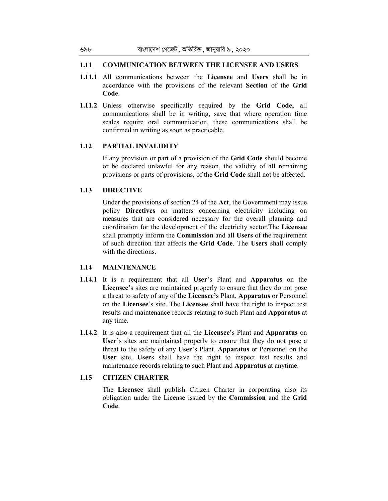#### **1.11 COMMUNICATION BETWEEN THE LICENSEE AND USERS**

- **1.11.1** All communications between the **Licensee** and **Users** shall be in accordance with the provisions of the relevant **Section** of the **Grid Code**.
- **1.11.2** Unless otherwise specifically required by the **Grid Code,** all communications shall be in writing, save that where operation time scales require oral communication, these communications shall be confirmed in writing as soon as practicable.

# **1.12 PARTIAL INVALIDITY**

If any provision or part of a provision of the **Grid Code** should become or be declared unlawful for any reason, the validity of all remaining provisions or parts of provisions, of the **Grid Code** shall not be affected.

#### **1.13 DIRECTIVE**

Under the provisions of section 24 of the **Act**, the Government may issue policy **Directives** on matters concerning electricity including on measures that are considered necessary for the overall planning and coordination for the development of the electricity sector.The **Licensee**  shall promptly inform the **Commission** and all **Users** of the requirement of such direction that affects the **Grid Code**. The **Users** shall comply with the directions.

### **1.14 MAINTENANCE**

- **1.14.1** It is a requirement that all **User**'s Plant and **Apparatus** on the **Licensee'**s sites are maintained properly to ensure that they do not pose a threat to safety of any of the **Licensee's** Plant, **Apparatus** or Personnel on the **Licensee**'s site. The **Licensee** shall have the right to inspect test results and maintenance records relating to such Plant and **Apparatus** at any time.
- **1.14.2** It is also a requirement that all the **Licensee**'s Plant and **Apparatus** on **User**'s sites are maintained properly to ensure that they do not pose a threat to the safety of any **User**'s Plant, **Apparatus** or Personnel on the **User** site. **User**s shall have the right to inspect test results and maintenance records relating to such Plant and **Apparatus** at anytime.

# **1.15 CITIZEN CHARTER**

The **Licensee** shall publish Citizen Charter in corporating also its obligation under the License issued by the **Commission** and the **Grid Code**.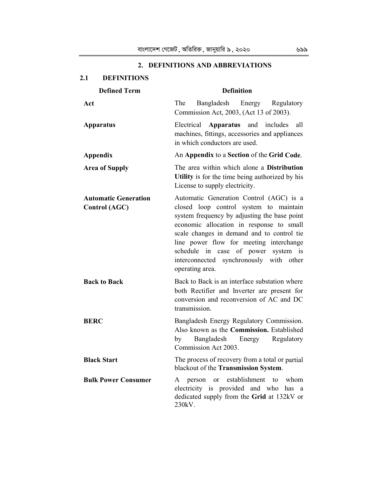| <b>DEFINITIONS</b><br>2.1                    |                                                                                                                                                                                                                                                                                                                                                                             |
|----------------------------------------------|-----------------------------------------------------------------------------------------------------------------------------------------------------------------------------------------------------------------------------------------------------------------------------------------------------------------------------------------------------------------------------|
| <b>Defined Term</b>                          | <b>Definition</b>                                                                                                                                                                                                                                                                                                                                                           |
| Act                                          | The<br>Bangladesh Energy Regulatory<br>Commission Act, 2003, (Act 13 of 2003).                                                                                                                                                                                                                                                                                              |
| <b>Apparatus</b>                             | Apparatus and includes<br>Electrical<br>all<br>machines, fittings, accessories and appliances<br>in which conductors are used.                                                                                                                                                                                                                                              |
| <b>Appendix</b>                              | An Appendix to a Section of the Grid Code.                                                                                                                                                                                                                                                                                                                                  |
| <b>Area of Supply</b>                        | The area within which alone a <b>Distribution</b><br>Utility is for the time being authorized by his<br>License to supply electricity.                                                                                                                                                                                                                                      |
| <b>Automatic Generation</b><br>Control (AGC) | Automatic Generation Control (AGC) is a<br>closed loop control system to maintain<br>system frequency by adjusting the base point<br>economic allocation in response to small<br>scale changes in demand and to control tie<br>line power flow for meeting interchange<br>schedule in case of power system is<br>interconnected synchronously with other<br>operating area. |
| <b>Back to Back</b>                          | Back to Back is an interface substation where<br>both Rectifier and Inverter are present for<br>conversion and reconversion of AC and DC<br>transmission.                                                                                                                                                                                                                   |
| <b>BERC</b>                                  | Bangladesh Energy Regulatory Commission.<br>Also known as the <b>Commission</b> . Established<br>by<br>Bangladesh<br>Energy<br>Regulatory<br>Commission Act 2003.                                                                                                                                                                                                           |
| <b>Black Start</b>                           | The process of recovery from a total or partial<br>blackout of the Transmission System.                                                                                                                                                                                                                                                                                     |
| <b>Bulk Power Consumer</b>                   | A person or establishment to whom<br>electricity is provided and who has a<br>dedicated supply from the Grid at 132kV or<br>230kV.                                                                                                                                                                                                                                          |

# **2. DEFINITIONS AND ABBREVIATIONS**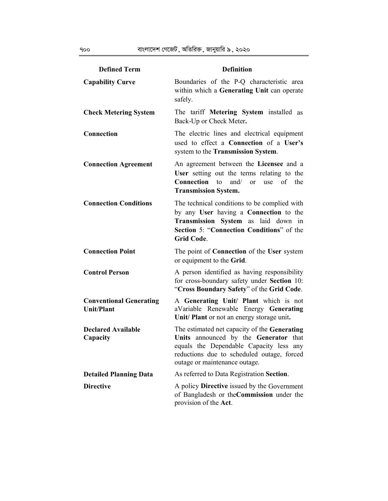| <b>Defined Term</b>                                 | <b>Definition</b>                                                                                                                                                                                               |
|-----------------------------------------------------|-----------------------------------------------------------------------------------------------------------------------------------------------------------------------------------------------------------------|
| <b>Capability Curve</b>                             | Boundaries of the P-Q characteristic area<br>within which a Generating Unit can operate<br>safely.                                                                                                              |
| <b>Check Metering System</b>                        | The tariff Metering System installed as<br>Back-Up or Check Meter.                                                                                                                                              |
| Connection                                          | The electric lines and electrical equipment<br>used to effect a Connection of a User's<br>system to the Transmission System.                                                                                    |
| <b>Connection Agreement</b>                         | An agreement between the Licensee and a<br>User setting out the terms relating to the<br>and $\sqrt{ }$<br><b>Connection</b> to<br><sub>or</sub><br>use of the<br><b>Transmission System.</b>                   |
| <b>Connection Conditions</b>                        | The technical conditions to be complied with<br>by any User having a Connection to the<br>Transmission System as laid down in<br>Section 5: "Connection Conditions" of the<br><b>Grid Code.</b>                 |
| <b>Connection Point</b>                             | The point of <b>Connection</b> of the User system<br>or equipment to the Grid.                                                                                                                                  |
| <b>Control Person</b>                               | A person identified as having responsibility<br>for cross-boundary safety under Section 10:<br>"Cross Boundary Safety" of the Grid Code.                                                                        |
| <b>Conventional Generating</b><br><b>Unit/Plant</b> | A Generating Unit/ Plant which is not<br>aVariable Renewable Energy Generating<br>Unit/ Plant or not an energy storage unit.                                                                                    |
| <b>Declared Available</b><br>Capacity               | The estimated net capacity of the Generating<br>Units announced by the Generator that<br>equals the Dependable Capacity less any<br>reductions due to scheduled outage, forced<br>outage or maintenance outage. |
| <b>Detailed Planning Data</b>                       | As referred to Data Registration Section.                                                                                                                                                                       |
| <b>Directive</b>                                    | A policy <b>Directive</b> issued by the Government<br>of Bangladesh or the Commission under the<br>provision of the Act.                                                                                        |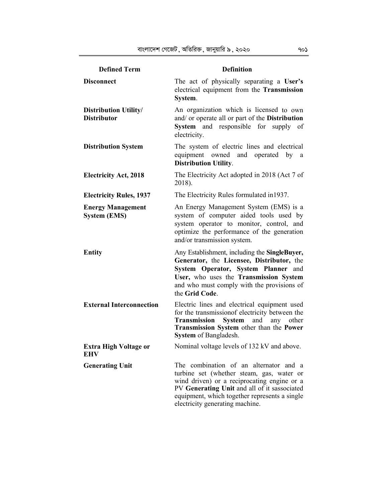| <b>Defined Term</b>                                | <b>Definition</b>                                                                                                                                                                                                                                                      |
|----------------------------------------------------|------------------------------------------------------------------------------------------------------------------------------------------------------------------------------------------------------------------------------------------------------------------------|
| <b>Disconnect</b>                                  | The act of physically separating a User's<br>electrical equipment from the Transmission<br>System.                                                                                                                                                                     |
| <b>Distribution Utility/</b><br><b>Distributor</b> | An organization which is licensed to own<br>and/ or operate all or part of the Distribution<br>System and responsible for supply of<br>electricity.                                                                                                                    |
| <b>Distribution System</b>                         | The system of electric lines and electrical<br>equipment owned and operated by<br>a<br><b>Distribution Utility.</b>                                                                                                                                                    |
| <b>Electricity Act, 2018</b>                       | The Electricity Act adopted in 2018 (Act 7 of<br>2018).                                                                                                                                                                                                                |
| <b>Electricity Rules, 1937</b>                     | The Electricity Rules formulated in 1937.                                                                                                                                                                                                                              |
| <b>Energy Management</b><br><b>System (EMS)</b>    | An Energy Management System (EMS) is a<br>system of computer aided tools used by<br>system operator to monitor, control, and<br>optimize the performance of the generation<br>and/or transmission system.                                                              |
| <b>Entity</b>                                      | Any Establishment, including the SingleBuyer,<br>Generator, the Licensee, Distributor, the<br>System Operator, System Planner and<br>User, who uses the Transmission System<br>and who must comply with the provisions of<br>the Grid Code.                            |
| <b>External Interconnection</b>                    | Electric lines and electrical equipment used<br>for the transmission f electricity between the<br>System<br><b>Transmission</b><br>and<br>any<br>other<br>Transmission System other than the Power<br>System of Bangladesh.                                            |
| Extra High Voltage or<br>EHV                       | Nominal voltage levels of 132 kV and above.                                                                                                                                                                                                                            |
| <b>Generating Unit</b>                             | The combination of an alternator and a<br>turbine set (whether steam, gas, water or<br>wind driven) or a reciprocating engine or a<br>PV Generating Unit and all of it sassociated<br>equipment, which together represents a single<br>electricity generating machine. |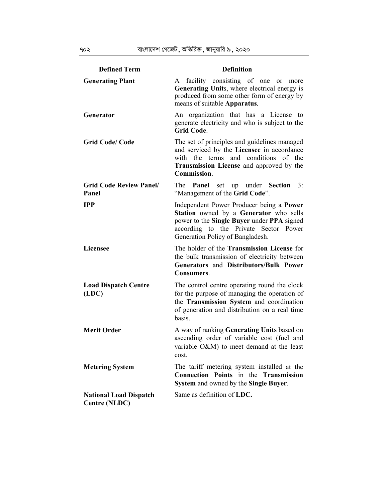| <b>Defined Term</b>                            | <b>Definition</b>                                                                                                                                                                                             |
|------------------------------------------------|---------------------------------------------------------------------------------------------------------------------------------------------------------------------------------------------------------------|
| <b>Generating Plant</b>                        | facility consisting of one or<br>A<br>more<br>Generating Units, where electrical energy is<br>produced from some other form of energy by<br>means of suitable Apparatus.                                      |
| Generator                                      | An organization that has a License to<br>generate electricity and who is subject to the<br><b>Grid Code.</b>                                                                                                  |
| <b>Grid Code/Code</b>                          | The set of principles and guidelines managed<br>and serviced by the Licensee in accordance<br>conditions<br>with the terms and<br>of the<br><b>Transmission License</b> and approved by the<br>Commission.    |
| <b>Grid Code Review Panel/</b><br>Panel        | set up under Section 3:<br>The <b>Panel</b><br>"Management of the Grid Code".                                                                                                                                 |
| <b>IPP</b>                                     | Independent Power Producer being a Power<br>Station owned by a Generator who sells<br>power to the Single Buyer under PPA signed<br>according to the Private Sector Power<br>Generation Policy of Bangladesh. |
| <b>Licensee</b>                                | The holder of the Transmission License for<br>the bulk transmission of electricity between<br>Generators and Distributors/Bulk Power<br>Consumers.                                                            |
| <b>Load Dispatch Centre</b><br>(LDC)           | The control centre operating round the clock<br>for the purpose of managing the operation of<br>the Transmission System and coordination<br>of generation and distribution on a real time<br>basis.           |
| <b>Merit Order</b>                             | A way of ranking Generating Units based on<br>ascending order of variable cost (fuel and<br>variable O&M) to meet demand at the least<br>cost.                                                                |
| <b>Metering System</b>                         | The tariff metering system installed at the<br><b>Connection Points</b> in the Transmission<br>System and owned by the Single Buyer.                                                                          |
| <b>National Load Dispatch</b><br>Centre (NLDC) | Same as definition of LDC.                                                                                                                                                                                    |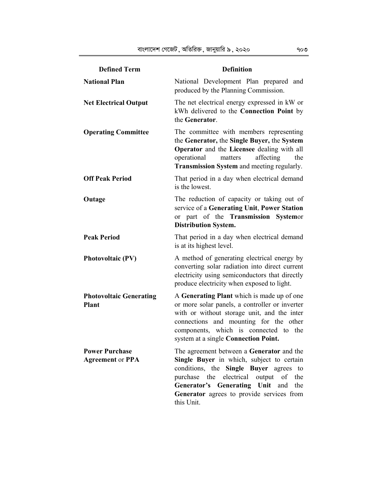| <b>Defined Term</b>                              | <b>Definition</b>                                                                                                                                                                                                                                                                          |
|--------------------------------------------------|--------------------------------------------------------------------------------------------------------------------------------------------------------------------------------------------------------------------------------------------------------------------------------------------|
| <b>National Plan</b>                             | National Development Plan prepared and<br>produced by the Planning Commission.                                                                                                                                                                                                             |
| <b>Net Electrical Output</b>                     | The net electrical energy expressed in kW or<br>kWh delivered to the Connection Point by<br>the Generator.                                                                                                                                                                                 |
| <b>Operating Committee</b>                       | The committee with members representing<br>the Generator, the Single Buyer, the System<br>Operator and the Licensee dealing with all<br>operational<br>affecting<br>matters<br>the<br>Transmission System and meeting regularly.                                                           |
| <b>Off Peak Period</b>                           | That period in a day when electrical demand<br>is the lowest.                                                                                                                                                                                                                              |
| Outage                                           | The reduction of capacity or taking out of<br>service of a Generating Unit, Power Station<br>or part of the Transmission Systemor<br><b>Distribution System.</b>                                                                                                                           |
| <b>Peak Period</b>                               | That period in a day when electrical demand<br>is at its highest level.                                                                                                                                                                                                                    |
| <b>Photovoltaic (PV)</b>                         | A method of generating electrical energy by<br>converting solar radiation into direct current<br>electricity using semiconductors that directly<br>produce electricity when exposed to light.                                                                                              |
| <b>Photovoltaic Generating</b><br><b>Plant</b>   | A Generating Plant which is made up of one<br>or more solar panels, a controller or inverter<br>with or without storage unit, and the inter<br>connections and mounting for the other<br>components, which is connected to the<br>system at a single Connection Point.                     |
| <b>Power Purchase</b><br><b>Agreement or PPA</b> | The agreement between a Generator and the<br>Single Buyer in which, subject to certain<br>conditions, the Single Buyer agrees to<br>output<br>purchase<br>the<br>electrical<br>of the<br>Generator's Generating Unit and<br>the<br>Generator agrees to provide services from<br>this Unit. |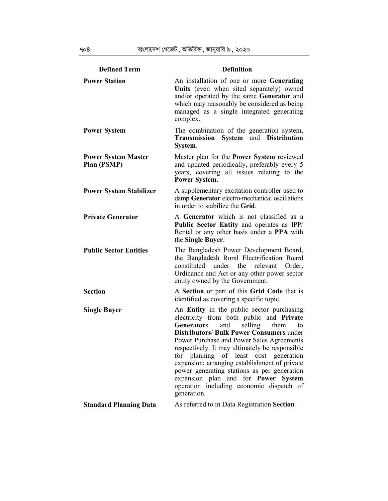| <b>Defined Term</b>                       | <b>Definition</b>                                                                                                                                                                                                                                                                                                                                                                                                                                                                                                                                        |
|-------------------------------------------|----------------------------------------------------------------------------------------------------------------------------------------------------------------------------------------------------------------------------------------------------------------------------------------------------------------------------------------------------------------------------------------------------------------------------------------------------------------------------------------------------------------------------------------------------------|
| <b>Power Station</b>                      | An installation of one or more Generating<br>Units (even when sited separately) owned<br>and/or operated by the same Generator and<br>which may reasonably be considered as being<br>managed as a single integrated generating<br>complex.                                                                                                                                                                                                                                                                                                               |
| <b>Power System</b>                       | The combination of the generation system,<br>Transmission System and Distribution<br>System.                                                                                                                                                                                                                                                                                                                                                                                                                                                             |
| <b>Power System Master</b><br>Plan (PSMP) | Master plan for the <b>Power System</b> reviewed<br>and updated periodically, preferably every 5<br>years, covering all issues relating to the<br>Power System.                                                                                                                                                                                                                                                                                                                                                                                          |
| <b>Power System Stabilizer</b>            | A supplementary excitation controller used to<br>damp Generator electro-mechanical oscillations<br>in order to stabilize the Grid.                                                                                                                                                                                                                                                                                                                                                                                                                       |
| <b>Private Generator</b>                  | A Generator which is not classified as a<br>Public Sector Entity and operates as IPP/<br>Rental or any other basis under a PPA with<br>the Single Buyer.                                                                                                                                                                                                                                                                                                                                                                                                 |
| <b>Public Sector Entities</b>             | The Bangladesh Power Development Board,<br>the Bangladesh Rural Electrification Board<br>constituted under the relevant<br>Order,<br>Ordinance and Act or any other power sector<br>entity owned by the Government.                                                                                                                                                                                                                                                                                                                                      |
| <b>Section</b>                            | A Section or part of this Grid Code that is<br>identified as covering a specific topic.                                                                                                                                                                                                                                                                                                                                                                                                                                                                  |
| <b>Single Buyer</b>                       | An Entity in the public sector purchasing<br>electricity from both public and Private<br>selling<br><b>Generators</b><br>and<br>them<br>to<br><b>Distributors/ Bulk Power Consumers under</b><br>Power Purchase and Power Sales Agreements<br>respectively. It may ultimately be responsible<br>for planning of least cost generation<br>expansion; arranging establishment of private<br>power generating stations as per generation<br>expansion plan and for <b>Power</b><br><b>System</b><br>operation including economic dispatch of<br>generation. |
| <b>Standard Planning Data</b>             | As referred to in Data Registration Section.                                                                                                                                                                                                                                                                                                                                                                                                                                                                                                             |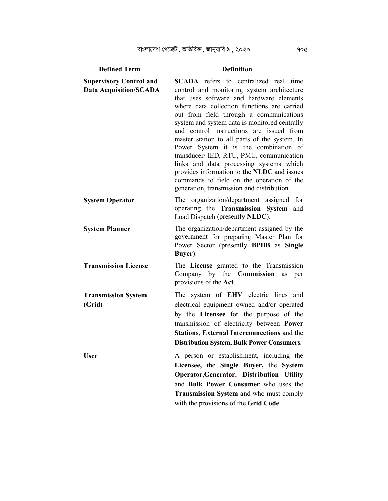| <b>Defined Term</b>                                                                       | <b>Definition</b>                                                                                                                                                                                                                                                                                                                                                                                                                                                                                                                                                                                                                                                                                    |
|-------------------------------------------------------------------------------------------|------------------------------------------------------------------------------------------------------------------------------------------------------------------------------------------------------------------------------------------------------------------------------------------------------------------------------------------------------------------------------------------------------------------------------------------------------------------------------------------------------------------------------------------------------------------------------------------------------------------------------------------------------------------------------------------------------|
| <b>Supervisory Control and</b><br><b>Data Acquisition/SCADA</b><br><b>System Operator</b> | <b>SCADA</b> refers to centralized real time<br>control and monitoring system architecture<br>that uses software and hardware elements<br>where data collection functions are carried<br>out from field through a communications<br>system and system data is monitored centrally<br>and control instructions are issued from<br>master station to all parts of the system. In<br>Power System it is the combination of<br>transducer/ IED, RTU, PMU, communication<br>links and data processing systems which<br>provides information to the NLDC and issues<br>commands to field on the operation of the<br>generation, transmission and distribution.<br>The organization/department assigned for |
|                                                                                           | operating the Transmission System and<br>Load Dispatch (presently NLDC).                                                                                                                                                                                                                                                                                                                                                                                                                                                                                                                                                                                                                             |
| <b>System Planner</b>                                                                     | The organization/department assigned by the<br>government for preparing Master Plan for<br>Power Sector (presently BPDB as Single<br>Buyer).                                                                                                                                                                                                                                                                                                                                                                                                                                                                                                                                                         |
| <b>Transmission License</b>                                                               | The License granted to the Transmission<br>Company by the Commission<br>as<br>per<br>provisions of the Act.                                                                                                                                                                                                                                                                                                                                                                                                                                                                                                                                                                                          |
| <b>Transmission System</b><br>(Grid)                                                      | The system of EHV electric lines and<br>electrical equipment owned and/or operated<br>by the Licensee for the purpose of the<br>transmission of electricity between Power<br><b>Stations, External Interconnections and the</b><br><b>Distribution System, Bulk Power Consumers.</b>                                                                                                                                                                                                                                                                                                                                                                                                                 |
| <b>User</b>                                                                               | A person or establishment, including the<br>Licensee, the Single Buyer, the System<br>Operator, Generator, Distribution Utility<br>and Bulk Power Consumer who uses the<br><b>Transmission System and who must comply</b><br>with the provisions of the Grid Code.                                                                                                                                                                                                                                                                                                                                                                                                                                   |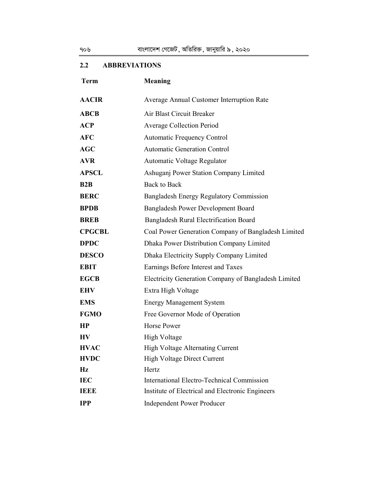# **2.2 ABBREVIATIONS**

| <b>Term</b>    | <b>Meaning</b>                                       |
|----------------|------------------------------------------------------|
| <b>AACIR</b>   | Average Annual Customer Interruption Rate            |
| <b>ABCB</b>    | Air Blast Circuit Breaker                            |
| <b>ACP</b>     | <b>Average Collection Period</b>                     |
| <b>AFC</b>     | <b>Automatic Frequency Control</b>                   |
| AGC            | <b>Automatic Generation Control</b>                  |
| <b>AVR</b>     | Automatic Voltage Regulator                          |
| <b>APSCL</b>   | Ashuganj Power Station Company Limited               |
| B2B            | <b>Back to Back</b>                                  |
| <b>BERC</b>    | Bangladesh Energy Regulatory Commission              |
| <b>BPDB</b>    | Bangladesh Power Development Board                   |
| <b>BREB</b>    | Bangladesh Rural Electrification Board               |
| <b>CPGCBL</b>  | Coal Power Generation Company of Bangladesh Limited  |
| <b>DPDC</b>    | Dhaka Power Distribution Company Limited             |
| <b>DESCO</b>   | Dhaka Electricity Supply Company Limited             |
| <b>EBIT</b>    | Earnings Before Interest and Taxes                   |
| <b>EGCB</b>    | Electricity Generation Company of Bangladesh Limited |
| <b>EHV</b>     | Extra High Voltage                                   |
| <b>EMS</b>     | <b>Energy Management System</b>                      |
| <b>FGMO</b>    | Free Governor Mode of Operation                      |
| HP             | Horse Power                                          |
| H <sub>V</sub> | High Voltage                                         |
| <b>HVAC</b>    | High Voltage Alternating Current                     |
| <b>HVDC</b>    | High Voltage Direct Current                          |
| $\mathbf{Hz}$  | Hertz                                                |
| <b>IEC</b>     | <b>International Electro-Technical Commission</b>    |
| <b>IEEE</b>    | Institute of Electrical and Electronic Engineers     |
| <b>IPP</b>     | <b>Independent Power Producer</b>                    |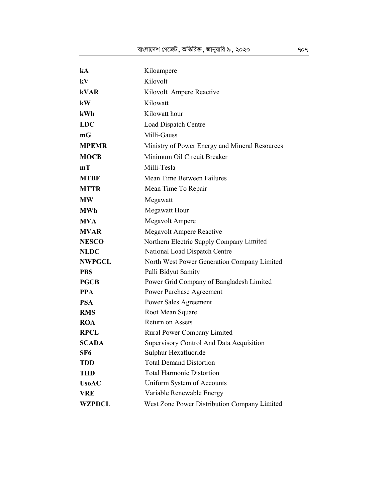| kA                         | Kiloampere                                                         |
|----------------------------|--------------------------------------------------------------------|
| kV                         | Kilovolt                                                           |
| <b>kVAR</b>                | Kilovolt Ampere Reactive                                           |
| kW                         | Kilowatt                                                           |
| kWh                        | Kilowatt hour                                                      |
| <b>LDC</b>                 | Load Dispatch Centre                                               |
| mG                         | Milli-Gauss                                                        |
| <b>MPEMR</b>               | Ministry of Power Energy and Mineral Resources                     |
| <b>MOCB</b>                | Minimum Oil Circuit Breaker                                        |
| mТ                         | Milli-Tesla                                                        |
| <b>MTBF</b>                | Mean Time Between Failures                                         |
| <b>MTTR</b>                | Mean Time To Repair                                                |
| <b>MW</b>                  | Megawatt                                                           |
| <b>MWh</b>                 | Megawatt Hour                                                      |
| <b>MVA</b>                 | Megavolt Ampere                                                    |
| <b>MVAR</b>                | <b>Megavolt Ampere Reactive</b>                                    |
| <b>NESCO</b>               | Northern Electric Supply Company Limited                           |
| <b>NLDC</b>                | National Load Dispatch Centre                                      |
| <b>NWPGCL</b>              | North West Power Generation Company Limited                        |
| <b>PBS</b>                 | Palli Bidyut Samity                                                |
| <b>PGCB</b>                | Power Grid Company of Bangladesh Limited                           |
| <b>PPA</b>                 | Power Purchase Agreement                                           |
| <b>PSA</b>                 | Power Sales Agreement                                              |
| <b>RMS</b>                 | Root Mean Square                                                   |
| <b>ROA</b>                 | Return on Assets                                                   |
| <b>RPCL</b>                | Rural Power Company Limited                                        |
| <b>SCADA</b>               | Supervisory Control And Data Acquisition                           |
| SF <sub>6</sub>            | Sulphur Hexafluoride                                               |
| <b>TDD</b>                 | <b>Total Demand Distortion</b><br><b>Total Harmonic Distortion</b> |
| <b>THD</b>                 |                                                                    |
| <b>UsoAC</b><br><b>VRE</b> | Uniform System of Accounts                                         |
|                            | Variable Renewable Energy                                          |
| WZPDCL                     | West Zone Power Distribution Company Limited                       |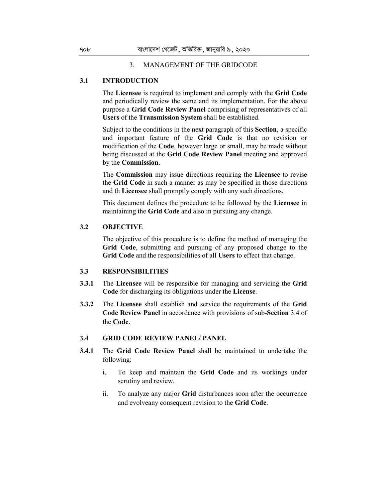#### 3. MANAGEMENT OF THE GRIDCODE

# **3.1 INTRODUCTION**

The **Licensee** is required to implement and comply with the **Grid Code**  and periodically review the same and its implementation. For the above purpose a **Grid Code Review Panel** comprising of representatives of all **Users** of the **Transmission System** shall be established.

Subject to the conditions in the next paragraph of this **Section**, a specific and important feature of the **Grid Code** is that no revision or modification of the **Code**, however large or small, may be made without being discussed at the **Grid Code Review Panel** meeting and approved by the **Commission.** 

The **Commission** may issue directions requiring the **Licensee** to revise the **Grid Code** in such a manner as may be specified in those directions and th **Licensee** shall promptly comply with any such directions.

This document defines the procedure to be followed by the **Licensee** in maintaining the **Grid Code** and also in pursuing any change.

### **3.2 OBJECTIVE**

The objective of this procedure is to define the method of managing the **Grid Code**, submitting and pursuing of any proposed change to the **Grid Code** and the responsibilities of all **Users** to effect that change.

# **3.3 RESPONSIBILITIES**

- **3.3.1** The **Licensee** will be responsible for managing and servicing the **Grid Code** for discharging its obligations under the **License**.
- **3.3.2** The **Licensee** shall establish and service the requirements of the **Grid Code Review Panel** in accordance with provisions of sub-**Section** 3.4 of the **Code**.

# **3.4 GRID CODE REVIEW PANEL/ PANEL**

- **3.4.1** The **Grid Code Review Panel** shall be maintained to undertake the following:
	- i. To keep and maintain the **Grid Code** and its workings under scrutiny and review.
	- ii. To analyze any major **Grid** disturbances soon after the occurrence and evolveany consequent revision to the **Grid Code**.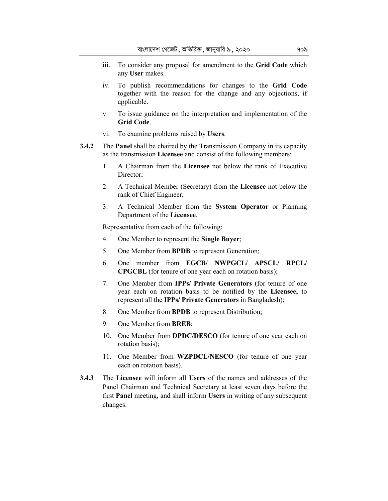- iii. To consider any proposal for amendment to the **Grid Code** which any **User** makes.
- iv. To publish recommendations for changes to the **Grid Code**  together with the reason for the change and any objections, if applicable.
- v. To issue guidance on the interpretation and implementation of the **Grid Code**.
- vi. To examine problems raised by **Users**.
- **3.4.2** The **Panel** shall be chaired by the Transmission Company in its capacity as the transmission **Licensee** and consist of the following members:
	- 1. A Chairman from the **Licensee** not below the rank of Executive Director;
	- 2. A Technical Member (Secretary) from the **Licensee** not below the rank of Chief Engineer;
	- 3. A Technical Member from the **System Operator** or Planning Department of the **Licensee**.

Representative from each of the following:

- 4. One Member to represent the **Single Buyer**;
- 5. One Member from **BPDB** to represent Generation;
- 6. One member from **EGCB/ NWPGCL/ APSCL/ RPCL/ CPGCBL** (for tenure of one year each on rotation basis);
- 7. One Member from **IPPs/ Private Generators** (for tenure of one year each on rotation basis to be notified by the **Licensee,** to represent all the **IPPs/ Private Generators** in Bangladesh);
- 8. One Member from **BPDB** to represent Distribution;
- 9. One Member from **BREB**;
- 10. One Member from **DPDC/DESCO** (for tenure of one year each on rotation basis);
- 11. One Member from **WZPDCL/NESCO** (for tenure of one year each on rotation basis).
- **3.4.3** The **Licensee** will inform all **Users** of the names and addresses of the Panel Chairman and Technical Secretary at least seven days before the first **Panel** meeting, and shall inform **Users** in writing of any subsequent changes.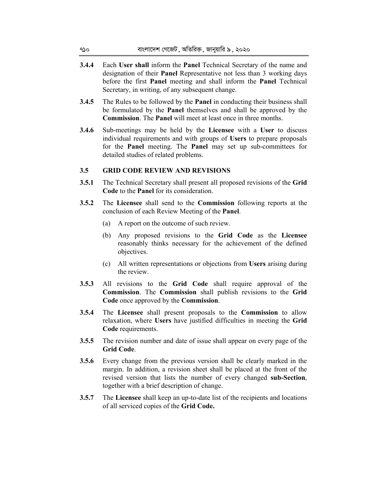- **3.4.4** Each **User shall** inform the **Panel** Technical Secretary of the name and designation of their **Panel** Representative not less than 3 working days before the first **Panel** meeting and shall inform the **Panel** Technical Secretary, in writing, of any subsequent change.
- **3.4.5** The Rules to be followed by the **Panel** in conducting their business shall be formulated by the **Panel** themselves and shall be approved by the **Commission**. The **Panel** will meet at least once in three months.
- **3.4.6** Sub-meetings may be held by the **Licensee** with a **User** to discuss individual requirements and with groups of **Users** to prepare proposals for the **Panel** meeting. The **Panel** may set up sub-committees for detailed studies of related problems.

## **3.5 GRID CODE REVIEW AND REVISIONS**

- **3.5.1** The Technical Secretary shall present all proposed revisions of the **Grid Code** to the **Panel** for its consideration.
- **3.5.2** The **Licensee** shall send to the **Commission** following reports at the conclusion of each Review Meeting of the **Panel**.
	- (a) A report on the outcome of such review.
	- (b) Any proposed revisions to the **Grid Code** as the **Licensee**  reasonably thinks necessary for the achievement of the defined objectives.
	- (c) All written representations or objections from **Users** arising during the review.
- **3.5.3** All revisions to the **Grid Code** shall require approval of the **Commission**. The **Commission** shall publish revisions to the **Grid Code** once approved by the **Commission**.
- **3.5.4** The **Licensee** shall present proposals to the **Commission** to allow relaxation, where **Users** have justified difficulties in meeting the **Grid Code** requirements.
- **3.5.5** The revision number and date of issue shall appear on every page of the **Grid Code**.
- **3.5.6** Every change from the previous version shall be clearly marked in the margin. In addition, a revision sheet shall be placed at the front of the revised version that lists the number of every changed **sub-Section**, together with a brief description of change.
- **3.5.7** The **Licensee** shall keep an up-to-date list of the recipients and locations of all serviced copies of the **Grid Code.**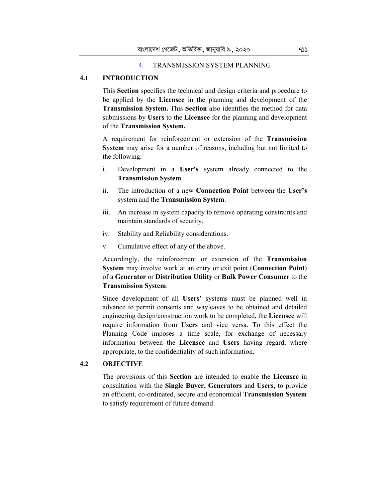### 4. TRANSMISSION SYSTEM PLANNING

# **4.1 INTRODUCTION**

This **Section** specifies the technical and design criteria and procedure to be applied by the **Licensee** in the planning and development of the **Transmission System.** This **Section** also identifies the method for data submissions by **Users** to the **Licensee** for the planning and development of the **Transmission System.**

A requirement for reinforcement or extension of the **Transmission System** may arise for a number of reasons, including but not limited to the following:

- i. Development in a **User's** system already connected to the **Transmission System**.
- ii. The introduction of a new **Connection Point** between the **User's**  system and the **Transmission System**.
- iii. An increase in system capacity to remove operating constraints and maintain standards of security.
- iv. Stability and Reliability considerations.
- v. Cumulative effect of any of the above.

Accordingly, the reinforcement or extension of the **Transmission System** may involve work at an entry or exit point (**Connection Point**) of a **Generator** or **Distribution Utility** or **Bulk Power Consumer** to the **Transmission System**.

Since development of all **Users'** systems must be planned well in advance to permit consents and wayleaves to be obtained and detailed engineering design/construction work to be completed, the **Licensee** will require information from **Users** and vice versa. To this effect the Planning Code imposes a time scale, for exchange of necessary information between the **Licensee** and **Users** having regard, where appropriate, to the confidentiality of such information.

# **4.2 OBJECTIVE**

The provisions of this **Section** are intended to enable the **Licensee** in consultation with the **Single Buyer, Generators** and **Users,** to provide an efficient, co-ordinated, secure and economical **Transmission System**  to satisfy requirement of future demand.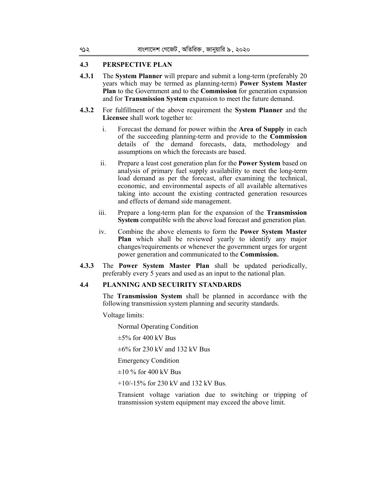# **4.3 PERSPECTIVE PLAN**

- **4.3.1** The **System Planner** will prepare and submit a long-term (preferably 20 years which may be termed as planning-term) **Power System Master Plan** to the Government and to the **Commission** for generation expansion and for **Transmission System** expansion to meet the future demand.
- **4.3.2** For fulfillment of the above requirement the **System Planner** and the **Licensee** shall work together to:
	- i. Forecast the demand for power within the **Area of Supply** in each of the succeeding planning-term and provide to the **Commission**  details of the demand forecasts, data, methodology and assumptions on which the forecasts are based.
	- ii. Prepare a least cost generation plan for the **Power System** based on analysis of primary fuel supply availability to meet the long-term load demand as per the forecast, after examining the technical, economic, and environmental aspects of all available alternatives taking into account the existing contracted generation resources and effects of demand side management.
	- iii. Prepare a long-term plan for the expansion of the **Transmission System** compatible with the above load forecast and generation plan.
	- iv. Combine the above elements to form the **Power System Master Plan** which shall be reviewed yearly to identify any major changes/requirements or whenever the government urges for urgent power generation and communicated to the **Commission.**
- **4.3.3** The **Power System Master Plan** shall be updated periodically, preferably every 5 years and used as an input to the national plan.

#### **4.4 PLANNING AND SECUIRITY STANDARDS**

The **Transmission System** shall be planned in accordance with the following transmission system planning and security standards.

Voltage limits:

Normal Operating Condition

 $\pm$ 5% for 400 kV Bus

 $\pm 6\%$  for 230 kV and 132 kV Bus

Emergency Condition

 $\pm 10$  % for 400 kV Bus

+10/-15% for 230 kV and 132 kV Bus.

Transient voltage variation due to switching or tripping of transmission system equipment may exceed the above limit.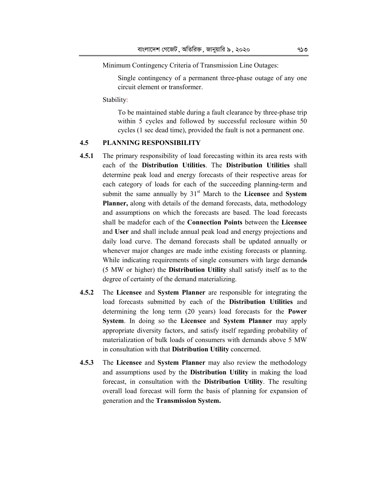Minimum Contingency Criteria of Transmission Line Outages:

Single contingency of a permanent three-phase outage of any one circuit element or transformer.

Stability:

To be maintained stable during a fault clearance by three-phase trip within 5 cycles and followed by successful reclosure within 50 cycles (1 sec dead time), provided the fault is not a permanent one.

# **4.5 PLANNING RESPONSIBILITY**

- **4.5.1** The primary responsibility of load forecasting within its area rests with each of the **Distribution Utilities**. The **Distribution Utilities** shall determine peak load and energy forecasts of their respective areas for each category of loads for each of the succeeding planning-term and submit the same annually by 31<sup>st</sup> March to the **Licensee** and **System Planner,** along with details of the demand forecasts, data, methodology and assumptions on which the forecasts are based. The load forecasts shall be madefor each of the **Connection Points** between the **Licensee**  and **User** and shall include annual peak load and energy projections and daily load curve. The demand forecasts shall be updated annually or whenever major changes are made inthe existing forecasts or planning. While indicating requirements of single consumers with large demands (5 MW or higher) the **Distribution Utility** shall satisfy itself as to the degree of certainty of the demand materializing.
- **4.5.2** The **Licensee** and **System Planner** are responsible for integrating the load forecasts submitted by each of the **Distribution Utilities** and determining the long term (20 years) load forecasts for the **Power System**. In doing so the **Licensee** and **System Planner** may apply appropriate diversity factors, and satisfy itself regarding probability of materialization of bulk loads of consumers with demands above 5 MW in consultation with that **Distribution Utility** concerned.
- **4.5.3** The **Licensee** and **System Planner** may also review the methodology and assumptions used by the **Distribution Utility** in making the load forecast, in consultation with the **Distribution Utility**. The resulting overall load forecast will form the basis of planning for expansion of generation and the **Transmission System.**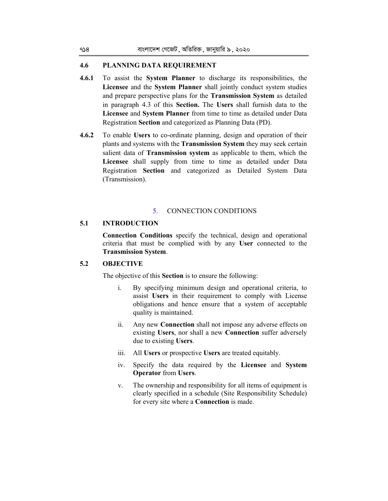### **4.6 PLANNING DATA REQUIREMENT**

- **4.6.1** To assist the **System Planner** to discharge its responsibilities, the **Licensee** and the **System Planner** shall jointly conduct system studies and prepare perspective plans for the **Transmission System** as detailed in paragraph 4.3 of this **Section.** The **Users** shall furnish data to the **Licensee** and **System Planner** from time to time as detailed under Data Registration **Section** and categorized as Planning Data (PD).
- **4.6.2** To enable **Users** to co-ordinate planning, design and operation of their plants and systems with the **Transmission System** they may seek certain salient data of **Transmission system** as applicable to them, which the **Licensee** shall supply from time to time as detailed under Data Registration **Section** and categorized as Detailed System Data (Transmission).

#### 5. CONNECTION CONDITIONS

# **5.1 INTRODUCTION**

**Connection Conditions** specify the technical, design and operational criteria that must be complied with by any **User** connected to the **Transmission System**.

#### **5.2 OBJECTIVE**

The objective of this **Section** is to ensure the following:

- i. By specifying minimum design and operational criteria, to assist **Users** in their requirement to comply with License obligations and hence ensure that a system of acceptable quality is maintained.
- ii. Any new **Connection** shall not impose any adverse effects on existing **Users**, nor shall a new **Connection** suffer adversely due to existing **Users**.
- iii. All **Users** or prospective **Users** are treated equitably.
- iv. Specify the data required by the **Licensee** and **System Operator** from **Users**.
- v. The ownership and responsibility for all items of equipment is clearly specified in a schedule (Site Responsibility Schedule) for every site where a **Connection** is made.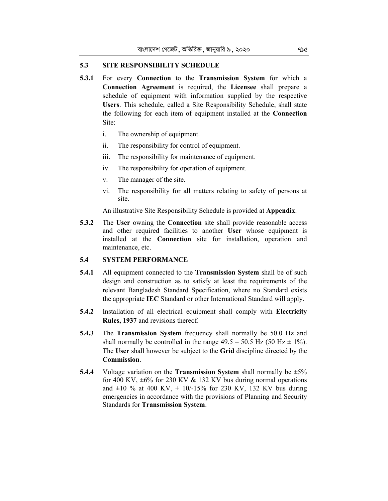### **5.3 SITE RESPONSIBILITY SCHEDULE**

- **5.3.1** For every **Connection** to the **Transmission System** for which a **Connection Agreement** is required, the **Licensee** shall prepare a schedule of equipment with information supplied by the respective **Users**. This schedule, called a Site Responsibility Schedule, shall state the following for each item of equipment installed at the **Connection**  Site:
	- i. The ownership of equipment.
	- ii. The responsibility for control of equipment.
	- iii. The responsibility for maintenance of equipment.
	- iv. The responsibility for operation of equipment.
	- v. The manager of the site.
	- vi. The responsibility for all matters relating to safety of persons at site.

An illustrative Site Responsibility Schedule is provided at **Appendix**.

**5.3.2** The **User** owning the **Connection** site shall provide reasonable access and other required facilities to another **User** whose equipment is installed at the **Connection** site for installation, operation and maintenance, etc.

### **5.4 SYSTEM PERFORMANCE**

- **5.4.1** All equipment connected to the **Transmission System** shall be of such design and construction as to satisfy at least the requirements of the relevant Bangladesh Standard Specification, where no Standard exists the appropriate **IEC** Standard or other International Standard will apply.
- **5.4.2** Installation of all electrical equipment shall comply with **Electricity Rules, 1937** and revisions thereof.
- **5.4.3** The **Transmission System** frequency shall normally be 50.0 Hz and shall normally be controlled in the range  $49.5 - 50.5$  Hz (50 Hz  $\pm$  1%). The **User** shall however be subject to the **Grid** discipline directed by the **Commission**.
- **5.4.4** Voltage variation on the **Transmission System** shall normally be ±5% for 400 KV,  $\pm 6\%$  for 230 KV & 132 KV bus during normal operations and  $\pm 10$  % at 400 KV, + 10/-15% for 230 KV, 132 KV bus during emergencies in accordance with the provisions of Planning and Security Standards for **Transmission System**.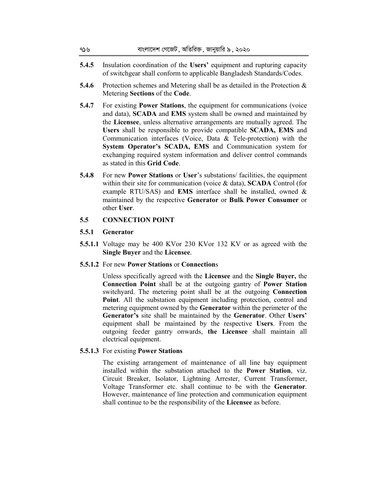| ৭১৬   | বাংলাদেশ গেজেট , অতিরিক্ত , জানুয়ারি ৯ , ২০২০                                                                                                                                                                                                                                                                                                                                                                                                                                                                                                                                                                                                             |
|-------|------------------------------------------------------------------------------------------------------------------------------------------------------------------------------------------------------------------------------------------------------------------------------------------------------------------------------------------------------------------------------------------------------------------------------------------------------------------------------------------------------------------------------------------------------------------------------------------------------------------------------------------------------------|
| 5.4.5 | Insulation coordination of the Users' equipment and rupturing capacity<br>of switchgear shall conform to applicable Bangladesh Standards/Codes.                                                                                                                                                                                                                                                                                                                                                                                                                                                                                                            |
| 5.4.6 | Protection schemes and Metering shall be as detailed in the Protection $\&$<br>Metering Sections of the Code.                                                                                                                                                                                                                                                                                                                                                                                                                                                                                                                                              |
| 5.4.7 | For existing <b>Power Stations</b> , the equipment for communications (voice<br>and data), SCADA and EMS system shall be owned and maintained by<br>the Licensee, unless alternative arrangements are mutually agreed. The<br>$\mathbf{H} = \mathbf{1} + \mathbf{1} + \mathbf{1} + \mathbf{1} + \mathbf{1} + \mathbf{1} + \mathbf{1} + \mathbf{1} + \mathbf{1} + \mathbf{1} + \mathbf{1} + \mathbf{1} + \mathbf{1} + \mathbf{1} + \mathbf{1} + \mathbf{1} + \mathbf{1} + \mathbf{1} + \mathbf{1} + \mathbf{1} + \mathbf{1} + \mathbf{1} + \mathbf{1} + \mathbf{1} + \mathbf{1} + \mathbf{1} + \mathbf{1} + \mathbf{1} + \mathbf{1} + \mathbf{1} + \mathbf$ |

- **Users** shall be responsible to provide compatible **SCADA, EMS** and Communication interfaces (Voice, Data & Tele-protection) with the **System Operator's SCADA, EMS** and Communication system for exchanging required system information and deliver control commands as stated in this **Grid Code**.
- **5.4.8** For new **Power Stations** or **User**'s substations/ facilities, the equipment within their site for communication (voice & data), **SCADA** Control (for example RTU/SAS) and **EMS** interface shall be installed, owned & maintained by the respective **Generator** or **Bulk Power Consumer** or other **User**.

# **5.5 CONNECTION POINT**

# **5.5.1 Generator**

**5.5.1.1** Voltage may be 400 KVor 230 KVor 132 KV or as agreed with the **Single Buyer** and the **Licensee**.

# **5.5.1.2** For new **Power Stations** or **Connection**s

Unless specifically agreed with the **Licensee** and the **Single Buyer,** the **Connection Point** shall be at the outgoing gantry of **Power Station**  switchyard. The metering point shall be at the outgoing **Connection Point**. All the substation equipment including protection, control and metering equipment owned by the **Generator** within the perimeter of the **Generator's** site shall be maintained by the **Generator**. Other **Users'**  equipment shall be maintained by the respective **Users**. From the outgoing feeder gantry onwards, **the Licensee** shall maintain all electrical equipment.

# **5.5.1.3** For existing **Power Stations**

The existing arrangement of maintenance of all line bay equipment installed within the substation attached to the **Power Station**, viz. Circuit Breaker, Isolator, Lightning Arrester, Current Transformer, Voltage Transformer etc. shall continue to be with the **Generator**. However, maintenance of line protection and communication equipment shall continue to be the responsibility of the **Licensee** as before.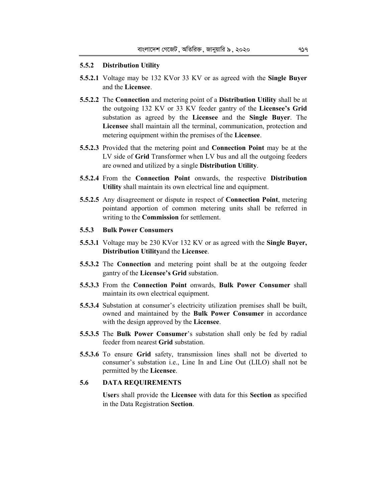#### **5.5.2 Distribution Utility**

- **5.5.2.1** Voltage may be 132 KVor 33 KV or as agreed with the **Single Buyer**  and the **Licensee**.
- **5.5.2.2** The **Connection** and metering point of a **Distribution Utility** shall be at the outgoing 132 KV or 33 KV feeder gantry of the **Licensee's Grid**  substation as agreed by the **Licensee** and the **Single Buyer**. The **Licensee** shall maintain all the terminal, communication, protection and metering equipment within the premises of the **Licensee**.
- **5.5.2.3** Provided that the metering point and **Connection Point** may be at the LV side of **Grid** Transformer when LV bus and all the outgoing feeders are owned and utilized by a single **Distribution Utility**.
- **5.5.2.4** From the **Connection Point** onwards, the respective **Distribution Utility** shall maintain its own electrical line and equipment.
- **5.5.2.5** Any disagreement or dispute in respect of **Connection Point**, metering pointand apportion of common metering units shall be referred in writing to the **Commission** for settlement.

# **5.5.3 Bulk Power Consumers**

- **5.5.3.1** Voltage may be 230 KVor 132 KV or as agreed with the **Single Buyer, Distribution Utility**and the **Licensee**.
- **5.5.3.2** The **Connection** and metering point shall be at the outgoing feeder gantry of the **Licensee's Grid** substation.
- **5.5.3.3** From the **Connection Point** onwards, **Bulk Power Consumer** shall maintain its own electrical equipment.
- **5.5.3.4** Substation at consumer's electricity utilization premises shall be built, owned and maintained by the **Bulk Power Consumer** in accordance with the design approved by the **Licensee**.
- **5.5.3.5** The **Bulk Power Consumer**'s substation shall only be fed by radial feeder from nearest **Grid** substation.
- **5.5.3.6** To ensure **Grid** safety, transmission lines shall not be diverted to consumer's substation i.e., Line In and Line Out (LILO) shall not be permitted by the **Licensee**.

#### **5.6 DATA REQUIREMENTS**

**User**s shall provide the **Licensee** with data for this **Section** as specified in the Data Registration **Section**.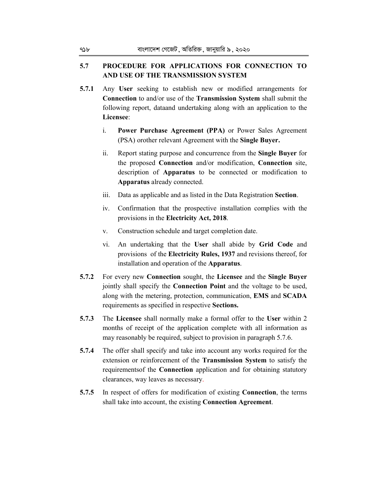# **5.7 PROCEDURE FOR APPLICATIONS FOR CONNECTION TO AND USE OF THE TRANSMISSION SYSTEM**

- **5.7.1** Any **User** seeking to establish new or modified arrangements for **Connection** to and/or use of the **Transmission System** shall submit the following report, dataand undertaking along with an application to the **Licensee**:
	- i. **Power Purchase Agreement (PPA)** or Power Sales Agreement (PSA) orother relevant Agreement with the **Single Buyer.**
	- ii. Report stating purpose and concurrence from the **Single Buyer** for the proposed **Connection** and/or modification, **Connection** site, description of **Apparatus** to be connected or modification to **Apparatus** already connected.
	- iii. Data as applicable and as listed in the Data Registration **Section**.
	- iv. Confirmation that the prospective installation complies with the provisions in the **Electricity Act, 2018**.
	- v. Construction schedule and target completion date.
	- vi. An undertaking that the **User** shall abide by **Grid Code** and provisions of the **Electricity Rules, 1937** and revisions thereof, for installation and operation of the **Apparatus**.
- **5.7.2** For every new **Connection** sought, the **Licensee** and the **Single Buyer**  jointly shall specify the **Connection Point** and the voltage to be used, along with the metering, protection, communication, **EMS** and **SCADA** requirements as specified in respective **Sections.**
- **5.7.3** The **Licensee** shall normally make a formal offer to the **User** within 2 months of receipt of the application complete with all information as may reasonably be required, subject to provision in paragraph 5.7.6.
- **5.7.4** The offer shall specify and take into account any works required for the extension or reinforcement of the **Transmission System** to satisfy the requirementsof the **Connection** application and for obtaining statutory clearances, way leaves as necessary.
- **5.7.5** In respect of offers for modification of existing **Connection**, the terms shall take into account, the existing **Connection Agreement**.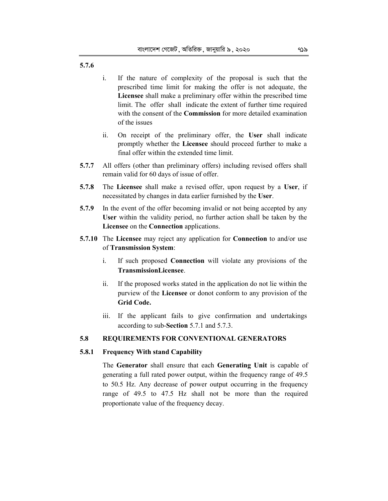**5.7.6**

- i. If the nature of complexity of the proposal is such that the prescribed time limit for making the offer is not adequate, the **Licensee** shall make a preliminary offer within the prescribed time limit. The offer shall indicate the extent of further time required with the consent of the **Commission** for more detailed examination of the issues
- ii. On receipt of the preliminary offer, the **User** shall indicate promptly whether the **Licensee** should proceed further to make a final offer within the extended time limit.
- **5.7.7** All offers (other than preliminary offers) including revised offers shall remain valid for 60 days of issue of offer.
- **5.7.8** The **Licensee** shall make a revised offer, upon request by a **User**, if necessitated by changes in data earlier furnished by the **User**.
- **5.7.9** In the event of the offer becoming invalid or not being accepted by any **User** within the validity period, no further action shall be taken by the **Licensee** on the **Connection** applications.
- **5.7.10** The **Licensee** may reject any application for **Connection** to and/or use of **Transmission System**:
	- i. If such proposed **Connection** will violate any provisions of the **TransmissionLicensee**.
	- ii. If the proposed works stated in the application do not lie within the purview of the **Licensee** or donot conform to any provision of the **Grid Code.**
	- iii. If the applicant fails to give confirmation and undertakings according to sub-**Section** 5.7.1 and 5.7.3.

# **5.8 REQUIREMENTS FOR CONVENTIONAL GENERATORS**

#### **5.8.1 Frequency With stand Capability**

The **Generator** shall ensure that each **Generating Unit** is capable of generating a full rated power output, within the frequency range of 49.5 to 50.5 Hz. Any decrease of power output occurring in the frequency range of 49.5 to 47.5 Hz shall not be more than the required proportionate value of the frequency decay.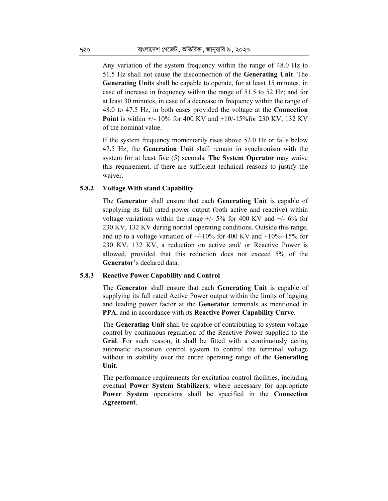Any variation of the system frequency within the range of 48.0 Hz to 51.5 Hz shall not cause the disconnection of the **Generating Unit**. The **Generating Unit**s shall be capable to operate, for at least 15 minutes*,* in case of increase in frequency within the range of 51.5 to 52 Hz; and for at least 30 minutes, in case of a decrease in frequency within the range of 48.0 to 47.5 Hz, in both cases provided the voltage at the **Connection Point** is within +/- 10% for 400 KV and +10/-15%for 230 KV, 132 KV of the nominal value.

If the system frequency momentarily rises above 52.0 Hz or falls below 47.5 Hz, the **Generation Unit** shall remain in synchronism with the system for at least five (5) seconds. **The System Operator** may waive this requirement, if there are sufficient technical reasons to justify the waiver.

#### **5.8.2 Voltage With stand Capability**

The **Generator** shall ensure that each **Generating Unit** is capable of supplying its full rated power output (both active and reactive) within voltage variations within the range  $+/- 5\%$  for 400 KV and  $+/- 6\%$  for 230 KV, 132 KV during normal operating conditions. Outside this range, and up to a voltage variation of  $+/10\%$  for 400 KV and  $+10\%$ -15% for 230 KV, 132 KV, a reduction on active and/ or Reactive Power is allowed, provided that this reduction does not exceed 5% of the **Generator**'s declared data.

### **5.8.3 Reactive Power Capability and Control**

The **Generator** shall ensure that each **Generating Unit** is capable of supplying its full rated Active Power output within the limits of lagging and leading power factor at the **Generator** terminals as mentioned in **PPA**, and in accordance with its **Reactive Power Capability Curve**.

The **Generating Unit** shall be capable of contributing to system voltage control by continuous regulation of the Reactive Power supplied to the **Grid**. For such reason, it shall be fitted with a continuously acting automatic excitation control system to control the terminal voltage without in stability over the entire operating range of the **Generating Unit**.

The performance requirements for excitation control facilities, including eventual **Power System Stabilizers**, where necessary for appropriate **Power System** operations shall be specified in the **Connection Agreement**.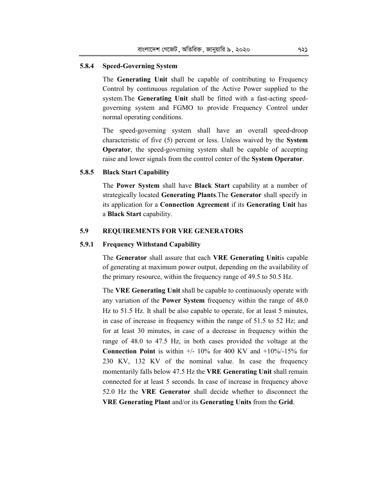# **5.8.4 Speed-Governing System**

The **Generating Unit** shall be capable of contributing to Frequency Control by continuous regulation of the Active Power supplied to the system.The **Generating Unit** shall be fitted with a fast-acting speedgoverning system and FGMO to provide Frequency Control under normal operating conditions.

The speed-governing system shall have an overall speed-droop characteristic of five (5) percent or less. Unless waived by the **System Operator**, the speed-governing system shall be capable of accepting raise and lower signals from the control center of the **System Operator**.

#### **5.8.5 Black Start Capability**

The **Power System** shall have **Black Start** capability at a number of strategically located **Generating Plants**.The **Generator** shall specify in its application for a **Connection Agreement** if its **Generating Unit** has a **Black Start** capability.

# **5.9 REQUIREMENTS FOR VRE GENERATORS**

#### **5.9.1 Frequency Withstand Capability**

The **Generator** shall assure that each **VRE Generating Unit**is capable of generating at maximum power output, depending on the availability of the primary resource, within the frequency range of 49.5 to 50.5 Hz.

The **VRE Generating Unit** shall be capable to continuously operate with any variation of the **Power System** frequency within the range of 48.0 Hz to 51.5 Hz. It shall be also capable to operate, for at least 5 minutes, in case of increase in frequency within the range of 51.5 to 52 Hz; and for at least 30 minutes, in case of a decrease in frequency within the range of 48.0 to 47.5 Hz, in both cases provided the voltage at the **Connection Point** is within +/- 10% for 400 KV and +10%/-15% for 230 KV, 132 KV of the nominal value. In case the frequency momentarily falls below 47.5 Hz the **VRE Generating Unit** shall remain connected for at least 5 seconds. In case of increase in frequency above 52.0 Hz the **VRE Generator** shall decide whether to disconnect the **VRE Generating Plant** and/or its **Generating Units** from the **Grid**.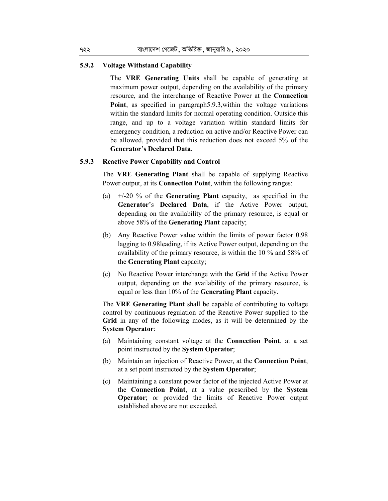## **5.9.2 Voltage Withstand Capability**

The **VRE Generating Units** shall be capable of generating at maximum power output, depending on the availability of the primary resource, and the interchange of Reactive Power at the **Connection Point**, as specified in paragraph5.9.3,within the voltage variations within the standard limits for normal operating condition. Outside this range, and up to a voltage variation within standard limits for emergency condition, a reduction on active and/or Reactive Power can be allowed, provided that this reduction does not exceed 5% of the **Generator's Declared Data**.

#### **5.9.3 Reactive Power Capability and Control**

The **VRE Generating Plant** shall be capable of supplying Reactive Power output, at its **Connection Point**, within the following ranges:

- (a) +/-20 % of the **Generating Plant** capacity, as specified in the **Generator**'s **Declared Data**, if the Active Power output, depending on the availability of the primary resource, is equal or above 58% of the **Generating Plant** capacity;
- (b) Any Reactive Power value within the limits of power factor 0.98 lagging to 0.98leading, if its Active Power output, depending on the availability of the primary resource, is within the 10 % and 58% of the **Generating Plant** capacity;
- (c) No Reactive Power interchange with the **Grid** if the Active Power output, depending on the availability of the primary resource, is equal or less than 10% of the **Generating Plant** capacity.

The **VRE Generating Plant** shall be capable of contributing to voltage control by continuous regulation of the Reactive Power supplied to the Grid in any of the following modes, as it will be determined by the **System Operator**:

- (a) Maintaining constant voltage at the **Connection Point**, at a set point instructed by the **System Operator**;
- (b) Maintain an injection of Reactive Power, at the **Connection Point**, at a set point instructed by the **System Operator**;
- (c) Maintaining a constant power factor of the injected Active Power at the **Connection Point**, at a value prescribed by the **System Operator**; or provided the limits of Reactive Power output established above are not exceeded.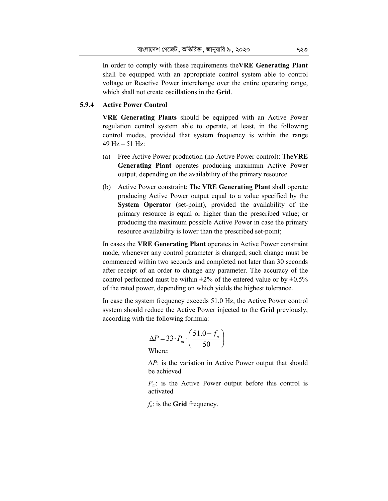In order to comply with these requirements the**VRE Generating Plant** shall be equipped with an appropriate control system able to control voltage or Reactive Power interchange over the entire operating range, which shall not create oscillations in the **Grid**.

# **5.9.4 Active Power Control**

**VRE Generating Plants** should be equipped with an Active Power regulation control system able to operate, at least, in the following control modes, provided that system frequency is within the range 49  $Hz - 51 Hz$ :

- (a) Free Active Power production (no Active Power control): The**VRE Generating Plant** operates producing maximum Active Power output, depending on the availability of the primary resource.
- (b) Active Power constraint: The **VRE Generating Plant** shall operate producing Active Power output equal to a value specified by the **System Operator** (set-point), provided the availability of the primary resource is equal or higher than the prescribed value; or producing the maximum possible Active Power in case the primary resource availability is lower than the prescribed set-point;

In cases the **VRE Generating Plant** operates in Active Power constraint mode, whenever any control parameter is changed, such change must be commenced within two seconds and completed not later than 30 seconds after receipt of an order to change any parameter. The accuracy of the control performed must be within  $\pm 2\%$  of the entered value or by  $\pm 0.5\%$ of the rated power, depending on which yields the highest tolerance.

In case the system frequency exceeds 51.0 Hz, the Active Power control system should reduce the Active Power injected to the **Grid** previously, according with the following formula:

$$
\Delta P = 33 \cdot P_m \cdot \left(\frac{51.0 - f_n}{50}\right)
$$
  
Where:

Δ*P*: is the variation in Active Power output that should be achieved

*P<sub>m</sub>*: is the Active Power output before this control is activated

*fn*: is the **Grid** frequency.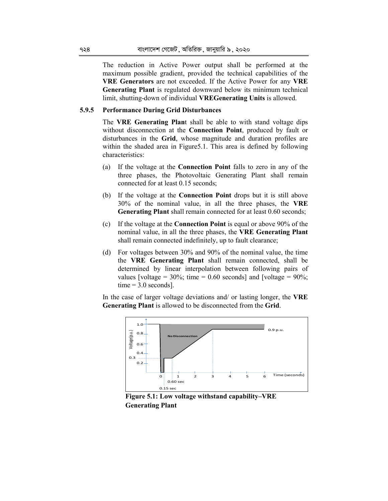The reduction in Active Power output shall be performed at the maximum possible gradient, provided the technical capabilities of the **VRE Generators** are not exceeded. If the Active Power for any **VRE Generating Plant** is regulated downward below its minimum technical limit, shutting-down of individual **VREGenerating Units** is allowed.

#### **5.9.5 Performance During Grid Disturbances**

The **VRE Generating Plan**t shall be able to with stand voltage dips without disconnection at the **Connection Point**, produced by fault or disturbances in the **Grid**, whose magnitude and duration profiles are within the shaded area in Figure 5.1. This area is defined by following characteristics:

- (a) If the voltage at the **Connection Point** falls to zero in any of the three phases, the Photovoltaic Generating Plant shall remain connected for at least 0.15 seconds;
- (b) If the voltage at the **Connection Point** drops but it is still above 30% of the nominal value, in all the three phases, the **VRE Generating Plant** shall remain connected for at least 0.60 seconds;
- (c) If the voltage at the **Connection Point** is equal or above 90% of the nominal value, in all the three phases, the **VRE Generating Plant**  shall remain connected indefinitely, up to fault clearance;
- (d) For voltages between 30% and 90% of the nominal value, the time the **VRE Generating Plant** shall remain connected, shall be determined by linear interpolation between following pairs of values [voltage =  $30\%$ ; time = 0.60 seconds] and [voltage =  $90\%$ ;  $time = 3.0$  seconds].

In the case of larger voltage deviations and/ or lasting longer, the **VRE Generating Plant** is allowed to be disconnected from the **Grid**.



**Figure 5.1: Low voltage withstand capability–VRE Generating Plant**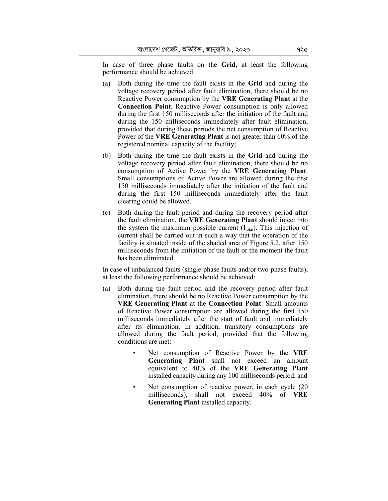In case of three phase faults on the **Grid**, at least the following performance should be achieved:

- (a) Both during the time the fault exists in the **Grid** and during the voltage recovery period after fault elimination, there should be no Reactive Power consumption by the **VRE Generating Plant** at the **Connection Point**. Reactive Power consumption is only allowed during the first 150 milliseconds after the initiation of the fault and during the 150 milliseconds immediately after fault elimination, provided that during these periods the net consumption of Reactive Power of the **VRE Generating Plant** is not greater than 60% of the registered nominal capacity of the facility;
- (b) Both during the time the fault exists in the **Grid** and during the voltage recovery period after fault elimination, there should be no consumption of Active Power by the **VRE Generating Plant**. Small consumptions of Active Power are allowed during the first 150 milliseconds immediately after the initiation of the fault and during the first 150 milliseconds immediately after the fault clearing could be allowed.
- (c) Both during the fault period and during the recovery period after the fault elimination, the **VRE Generating Plant** should inject into the system the maximum possible current  $(I_{total})$ . This injection of current shall be carried out in such a way that the operation of the facility is situated inside of the shaded area of Figure 5.2, after 150 milliseconds from the initiation of the fault or the moment the fault has been eliminated.

In case of unbalanced faults (single-phase faults and/or two-phase faults), at least the following performance should be achieved:

- (a) Both during the fault period and the recovery period after fault elimination, there should be no Reactive Power consumption by the **VRE Generating Plant** at the **Connection Point**. Small amounts of Reactive Power consumption are allowed during the first 150 milliseconds immediately after the start of fault and immediately after its elimination. In addition, transitory consumptions are allowed during the fault period, provided that the following conditions are met:
	- Net consumption of Reactive Power by the **VRE Generating Plant** shall not exceed an amount equivalent to 40% of the **VRE Generating Plant** installed capacity during any 100 milliseconds period; and
	- Net consumption of reactive power, in each cycle (20) milliseconds), shall not exceed 40% of **VRE Generating Plant** installed capacity.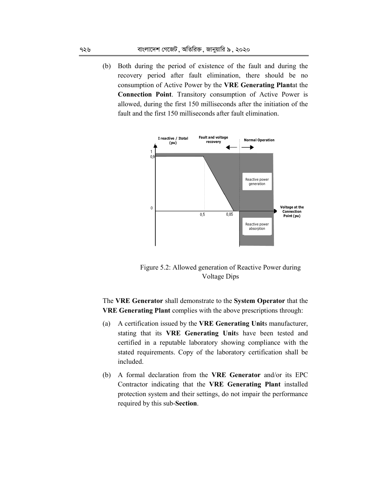(b) Both during the period of existence of the fault and during the recovery period after fault elimination, there should be no consumption of Active Power by the **VRE Generating Plant**at the **Connection Point**. Transitory consumption of Active Power is allowed, during the first 150 milliseconds after the initiation of the fault and the first 150 milliseconds after fault elimination.



Figure 5.2: Allowed generation of Reactive Power during Voltage Dips

The **VRE Generator** shall demonstrate to the **System Operator** that the **VRE Generating Plant** complies with the above prescriptions through:

- (a) A certification issued by the **VRE Generating Unit**s manufacturer, stating that its **VRE Generating Unit**s have been tested and certified in a reputable laboratory showing compliance with the stated requirements. Copy of the laboratory certification shall be included.
- (b) A formal declaration from the **VRE Generator** and/or its EPC Contractor indicating that the **VRE Generating Plant** installed protection system and their settings, do not impair the performance required by this sub-**Section**.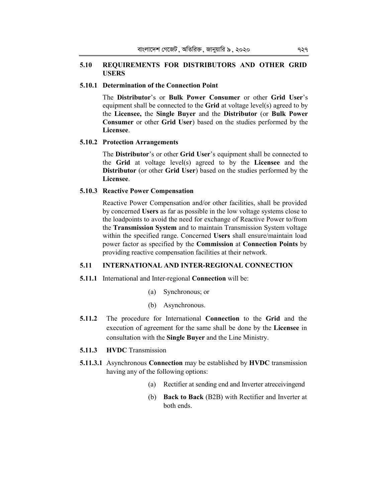# **5.10 REQUIREMENTS FOR DISTRIBUTORS AND OTHER GRID USERS**

### **5.10.1 Determination of the Connection Point**

The **Distributor**'s or **Bulk Power Consumer** or other **Grid User**'s equipment shall be connected to the **Grid** at voltage level(s) agreed to by the **Licensee,** the **Single Buyer** and the **Distributor** (or **Bulk Power Consumer** or other **Grid User**) based on the studies performed by the **Licensee**.

### **5.10.2 Protection Arrangements**

The **Distributor**'s or other **Grid User**'s equipment shall be connected to the **Grid** at voltage level(s) agreed to by the **Licensee** and the **Distributor** (or other **Grid User**) based on the studies performed by the **Licensee**.

## **5.10.3 Reactive Power Compensation**

Reactive Power Compensation and/or other facilities, shall be provided by concerned **Users** as far as possible in the low voltage systems close to the loadpoints to avoid the need for exchange of Reactive Power to/from the **Transmission System** and to maintain Transmission System voltage within the specified range. Concerned **Users** shall ensure/maintain load power factor as specified by the **Commission** at **Connection Points** by providing reactive compensation facilities at their network.

## **5.11 INTERNATIONAL AND INTER-REGIONAL CONNECTION**

### **5.11.1** International and Inter-regional **Connection** will be:

- (a) Synchronous; or
- (b) Asynchronous.
- **5.11.2** The procedure for International **Connection** to the **Grid** and the execution of agreement for the same shall be done by the **Licensee** in consultation with the **Single Buyer** and the Line Ministry.
- **5.11.3 HVDC** Transmission
- **5.11.3.1** Asynchronous **Connection** may be established by **HVDC** transmission having any of the following options:
	- (a) Rectifier at sending end and Inverter atreceivingend
	- (b) **Back to Back** (B2B) with Rectifier and Inverter at both ends.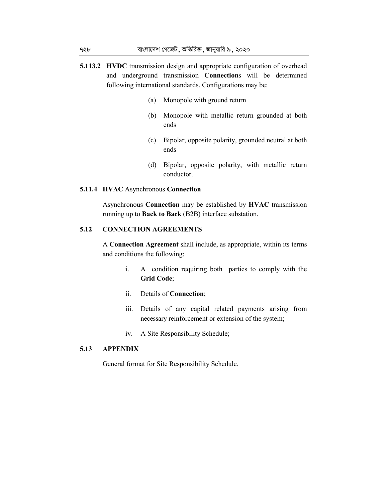- **5.113.2 HVDC** transmission design and appropriate configuration of overhead and underground transmission **Connection**s will be determined following international standards. Configurations may be:
	- (a) Monopole with ground return
	- (b) Monopole with metallic return grounded at both ends
	- (c) Bipolar, opposite polarity, grounded neutral at both ends
	- (d) Bipolar, opposite polarity, with metallic return conductor.

### **5.11.4 HVAC** Asynchronous **Connection**

Asynchronous **Connection** may be established by **HVAC** transmission running up to **Back to Back** (B2B) interface substation.

## **5.12 CONNECTION AGREEMENTS**

A **Connection Agreement** shall include, as appropriate, within its terms and conditions the following:

- i. A condition requiring both parties to comply with the **Grid Code**;
- ii. Details of **Connection**;
- iii. Details of any capital related payments arising from necessary reinforcement or extension of the system;
- iv. A Site Responsibility Schedule;

# **5.13 APPENDIX**

General format for Site Responsibility Schedule.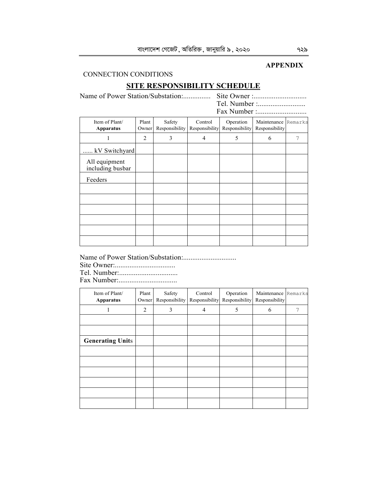# **APPENDIX**

# CONNECTION CONDITIONS

# **SITE RESPONSIBILITY SCHEDULE**

Name of Power Station/Substation:............... Site Owner :............................. Tel. Number :............................. Fax Number :...........................

| Item of Plant/<br><b>Apparatus</b> | Plant<br>Owner | Safety<br>Responsibility | Control<br>Responsibility | Operation<br>Responsibility | Maintenance Remarks<br>Responsibility |   |
|------------------------------------|----------------|--------------------------|---------------------------|-----------------------------|---------------------------------------|---|
| 1                                  | 2              | 3                        | 4                         | 5                           | 6                                     | 7 |
| kV Switchyard                      |                |                          |                           |                             |                                       |   |
| All equipment<br>including busbar  |                |                          |                           |                             |                                       |   |
| Feeders                            |                |                          |                           |                             |                                       |   |
|                                    |                |                          |                           |                             |                                       |   |
|                                    |                |                          |                           |                             |                                       |   |
|                                    |                |                          |                           |                             |                                       |   |
|                                    |                |                          |                           |                             |                                       |   |
|                                    |                |                          |                           |                             |                                       |   |
|                                    |                |                          |                           |                             |                                       |   |

Name of Power Station/Substation:.............................

Site Owner:.................................

Tel. Number:................................

Fax Number:................................

| Item of Plant/<br><b>Apparatus</b> | Plant<br>Owner | Safety<br>Responsibility | Control<br>Responsibility | Operation<br>Responsibility | Maintenance Remarks<br>Responsibility |   |
|------------------------------------|----------------|--------------------------|---------------------------|-----------------------------|---------------------------------------|---|
|                                    | $\overline{c}$ | 3                        | 4                         | 5                           | 6                                     | 7 |
|                                    |                |                          |                           |                             |                                       |   |
|                                    |                |                          |                           |                             |                                       |   |
| <b>Generating Units</b>            |                |                          |                           |                             |                                       |   |
|                                    |                |                          |                           |                             |                                       |   |
|                                    |                |                          |                           |                             |                                       |   |
|                                    |                |                          |                           |                             |                                       |   |
|                                    |                |                          |                           |                             |                                       |   |
|                                    |                |                          |                           |                             |                                       |   |
|                                    |                |                          |                           |                             |                                       |   |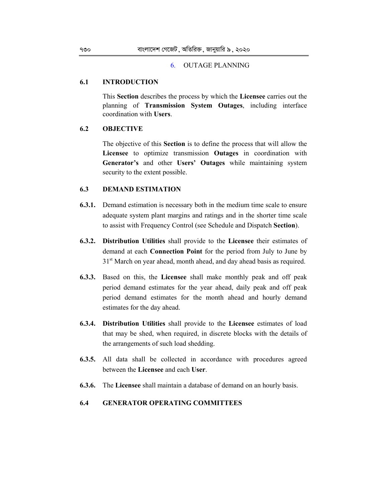#### 6. OUTAGE PLANNING

### **6.1 INTRODUCTION**

This **Section** describes the process by which the **Licensee** carries out the planning of **Transmission System Outages**, including interface coordination with **Users**.

## **6.2 OBJECTIVE**

The objective of this **Section** is to define the process that will allow the **Licensee** to optimize transmission **Outages** in coordination with **Generator's** and other **Users' Outages** while maintaining system security to the extent possible.

# **6.3 DEMAND ESTIMATION**

- **6.3.1.** Demand estimation is necessary both in the medium time scale to ensure adequate system plant margins and ratings and in the shorter time scale to assist with Frequency Control (see Schedule and Dispatch **Section**).
- **6.3.2. Distribution Utilities** shall provide to the **Licensee** their estimates of demand at each **Connection Point** for the period from July to June by 31<sup>st</sup> March on year ahead, month ahead, and day ahead basis as required.
- **6.3.3.** Based on this, the **Licensee** shall make monthly peak and off peak period demand estimates for the year ahead, daily peak and off peak period demand estimates for the month ahead and hourly demand estimates for the day ahead.
- **6.3.4. Distribution Utilities** shall provide to the **Licensee** estimates of load that may be shed, when required, in discrete blocks with the details of the arrangements of such load shedding.
- **6.3.5.** All data shall be collected in accordance with procedures agreed between the **Licensee** and each **User**.
- **6.3.6.** The **Licensee** shall maintain a database of demand on an hourly basis.

### **6.4 GENERATOR OPERATING COMMITTEES**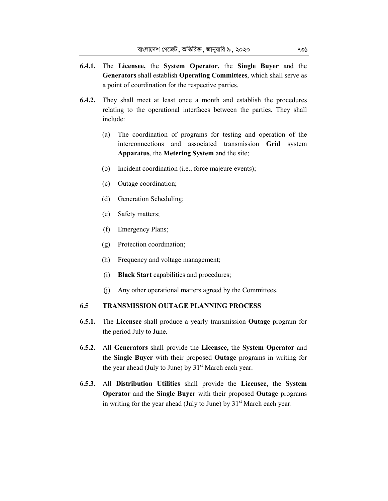- **6.4.1.** The **Licensee,** the **System Operator,** the **Single Buyer** and the **Generators** shall establish **Operating Committees**, which shall serve as a point of coordination for the respective parties.
- **6.4.2.** They shall meet at least once a month and establish the procedures relating to the operational interfaces between the parties. They shall include:
	- (a) The coordination of programs for testing and operation of the interconnections and associated transmission **Grid** system **Apparatus**, the **Metering System** and the site;
	- (b) Incident coordination (i.e., force majeure events);
	- (c) Outage coordination;
	- (d) Generation Scheduling;
	- (e) Safety matters;
	- (f) Emergency Plans;
	- (g) Protection coordination;
	- (h) Frequency and voltage management;
	- (i) **Black Start** capabilities and procedures;
	- (j) Any other operational matters agreed by the Committees.

# **6.5 TRANSMISSION OUTAGE PLANNING PROCESS**

- **6.5.1.** The **Licensee** shall produce a yearly transmission **Outage** program for the period July to June.
- **6.5.2.** All **Generators** shall provide the **Licensee,** the **System Operator** and the **Single Buyer** with their proposed **Outage** programs in writing for the year ahead (July to June) by  $31<sup>st</sup>$  March each year.
- **6.5.3.** All **Distribution Utilities** shall provide the **Licensee,** the **System Operator** and the **Single Buyer** with their proposed **Outage** programs in writing for the year ahead (July to June) by  $31<sup>st</sup>$  March each year.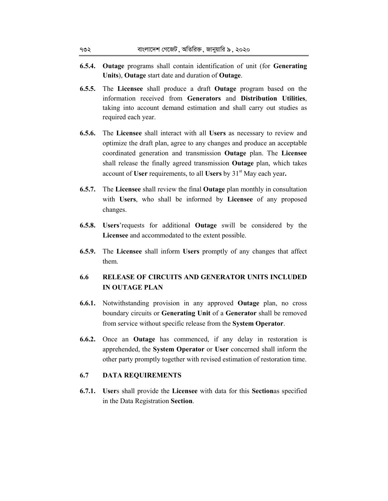- **6.5.4. Outage** programs shall contain identification of unit (for **Generating Units**), **Outage** start date and duration of **Outage**.
- **6.5.5.** The **Licensee** shall produce a draft **Outage** program based on the information received from **Generators** and **Distribution Utilities**, taking into account demand estimation and shall carry out studies as required each year.
- **6.5.6.** The **Licensee** shall interact with all **Users** as necessary to review and optimize the draft plan, agree to any changes and produce an acceptable coordinated generation and transmission **Outage** plan. The **Licensee**  shall release the finally agreed transmission **Outage** plan, which takes account of **User** requirements, to all **Users** by 31st May each year**.**
- **6.5.7.** The **Licensee** shall review the final **Outage** plan monthly in consultation with **Users**, who shall be informed by **Licensee** of any proposed changes.
- **6.5.8. Users**'requests for additional **Outage** swill be considered by the **Licensee** and accommodated to the extent possible.
- **6.5.9.** The **Licensee** shall inform **Users** promptly of any changes that affect them.
- **6.6 RELEASE OF CIRCUITS AND GENERATOR UNITS INCLUDED IN OUTAGE PLAN**
- **6.6.1.** Notwithstanding provision in any approved **Outage** plan, no cross boundary circuits or **Generating Unit** of a **Generator** shall be removed from service without specific release from the **System Operator**.
- **6.6.2.** Once an **Outage** has commenced, if any delay in restoration is apprehended, the **System Operator** or **User** concerned shall inform the other party promptly together with revised estimation of restoration time.

# **6.7 DATA REQUIREMENTS**

**6.7.1. User**s shall provide the **Licensee** with data for this **Section**as specified in the Data Registration **Section**.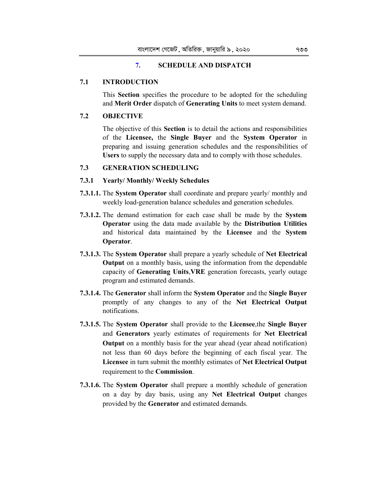# **7. SCHEDULE AND DISPATCH**

## **7.1 INTRODUCTION**

This **Section** specifies the procedure to be adopted for the scheduling and **Merit Order** dispatch of **Generating Units** to meet system demand.

# **7.2 OBJECTIVE**

The objective of this **Section** is to detail the actions and responsibilities of the **Licensee,** the **Single Buyer** and the **System Operator** in preparing and issuing generation schedules and the responsibilities of **Users** to supply the necessary data and to comply with those schedules.

# **7.3 GENERATION SCHEDULING**

## **7.3.1 Yearly/ Monthly/ Weekly Schedules**

- **7.3.1.1.** The **System Operator** shall coordinate and prepare yearly/ monthly and weekly load-generation balance schedules and generation schedules.
- **7.3.1.2.** The demand estimation for each case shall be made by the **System Operator** using the data made available by the **Distribution Utilities**  and historical data maintained by the **Licensee** and the **System Operator**.
- **7.3.1.3.** The **System Operator** shall prepare a yearly schedule of **Net Electrical Output** on a monthly basis, using the information from the dependable capacity of **Generating Units**,**VRE** generation forecasts, yearly outage program and estimated demands.
- **7.3.1.4.** The **Generator** shall inform the **System Operator** and the **Single Buyer**  promptly of any changes to any of the **Net Electrical Output**  notifications.
- **7.3.1.5.** The **System Operator** shall provide to the **Licensee**,the **Single Buyer** and **Generators** yearly estimates of requirements for **Net Electrical Output** on a monthly basis for the year ahead (year ahead notification) not less than 60 days before the beginning of each fiscal year. The **Licensee** in turn submit the monthly estimates of **Net Electrical Output**  requirement to the **Commission**.
- **7.3.1.6.** The **System Operator** shall prepare a monthly schedule of generation on a day by day basis, using any **Net Electrical Output** changes provided by the **Generator** and estimated demands.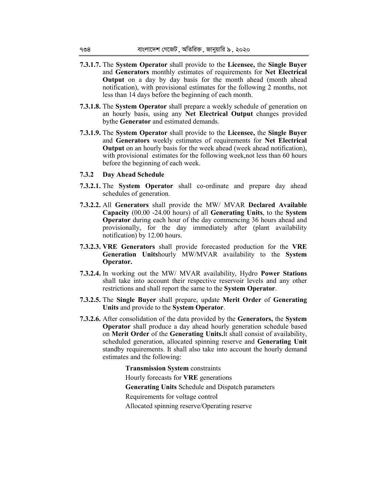- **7.3.1.7.** The **System Operator** shall provide to the **Licensee,** the **Single Buyer**  and **Generators** monthly estimates of requirements for **Net Electrical Output** on a day by day basis for the month ahead (month ahead notification), with provisional estimates for the following 2 months, not less than 14 days before the beginning of each month.
- **7.3.1.8.** The **System Operator** shall prepare a weekly schedule of generation on an hourly basis, using any **Net Electrical Output** changes provided bythe **Generator** and estimated demands.
- **7.3.1.9.** The **System Operator** shall provide to the **Licensee,** the **Single Buyer**  and **Generators** weekly estimates of requirements for **Net Electrical Output** on an hourly basis for the week ahead (week ahead notification), with provisional estimates for the following week, not less than 60 hours before the beginning of each week.
- **7.3.2 Day Ahead Schedule**
- **7.3.2.1.** The **System Operator** shall co-ordinate and prepare day ahead schedules of generation.
- **7.3.2.2.** All **Generators** shall provide the MW/ MVAR **Declared Available Capacity** (00.00 -24.00 hours) of all **Generating Units**, to the **System Operator** during each hour of the day commencing 36 hours ahead and provisionally, for the day immediately after (plant availability notification) by 12.00 hours.
- **7.3.2.3. VRE Generators** shall provide forecasted production for the **VRE Generation Units**hourly MW/MVAR availability to the **System Operator.**
- **7.3.2.4.** In working out the MW/ MVAR availability, Hydro **Power Stations**  shall take into account their respective reservoir levels and any other restrictions and shall report the same to the **System Operator**.
- **7.3.2.5.** The **Single Buyer** shall prepare, update **Merit Order** of **Generating Units** and provide to the **System Operator**.
- **7.3.2.6.** After consolidation of the data provided by the **Generators,** the **System Operator** shall produce a day ahead hourly generation schedule based on **Merit Order** of the **Generating Units.**It shall consist of availability, scheduled generation, allocated spinning reserve and **Generating Unit**  standby requirements. It shall also take into account the hourly demand estimates and the following:

**Transmission System** constraints Hourly forecasts for **VRE** generations **Generating Units** Schedule and Dispatch parameters Requirements for voltage control Allocated spinning reserve/Operating reserve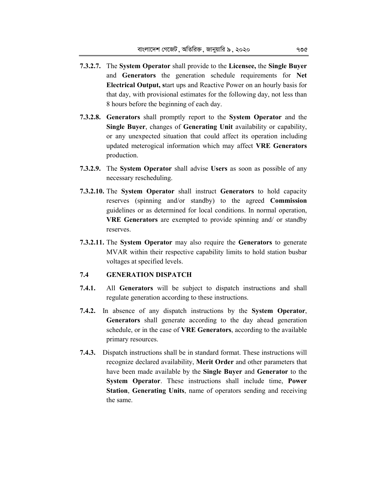- **7.3.2.7.** The **System Operator** shall provide to the **Licensee,** the **Single Buyer** and **Generators** the generation schedule requirements for **Net Electrical Output, s**tart ups and Reactive Power on an hourly basis for that day, with provisional estimates for the following day, not less than 8 hours before the beginning of each day.
- **7.3.2.8. Generators** shall promptly report to the **System Operator** and the **Single Buyer**, changes of **Generating Unit** availability or capability, or any unexpected situation that could affect its operation including updated meterogical information which may affect **VRE Generators** production.
- **7.3.2.9.** The **System Operator** shall advise **Users** as soon as possible of any necessary rescheduling.
- **7.3.2.10.** The **System Operator** shall instruct **Generators** to hold capacity reserves (spinning and/or standby) to the agreed **Commission**  guidelines or as determined for local conditions. In normal operation, **VRE Generators** are exempted to provide spinning and/ or standby reserves.
- **7.3.2.11.** The **System Operator** may also require the **Generators** to generate MVAR within their respective capability limits to hold station busbar voltages at specified levels.

# **7.4 GENERATION DISPATCH**

- **7.4.1.** All **Generators** will be subject to dispatch instructions and shall regulate generation according to these instructions.
- **7.4.2.** In absence of any dispatch instructions by the **System Operator**, **Generators** shall generate according to the day ahead generation schedule, or in the case of **VRE Generators**, according to the available primary resources.
- **7.4.3.** Dispatch instructions shall be in standard format. These instructions will recognize declared availability, **Merit Order** and other parameters that have been made available by the **Single Buyer** and **Generator** to the **System Operator**. These instructions shall include time, **Power Station**, **Generating Units**, name of operators sending and receiving the same.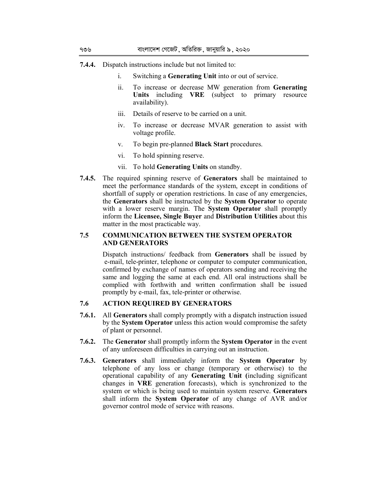- **7.4.4.** Dispatch instructions include but not limited to:
	- i. Switching a **Generating Unit** into or out of service.
	- ii. To increase or decrease MW generation from **Generating Units** including **VRE** (subject to primary resource availability).
	- iii. Details of reserve to be carried on a unit.
	- iv. To increase or decrease MVAR generation to assist with voltage profile.
	- v. To begin pre-planned **Black Start** procedures.
	- vi. To hold spinning reserve.
	- vii. To hold **Generating Units** on standby.
- **7.4.5.** The required spinning reserve of **Generators** shall be maintained to meet the performance standards of the system, except in conditions of shortfall of supply or operation restrictions. In case of any emergencies, the **Generators** shall be instructed by the **System Operator** to operate with a lower reserve margin. The **System Operator** shall promptly inform the **Licensee, Single Buyer** and **Distribution Utilities** about this matter in the most practicable way.

### **7.5 COMMUNICATION BETWEEN THE SYSTEM OPERATOR AND GENERATORS**

Dispatch instructions/ feedback from **Generators** shall be issued by e-mail, tele-printer, telephone or computer to computer communication, confirmed by exchange of names of operators sending and receiving the same and logging the same at each end. All oral instructions shall be complied with forthwith and written confirmation shall be issued promptly by e-mail, fax, tele-printer or otherwise.

## **7.6 ACTION REQUIRED BY GENERATORS**

- **7.6.1.** All **Generators** shall comply promptly with a dispatch instruction issued by the **System Operator** unless this action would compromise the safety of plant or personnel.
- **7.6.2.** The **Generator** shall promptly inform the **System Operator** in the event of any unforeseen difficulties in carrying out an instruction.
- **7.6.3. Generators** shall immediately inform the **System Operator** by telephone of any loss or change (temporary or otherwise) to the operational capability of any **Generating Unit (**including significant changes in **VRE** generation forecasts), which is synchronized to the system or which is being used to maintain system reserve. **Generators**  shall inform the **System Operator** of any change of AVR and/or governor control mode of service with reasons.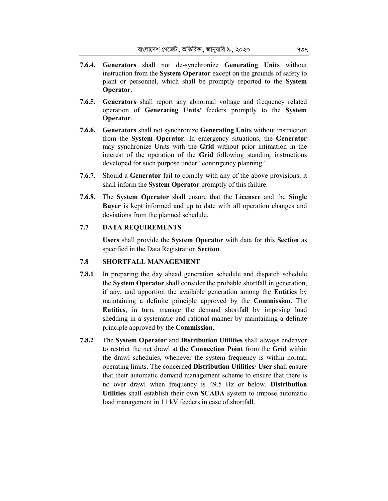- **7.6.4. Generators** shall not de-synchronize **Generating Units** without instruction from the **System Operator** except on the grounds of safety to plant or personnel, which shall be promptly reported to the **System Operator**.
- **7.6.5. Generators** shall report any abnormal voltage and frequency related operation of **Generating Units/** feeders promptly to the **System Operator**.
- **7.6.6. Generators** shall not synchronize **Generating Units** without instruction from the **System Operator**. In emergency situations, the **Generator**  may synchronize Units with the **Grid** without prior intimation in the interest of the operation of the **Grid** following standing instructions developed for such purpose under "contingency planning".
- **7.6.7.** Should a **Generator** fail to comply with any of the above provisions, it shall inform the **System Operator** promptly of this failure.
- **7.6.8.** The **System Operator** shall ensure that the **Licensee** and the **Single Buyer** is kept informed and up to date with all operation changes and deviations from the planned schedule.

# **7.7 DATA REQUIREMENTS**

**Users** shall provide the **System Operator** with data for this **Section** as specified in the Data Registration **Section**.

# **7.8 SHORTFALL MANAGEMENT**

- **7.8.1** In preparing the day ahead generation schedule and dispatch schedule the **System Operator** shall consider the probable shortfall in generation, if any, and apportion the available generation among the **Entities** by maintaining a definite principle approved by the **Commission**. The **Entities**, in turn, manage the demand shortfall by imposing load shedding in a systematic and rational manner by maintaining a definite principle approved by the **Commission**.
- **7.8.2** The **System Operator** and **Distribution Utilities** shall always endeavor to restrict the net drawl at the **Connection Point** from the **Grid** within the drawl schedules, whenever the system frequency is within normal operating limits. The concerned **Distribution Utilities**/ **User** shall ensure that their automatic demand management scheme to ensure that there is no over drawl when frequency is 49.5 Hz or below. **Distribution Utilities** shall establish their own **SCADA** system to impose automatic load management in 11 kV feeders in case of shortfall.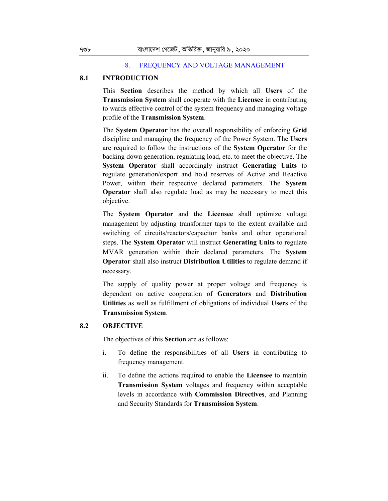#### 8. FREQUENCY AND VOLTAGE MANAGEMENT

## **8.1 INTRODUCTION**

This **Section** describes the method by which all **Users** of the **Transmission System** shall cooperate with the **Licensee** in contributing to wards effective control of the system frequency and managing voltage profile of the **Transmission System**.

The **System Operator** has the overall responsibility of enforcing **Grid** discipline and managing the frequency of the Power System. The **Users**  are required to follow the instructions of the **System Operator** for the backing down generation, regulating load, etc. to meet the objective. The **System Operator** shall accordingly instruct **Generating Units** to regulate generation/export and hold reserves of Active and Reactive Power, within their respective declared parameters. The **System Operator** shall also regulate load as may be necessary to meet this objective.

The **System Operator** and the **Licensee** shall optimize voltage management by adjusting transformer taps to the extent available and switching of circuits/reactors/capacitor banks and other operational steps. The **System Operator** will instruct **Generating Units** to regulate MVAR generation within their declared parameters. The **System Operator** shall also instruct **Distribution Utilities** to regulate demand if necessary.

The supply of quality power at proper voltage and frequency is dependent on active cooperation of **Generators** and **Distribution Utilities** as well as fulfillment of obligations of individual **Users** of the **Transmission System**.

## **8.2 OBJECTIVE**

The objectives of this **Section** are as follows:

- i. To define the responsibilities of all **Users** in contributing to frequency management.
- ii. To define the actions required to enable the **Licensee** to maintain **Transmission System** voltages and frequency within acceptable levels in accordance with **Commission Directives**, and Planning and Security Standards for **Transmission System**.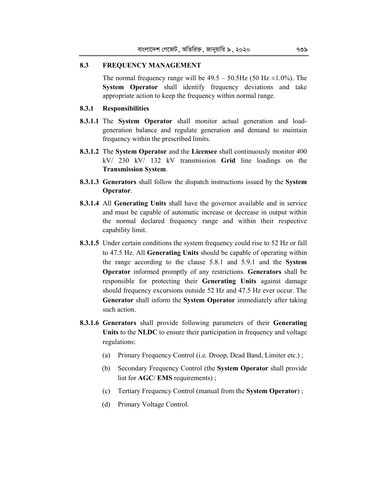### **8.3 FREQUENCY MANAGEMENT**

The normal frequency range will be  $49.5 - 50.5$ Hz  $(50$  Hz  $\pm 1.0\%)$ . The **System Operator** shall identify frequency deviations and take appropriate action to keep the frequency within normal range.

### **8.3.1 Responsibilities**

- **8.3.1.1** The **System Operator** shall monitor actual generation and loadgeneration balance and regulate generation and demand to maintain frequency within the prescribed limits.
- **8.3.1.2** The **System Operator** and the **Licensee** shall continuously monitor 400 kV/ 230 kV/ 132 kV transmission **Grid** line loadings on the **Transmission System**.
- **8.3.1.3 Generators** shall follow the dispatch instructions issued by the **System Operator**.
- **8.3.1.4** All **Generating Units** shall have the governor available and in service and must be capable of automatic increase or decrease in output within the normal declared frequency range and within their respective capability limit.
- **8.3.1.5** Under certain conditions the system frequency could rise to 52 Hz or fall to 47.5 Hz. All **Generating Units** should be capable of operating within the range according to the clause 5.8.1 and 5.9.1 and the **System Operator** informed promptly of any restrictions. **Generators** shall be responsible for protecting their **Generating Units** against damage should frequency excursions outside 52 Hz and 47.5 Hz ever occur. The **Generator** shall inform the **System Operator** immediately after taking such action.
- **8.3.1.6 Generators** shall provide following parameters of their **Generating Units** to the **NLDC** to ensure their participation in frequency and voltage regulations:
	- (a) Primary Frequency Control (i.e. Droop, Dead Band, Limiter etc.) ;
	- (b) Secondary Frequency Control (the **System Operator** shall provide list for **AGC**/ **EMS** requirements) ;
	- (c) Tertiary Frequency Control (manual from the **System Operator**) ;
	- (d) Primary Voltage Control.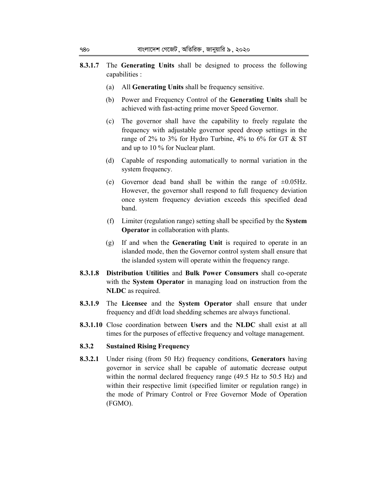- **8.3.1.7** The **Generating Units** shall be designed to process the following capabilities :
	- (a) All **Generating Units** shall be frequency sensitive.
	- (b) Power and Frequency Control of the **Generating Units** shall be achieved with fast-acting prime mover Speed Governor.
	- (c) The governor shall have the capability to freely regulate the frequency with adjustable governor speed droop settings in the range of 2% to 3% for Hydro Turbine, 4% to 6% for GT & ST and up to 10 % for Nuclear plant.
	- (d) Capable of responding automatically to normal variation in the system frequency.
	- (e) Governor dead band shall be within the range of  $\pm 0.05$ Hz. However, the governor shall respond to full frequency deviation once system frequency deviation exceeds this specified dead band.
	- (f) Limiter (regulation range) setting shall be specified by the **System Operator** in collaboration with plants.
	- (g) If and when the **Generating Unit** is required to operate in an islanded mode, then the Governor control system shall ensure that the islanded system will operate within the frequency range.
- **8.3.1.8 Distribution Utilities** and **Bulk Power Consumers** shall co-operate with the **System Operator** in managing load on instruction from the **NLDC** as required.
- **8.3.1.9** The **Licensee** and the **System Operator** shall ensure that under frequency and df/dt load shedding schemes are always functional.
- **8.3.1.10** Close coordination between **Users** and the **NLDC** shall exist at all times for the purposes of effective frequency and voltage management.

## **8.3.2 Sustained Rising Frequency**

**8.3.2.1** Under rising (from 50 Hz) frequency conditions, **Generators** having governor in service shall be capable of automatic decrease output within the normal declared frequency range (49.5 Hz to 50.5 Hz) and within their respective limit (specified limiter or regulation range) in the mode of Primary Control or Free Governor Mode of Operation (FGMO).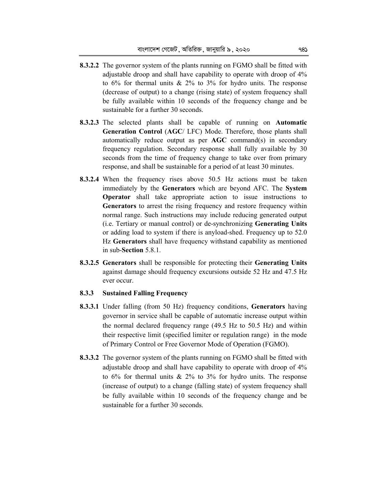- **8.3.2.2** The governor system of the plants running on FGMO shall be fitted with adjustable droop and shall have capability to operate with droop of 4% to  $6\%$  for thermal units  $\& 2\%$  to  $3\%$  for hydro units. The response (decrease of output) to a change (rising state) of system frequency shall be fully available within 10 seconds of the frequency change and be sustainable for a further 30 seconds.
- **8.3.2.3** The selected plants shall be capable of running on **Automatic Generation Control** (**AGC**/ LFC) Mode. Therefore, those plants shall automatically reduce output as per **AGC** command(s) in secondary frequency regulation. Secondary response shall fully available by 30 seconds from the time of frequency change to take over from primary response, and shall be sustainable for a period of at least 30 minutes.
- **8.3.2.4** When the frequency rises above 50.5 Hz actions must be taken immediately by the **Generato**r**s** which are beyond AFC. The **System Operator** shall take appropriate action to issue instructions to **Generators** to arrest the rising frequency and restore frequency within normal range. Such instructions may include reducing generated output (i.e. Tertiary or manual control) or de-synchronizing **Generating Units**  or adding load to system if there is anyload-shed. Frequency up to 52.0 Hz **Generators** shall have frequency withstand capability as mentioned in sub-**Section** 5.8.1.
- **8.3.2.5 Generators** shall be responsible for protecting their **Generating Units** against damage should frequency excursions outside 52 Hz and 47.5 Hz ever occur.

# **8.3.3 Sustained Falling Frequency**

- **8.3.3.1** Under falling (from 50 Hz) frequency conditions, **Generators** having governor in service shall be capable of automatic increase output within the normal declared frequency range (49.5 Hz to 50.5 Hz) and within their respective limit (specified limiter or regulation range) in the mode of Primary Control or Free Governor Mode of Operation (FGMO).
- **8.3.3.2** The governor system of the plants running on FGMO shall be fitted with adjustable droop and shall have capability to operate with droop of 4% to  $6\%$  for thermal units  $\& 2\%$  to  $3\%$  for hydro units. The response (increase of output) to a change (falling state) of system frequency shall be fully available within 10 seconds of the frequency change and be sustainable for a further 30 seconds.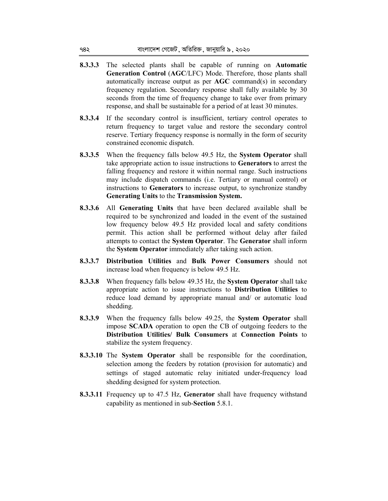- **8.3.3.3** The selected plants shall be capable of running on **Automatic Generation Control** (**AGC**/LFC) Mode. Therefore, those plants shall automatically increase output as per **AGC** command(s) in secondary frequency regulation. Secondary response shall fully available by 30 seconds from the time of frequency change to take over from primary response, and shall be sustainable for a period of at least 30 minutes.
- **8.3.3.4** If the secondary control is insufficient, tertiary control operates to return frequency to target value and restore the secondary control reserve. Tertiary frequency response is normally in the form of security constrained economic dispatch.
- **8.3.3.5** When the frequency falls below 49.5 Hz, the **System Operator** shall take appropriate action to issue instructions to **Generators** to arrest the falling frequency and restore it within normal range. Such instructions may include dispatch commands (i.e. Tertiary or manual control) or instructions to **Generators** to increase output, to synchronize standby **Generating Units** to the **Transmission System.**
- **8.3.3.6** All **Generating Units** that have been declared available shall be required to be synchronized and loaded in the event of the sustained low frequency below 49.5 Hz provided local and safety conditions permit. This action shall be performed without delay after failed attempts to contact the **System Operator**. The **Generator** shall inform the **System Operator** immediately after taking such action.
- **8.3.3.7 Distribution Utilities** and **Bulk Power Consumers** should not increase load when frequency is below 49.5 Hz.
- **8.3.3.8** When frequency falls below 49.35 Hz, the **System Operator** shall take appropriate action to issue instructions to **Distribution Utilities** to reduce load demand by appropriate manual and/ or automatic load shedding.
- **8.3.3.9** When the frequency falls below 49.25, the **System Operator** shall impose **SCADA** operation to open the CB of outgoing feeders to the **Distribution Utilities/ Bulk Consumers** at **Connection Points** to stabilize the system frequency.
- **8.3.3.10** The **System Operator** shall be responsible for the coordination, selection among the feeders by rotation (provision for automatic) and settings of staged automatic relay initiated under-frequency load shedding designed for system protection.
- **8.3.3.11** Frequency up to 47.5 Hz, **Generator** shall have frequency withstand capability as mentioned in sub-**Section** 5.8.1.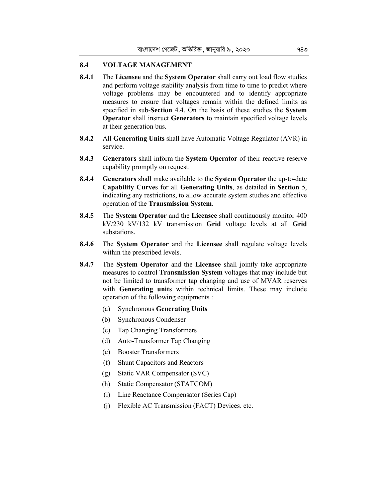## **8.4 VOLTAGE MANAGEMENT**

- **8.4.1** The **Licensee** and the **System Operator** shall carry out load flow studies and perform voltage stability analysis from time to time to predict where voltage problems may be encountered and to identify appropriate measures to ensure that voltages remain within the defined limits as specified in sub-**Section** 4.4. On the basis of these studies the **System Operator** shall instruct **Generators** to maintain specified voltage levels at their generation bus.
- **8.4.2** All **Generating Units** shall have Automatic Voltage Regulator (AVR) in service.
- **8.4.3 Generators** shall inform the **System Operator** of their reactive reserve capability promptly on request.
- **8.4.4 Generators** shall make available to the **System Operator** the up-to-date **Capability Curve**s for all **Generating Units**, as detailed in **Section** 5, indicating any restrictions, to allow accurate system studies and effective operation of the **Transmission System**.
- **8.4.5** The **System Operator** and the **Licensee** shall continuously monitor 400 kV/230 kV/132 kV transmission **Grid** voltage levels at all **Grid** substations.
- **8.4.6** The **System Operator** and the **Licensee** shall regulate voltage levels within the prescribed levels.
- **8.4.7** The **System Operator** and the **Licensee** shall jointly take appropriate measures to control **Transmission System** voltages that may include but not be limited to transformer tap changing and use of MVAR reserves with **Generating units** within technical limits. These may include operation of the following equipments :
	- (a) Synchronous **Generating Units**
	- (b) Synchronous Condenser
	- (c) Tap Changing Transformers
	- (d) Auto-Transformer Tap Changing
	- (e) Booster Transformers
	- (f) Shunt Capacitors and Reactors
	- (g) Static VAR Compensator (SVC)
	- (h) Static Compensator (STATCOM)
	- (i) Line Reactance Compensator (Series Cap)
	- (j) Flexible AC Transmission (FACT) Devices. etc.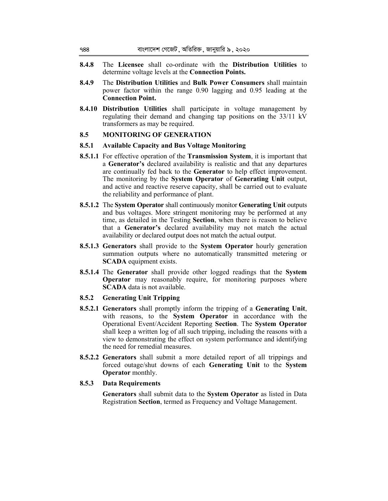- **8.4.8** The **Licensee** shall co-ordinate with the **Distribution Utilities** to determine voltage levels at the **Connection Points.**
- **8.4.9** The **Distribution Utilities** and **Bulk Power Consumers** shall maintain power factor within the range 0.90 lagging and 0.95 leading at the **Connection Point.**
- **8.4.10 Distribution Utilities** shall participate in voltage management by regulating their demand and changing tap positions on the 33/11 kV transformers as may be required.

## **8.5 MONITORING OF GENERATION**

### **8.5.1 Available Capacity and Bus Voltage Monitoring**

- **8.5.1.1** For effective operation of the **Transmission System**, it is important that a **Generator's** declared availability is realistic and that any departures are continually fed back to the **Generator** to help effect improvement. The monitoring by the **System Operator** of **Generating Unit** output, and active and reactive reserve capacity, shall be carried out to evaluate the reliability and performance of plant.
- **8.5.1.2** The **System Operator** shall continuously monitor **Generating Unit** outputs and bus voltages. More stringent monitoring may be performed at any time, as detailed in the Testing **Section**, when there is reason to believe that a **Generator's** declared availability may not match the actual availability or declared output does not match the actual output.
- **8.5.1.3 Generators** shall provide to the **System Operator** hourly generation summation outputs where no automatically transmitted metering or **SCADA** equipment exists.
- **8.5.1.4** The **Generator** shall provide other logged readings that the **System Operator** may reasonably require, for monitoring purposes where **SCADA** data is not available.
- **8.5.2 Generating Unit Tripping**
- **8.5.2.1 Generators** shall promptly inform the tripping of a **Generating Unit**, with reasons, to the **System Operator** in accordance with the Operational Event/Accident Reporting **Section**. The **System Operator**  shall keep a written log of all such tripping, including the reasons with a view to demonstrating the effect on system performance and identifying the need for remedial measures.
- **8.5.2.2 Generators** shall submit a more detailed report of all trippings and forced outage/shut downs of each **Generating Unit** to the **System Operator** monthly.

# **8.5.3 Data Requirements**

**Generators** shall submit data to the **System Operator** as listed in Data Registration **Section**, termed as Frequency and Voltage Management.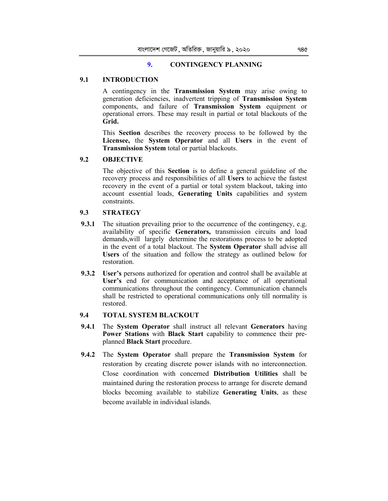## **9. CONTINGENCY PLANNING**

## **9.1 INTRODUCTION**

A contingency in the **Transmission System** may arise owing to generation deficiencies, inadvertent tripping of **Transmission System** components, and failure of **Transmission System** equipment or operational errors. These may result in partial or total blackouts of the **Grid.**

This **Section** describes the recovery process to be followed by the **Licensee,** the **System Operator** and all **Users** in the event of **Transmission System** total or partial blackouts.

### **9.2 OBJECTIVE**

The objective of this **Section** is to define a general guideline of the recovery process and responsibilities of all **Users** to achieve the fastest recovery in the event of a partial or total system blackout, taking into account essential loads, **Generating Units** capabilities and system constraints.

## **9.3 STRATEGY**

- **9.3.1** The situation prevailing prior to the occurrence of the contingency, e.g. availability of specific **Generators,** transmission circuits and load demands,will largely determine the restorations process to be adopted in the event of a total blackout. The **System Operator** shall advise all **Users** of the situation and follow the strategy as outlined below for restoration.
- **9.3.2 User's** persons authorized for operation and control shall be available at **User's** end for communication and acceptance of all operational communications throughout the contingency. Communication channels shall be restricted to operational communications only till normality is restored.

## **9.4 TOTAL SYSTEM BLACKOUT**

- **9.4.1** The **System Operator** shall instruct all relevant **Generators** having **Power Stations** with **Black Start** capability to commence their preplanned **Black Start** procedure.
- **9.4.2** The **System Operator** shall prepare the **Transmission System** for restoration by creating discrete power islands with no interconnection. Close coordination with concerned **Distribution Utilities** shall be maintained during the restoration process to arrange for discrete demand blocks becoming available to stabilize **Generating Units**, as these become available in individual islands.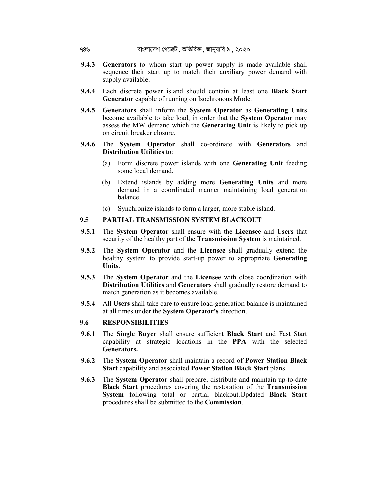- **9.4.3 Generators** to whom start up power supply is made available shall sequence their start up to match their auxiliary power demand with supply available.
- **9.4.4** Each discrete power island should contain at least one **Black Start Generator** capable of running on Isochronous Mode.
- **9.4.5 Generators** shall inform the **System Operator** as **Generating Units**  become available to take load, in order that the **System Operator** may assess the MW demand which the **Generating Unit** is likely to pick up on circuit breaker closure.
- **9.4.6** The **System Operator** shall co-ordinate with **Generators** and **Distribution Utilities** to:
	- (a) Form discrete power islands with one **Generating Unit** feeding some local demand.
	- (b) Extend islands by adding more **Generating Units** and more demand in a coordinated manner maintaining load generation balance.
	- (c) Synchronize islands to form a larger, more stable island.

## **9.5 PARTIAL TRANSMISSION SYSTEM BLACKOUT**

- **9.5.1** The **System Operator** shall ensure with the **Licensee** and **Users** that security of the healthy part of the **Transmission System** is maintained.
- **9.5.2** The **System Operator** and the **Licensee** shall gradually extend the healthy system to provide start-up power to appropriate **Generating Units**.
- **9.5.3** The **System Operator** and the **Licensee** with close coordination with **Distribution Utilities** and **Generators** shall gradually restore demand to match generation as it becomes available.
- **9.5.4** All **Users** shall take care to ensure load-generation balance is maintained at all times under the **System Operator's** direction.

### **9.6 RESPONSIBILITIES**

- **9.6.1** The **Single Buyer** shall ensure sufficient **Black Start** and Fast Start capability at strategic locations in the **PPA** with the selected **Generators.**
- **9.6.2** The **System Operator** shall maintain a record of **Power Station Black Start** capability and associated **Power Station Black Start** plans.
- **9.6.3** The **System Operator** shall prepare, distribute and maintain up-to-date **Black Start** procedures covering the restoration of the **Transmission System** following total or partial blackout.Updated **Black Start** procedures shall be submitted to the **Commission**.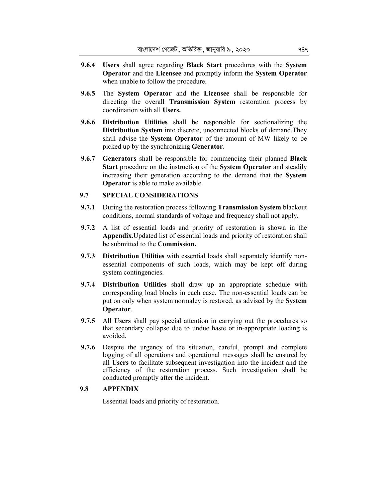- **9.6.4 Users** shall agree regarding **Black Start** procedures with the **System Operator** and the **Licensee** and promptly inform the **System Operator**  when unable to follow the procedure.
- **9.6.5** The **System Operator** and the **Licensee** shall be responsible for directing the overall **Transmission System** restoration process by coordination with all **Users.**
- **9.6.6 Distribution Utilities** shall be responsible for sectionalizing the **Distribution System** into discrete, unconnected blocks of demand.They shall advise the **System Operator** of the amount of MW likely to be picked up by the synchronizing **Generator**.
- **9.6.7 Generators** shall be responsible for commencing their planned **Black Start** procedure on the instruction of the **System Operator** and steadily increasing their generation according to the demand that the **System Operator** is able to make available.

## **9.7 SPECIAL CONSIDERATIONS**

- **9.7.1** During the restoration process following **Transmission System** blackout conditions, normal standards of voltage and frequency shall not apply.
- **9.7.2** A list of essential loads and priority of restoration is shown in the **Appendix**.Updated list of essential loads and priority of restoration shall be submitted to the **Commission.**
- **9.7.3 Distribution Utilities** with essential loads shall separately identify nonessential components of such loads, which may be kept off during system contingencies.
- **9.7.4 Distribution Utilities** shall draw up an appropriate schedule with corresponding load blocks in each case. The non-essential loads can be put on only when system normalcy is restored, as advised by the **System Operator**.
- **9.7.5** All **Users** shall pay special attention in carrying out the procedures so that secondary collapse due to undue haste or in-appropriate loading is avoided.
- **9.7.6** Despite the urgency of the situation, careful, prompt and complete logging of all operations and operational messages shall be ensured by all **Users** to facilitate subsequent investigation into the incident and the efficiency of the restoration process. Such investigation shall be conducted promptly after the incident.

### **9.8 APPENDIX**

Essential loads and priority of restoration.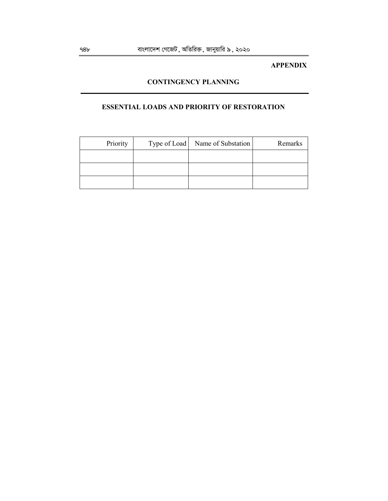## **APPENDIX**

# **CONTINGENCY PLANNING**

# **ESSENTIAL LOADS AND PRIORITY OF RESTORATION**

| Priority | Type of Load   Name of Substation | Remarks |
|----------|-----------------------------------|---------|
|          |                                   |         |
|          |                                   |         |
|          |                                   |         |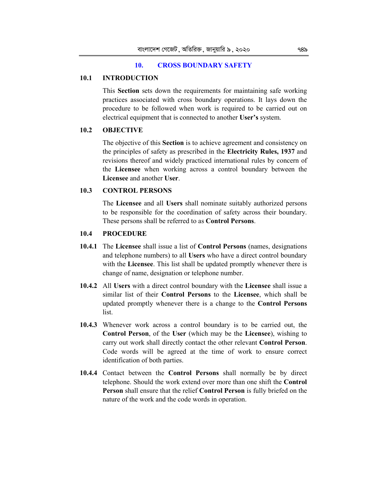### **10. CROSS BOUNDARY SAFETY**

## **10.1 INTRODUCTION**

This **Section** sets down the requirements for maintaining safe working practices associated with cross boundary operations. It lays down the procedure to be followed when work is required to be carried out on electrical equipment that is connected to another **User's** system.

# **10.2 OBJECTIVE**

The objective of this **Section** is to achieve agreement and consistency on the principles of safety as prescribed in the **Electricity Rules, 1937** and revisions thereof and widely practiced international rules by concern of the **Licensee** when working across a control boundary between the **Licensee** and another **User**.

### **10.3 CONTROL PERSONS**

The **Licensee** and all **Users** shall nominate suitably authorized persons to be responsible for the coordination of safety across their boundary. These persons shall be referred to as **Control Persons**.

## **10.4 PROCEDURE**

- **10.4.1** The **Licensee** shall issue a list of **Control Persons** (names, designations and telephone numbers) to all **Users** who have a direct control boundary with the **Licensee**. This list shall be updated promptly whenever there is change of name, designation or telephone number.
- **10.4.2** All **Users** with a direct control boundary with the **Licensee** shall issue a similar list of their **Control Persons** to the **Licensee**, which shall be updated promptly whenever there is a change to the **Control Persons**  list.
- **10.4.3** Whenever work across a control boundary is to be carried out, the **Control Person**, of the **User** (which may be the **Licensee**), wishing to carry out work shall directly contact the other relevant **Control Person**. Code words will be agreed at the time of work to ensure correct identification of both parties.
- **10.4.4** Contact between the **Control Persons** shall normally be by direct telephone. Should the work extend over more than one shift the **Control Person** shall ensure that the relief **Control Person** is fully briefed on the nature of the work and the code words in operation.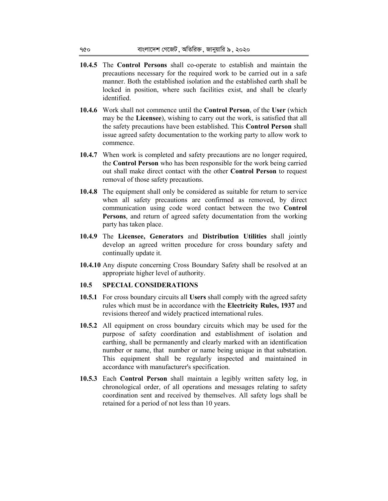- **10.4.5** The **Control Persons** shall co-operate to establish and maintain the precautions necessary for the required work to be carried out in a safe manner. Both the established isolation and the established earth shall be locked in position, where such facilities exist, and shall be clearly identified.
- **10.4.6** Work shall not commence until the **Control Person**, of the **User** (which may be the **Licensee**), wishing to carry out the work, is satisfied that all the safety precautions have been established. This **Control Person** shall issue agreed safety documentation to the working party to allow work to commence.
- **10.4.7** When work is completed and safety precautions are no longer required, the **Control Person** who has been responsible for the work being carried out shall make direct contact with the other **Control Person** to request removal of those safety precautions.
- **10.4.8** The equipment shall only be considered as suitable for return to service when all safety precautions are confirmed as removed, by direct communication using code word contact between the two **Control Persons**, and return of agreed safety documentation from the working party has taken place.
- **10.4.9** The **Licensee, Generators** and **Distribution Utilities** shall jointly develop an agreed written procedure for cross boundary safety and continually update it.
- **10.4.10** Any dispute concerning Cross Boundary Safety shall be resolved at an appropriate higher level of authority.

## **10.5 SPECIAL CONSIDERATIONS**

- **10.5.1** For cross boundary circuits all **Users** shall comply with the agreed safety rules which must be in accordance with the **Electricity Rules, 1937** and revisions thereof and widely practiced international rules.
- **10.5.2** All equipment on cross boundary circuits which may be used for the purpose of safety coordination and establishment of isolation and earthing, shall be permanently and clearly marked with an identification number or name, that number or name being unique in that substation. This equipment shall be regularly inspected and maintained in accordance with manufacturer's specification.
- **10.5.3** Each **Control Person** shall maintain a legibly written safety log, in chronological order, of all operations and messages relating to safety coordination sent and received by themselves. All safety logs shall be retained for a period of not less than 10 years.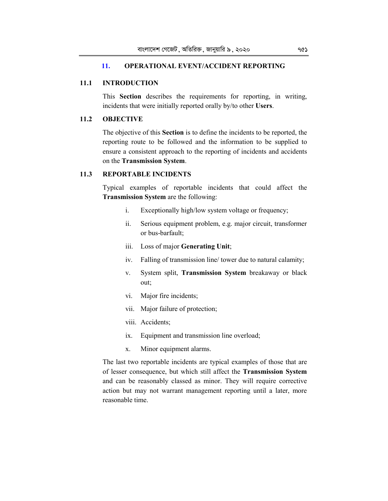# **11. OPERATIONAL EVENT/ACCIDENT REPORTING**

# **11.1 INTRODUCTION**

This **Section** describes the requirements for reporting, in writing, incidents that were initially reported orally by/to other **Users**.

# **11.2 OBJECTIVE**

The objective of this **Section** is to define the incidents to be reported, the reporting route to be followed and the information to be supplied to ensure a consistent approach to the reporting of incidents and accidents on the **Transmission System**.

# **11.3 REPORTABLE INCIDENTS**

Typical examples of reportable incidents that could affect the **Transmission System** are the following:

- i. Exceptionally high/low system voltage or frequency;
- ii. Serious equipment problem, e.g. major circuit, transformer or bus-barfault;
- iii. Loss of major **Generating Unit**;
- iv. Falling of transmission line/ tower due to natural calamity;
- v. System split, **Transmission System** breakaway or black out;
- vi. Major fire incidents;
- vii. Major failure of protection;
- viii. Accidents;
- ix. Equipment and transmission line overload;
- x. Minor equipment alarms.

The last two reportable incidents are typical examples of those that are of lesser consequence, but which still affect the **Transmission System**  and can be reasonably classed as minor. They will require corrective action but may not warrant management reporting until a later, more reasonable time.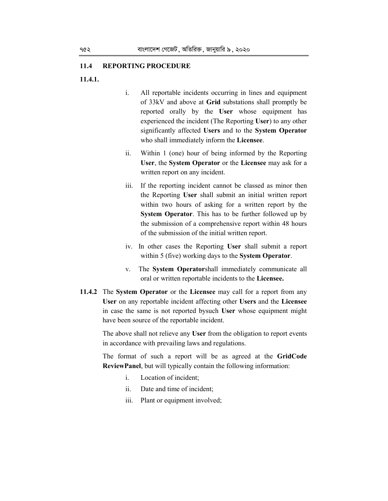## **11.4 REPORTING PROCEDURE**

### **11.4.1.**

- i. All reportable incidents occurring in lines and equipment of 33kV and above at **Grid** substations shall promptly be reported orally by the **User** whose equipment has experienced the incident (The Reporting **User**) to any other significantly affected **Users** and to the **System Operator** who shall immediately inform the **Licensee**.
- ii. Within 1 (one) hour of being informed by the Reporting **User**, the **System Operator** or the **Licensee** may ask for a written report on any incident.
- iii. If the reporting incident cannot be classed as minor then the Reporting **User** shall submit an initial written report within two hours of asking for a written report by the **System Operator**. This has to be further followed up by the submission of a comprehensive report within 48 hours of the submission of the initial written report.
- iv. In other cases the Reporting **User** shall submit a report within 5 (five) working days to the **System Operator**.
- v. The **System Operator**shall immediately communicate all oral or written reportable incidents to the **Licensee.**
- **11.4.2** The **System Operator** or the **Licensee** may call for a report from any **User** on any reportable incident affecting other **Users** and the **Licensee**  in case the same is not reported bysuch **User** whose equipment might have been source of the reportable incident.

The above shall not relieve any **User** from the obligation to report events in accordance with prevailing laws and regulations.

The format of such a report will be as agreed at the **GridCode ReviewPanel**, but will typically contain the following information:

- i. Location of incident;
- ii. Date and time of incident;
- iii. Plant or equipment involved;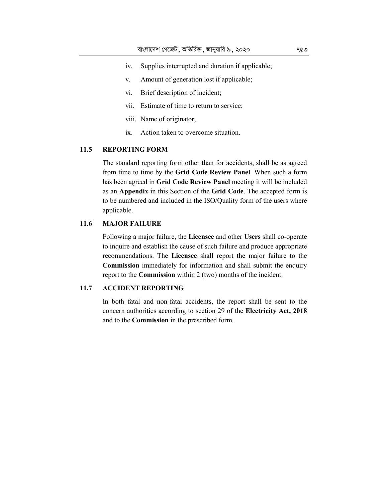- iv. Supplies interrupted and duration if applicable;
- v. Amount of generation lost if applicable;
- vi. Brief description of incident;
- vii. Estimate of time to return to service;
- viii. Name of originator;
- ix. Action taken to overcome situation.

# **11.5 REPORTING FORM**

The standard reporting form other than for accidents, shall be as agreed from time to time by the **Grid Code Review Panel**. When such a form has been agreed in **Grid Code Review Panel** meeting it will be included as an **Appendix** in this Section of the **Grid Code**. The accepted form is to be numbered and included in the ISO/Quality form of the users where applicable.

# **11.6 MAJOR FAILURE**

Following a major failure, the **Licensee** and other **Users** shall co-operate to inquire and establish the cause of such failure and produce appropriate recommendations. The **Licensee** shall report the major failure to the **Commission** immediately for information and shall submit the enquiry report to the **Commission** within 2 (two) months of the incident.

## **11.7 ACCIDENT REPORTING**

In both fatal and non-fatal accidents, the report shall be sent to the concern authorities according to section 29 of the **Electricity Act, 2018** and to the **Commission** in the prescribed form.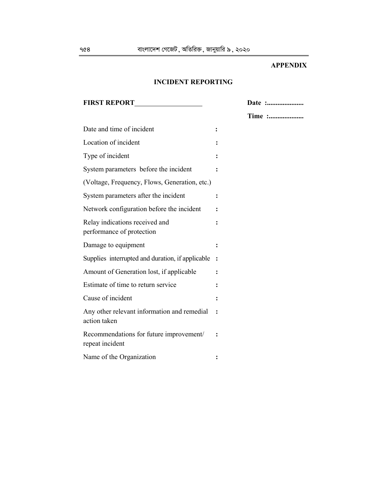# **APPENDIX**

# **INCIDENT REPORTING**

| <b>FIRST REPORT</b>                                         | Date : |
|-------------------------------------------------------------|--------|
|                                                             | Time : |
| Date and time of incident                                   | ፡      |
| Location of incident                                        |        |
| Type of incident                                            |        |
| System parameters before the incident                       |        |
| (Voltage, Frequency, Flows, Generation, etc.)               |        |
| System parameters after the incident                        |        |
| Network configuration before the incident                   |        |
| Relay indications received and<br>performance of protection |        |
| Damage to equipment                                         |        |
| Supplies interrupted and duration, if applicable            |        |
| Amount of Generation lost, if applicable                    |        |
| Estimate of time to return service                          |        |
| Cause of incident                                           |        |
| Any other relevant information and remedial<br>action taken |        |
| Recommendations for future improvement/<br>repeat incident  |        |
| Name of the Organization                                    |        |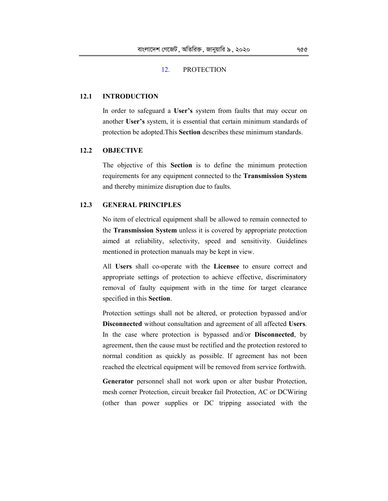### 12. PROTECTION

## **12.1 INTRODUCTION**

 In order to safeguard a **User's** system from faults that may occur on another **User's** system, it is essential that certain minimum standards of protection be adopted.This **Section** describes these minimum standards.

## **12.2 OBJECTIVE**

 The objective of this **Section** is to define the minimum protection requirements for any equipment connected to the **Transmission System**  and thereby minimize disruption due to faults.

## **12.3 GENERAL PRINCIPLES**

 No item of electrical equipment shall be allowed to remain connected to the **Transmission System** unless it is covered by appropriate protection aimed at reliability, selectivity, speed and sensitivity. Guidelines mentioned in protection manuals may be kept in view.

 All **Users** shall co-operate with the **Licensee** to ensure correct and appropriate settings of protection to achieve effective, discriminatory removal of faulty equipment with in the time for target clearance specified in this **Section**.

 Protection settings shall not be altered, or protection bypassed and/or **Disconnected** without consultation and agreement of all affected **Users**. In the case where protection is bypassed and/or **Disconnected**, by agreement, then the cause must be rectified and the protection restored to normal condition as quickly as possible. If agreement has not been reached the electrical equipment will be removed from service forthwith.

 **Generator** personnel shall not work upon or alter busbar Protection, mesh corner Protection, circuit breaker fail Protection, AC or DCWiring (other than power supplies or DC tripping associated with the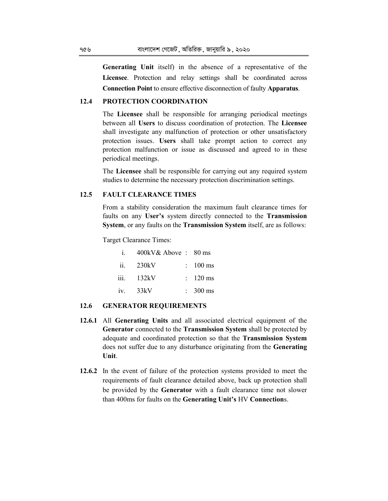**Generating Unit** itself) in the absence of a representative of the **Licensee**. Protection and relay settings shall be coordinated across **Connection Point** to ensure effective disconnection of faulty **Apparatus**.

## **12.4 PROTECTION COORDINATION**

 The **Licensee** shall be responsible for arranging periodical meetings between all **Users** to discuss coordination of protection. The **Licensee**  shall investigate any malfunction of protection or other unsatisfactory protection issues. **Users** shall take prompt action to correct any protection malfunction or issue as discussed and agreed to in these periodical meetings.

 The **Licensee** shall be responsible for carrying out any required system studies to determine the necessary protection discrimination settings.

# **12.5 FAULT CLEARANCE TIMES**

 From a stability consideration the maximum fault clearance times for faults on any **User's** system directly connected to the **Transmission System**, or any faults on the **Transmission System** itself, are as follows:

Target Clearance Times:

| $i$ . | 400kV& Above: 80 ms |                     |
|-------|---------------------|---------------------|
| ii.   | 230kV               | $\therefore$ 100 ms |
|       | $iii.$ 132 $kV$     | $\therefore$ 120 ms |
| iv.   | 33kV                | $\approx 300$ ms    |

### **12.6 GENERATOR REQUIREMENTS**

- **12.6.1** All **Generating Units** and all associated electrical equipment of the **Generator** connected to the **Transmission System** shall be protected by adequate and coordinated protection so that the **Transmission System**  does not suffer due to any disturbance originating from the **Generating Unit**.
- **12.6.2** In the event of failure of the protection systems provided to meet the requirements of fault clearance detailed above, back up protection shall be provided by the **Generator** with a fault clearance time not slower than 400ms for faults on the **Generating Unit's** HV **Connection**s.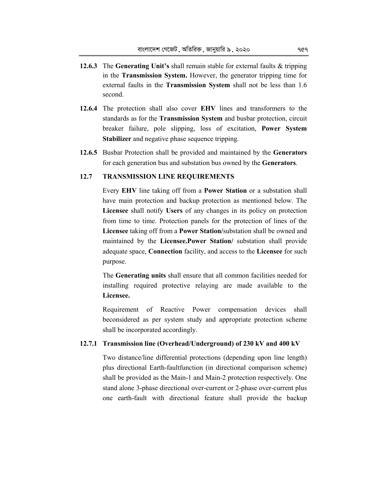- **12.6.3** The **Generating Unit's** shall remain stable for external faults & tripping in the **Transmission System.** However, the generator tripping time for external faults in the **Transmission System** shall not be less than 1.6 second.
- **12.6.4** The protection shall also cover **EHV** lines and transformers to the standards as for the **Transmission System** and busbar protection, circuit breaker failure, pole slipping, loss of excitation, **Power System Stabilizer** and negative phase sequence tripping.
- **12.6.5** Busbar Protection shall be provided and maintained by the **Generators**  for each generation bus and substation bus owned by the **Generators**.

## **12.7 TRANSMISSION LINE REQUIREMENTS**

 Every **EHV** line taking off from a **Power Station** or a substation shall have main protection and backup protection as mentioned below. The **Licensee** shall notify **Users** of any changes in its policy on protection from time to time. Protection panels for the protection of lines of the **Licensee** taking off from a **Power Station/**substation shall be owned and maintained by the **Licensee.Power Station/** substation shall provide adequate space, **Connection** facility, and access to the **Licensee** for such purpose.

 The **Generating units** shall ensure that all common facilities needed for installing required protective relaying are made available to the **Licensee.** 

 Requirement of Reactive Power compensation devices shall beconsidered as per system study and appropriate protection scheme shall be incorporated accordingly.

### **12.7.1 Transmission line (Overhead/Underground) of 230 kV and 400 kV**

 Two distance/line differential protections (depending upon line length) plus directional Earth-faultfunction (in directional comparison scheme) shall be provided as the Main-1 and Main-2 protection respectively. One stand alone 3-phase directional over-current or 2-phase over-current plus one earth-fault with directional feature shall provide the backup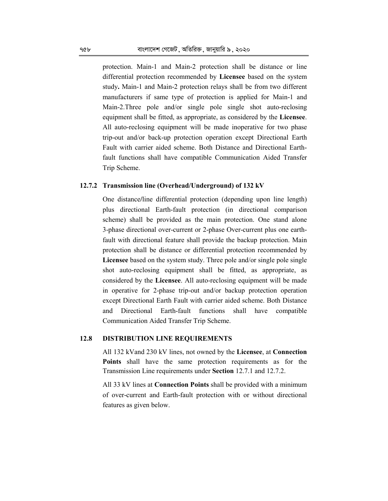protection. Main-1 and Main-2 protection shall be distance or line differential protection recommended by **Licensee** based on the system study**.** Main-1 and Main-2 protection relays shall be from two different manufacturers if same type of protection is applied for Main-1 and Main-2.Three pole and/or single pole single shot auto-reclosing equipment shall be fitted, as appropriate, as considered by the **Licensee**. All auto-reclosing equipment will be made inoperative for two phase trip-out and/or back-up protection operation except Directional Earth Fault with carrier aided scheme. Both Distance and Directional Earthfault functions shall have compatible Communication Aided Transfer Trip Scheme.

### **12.7.2 Transmission line (Overhead/Underground) of 132 kV**

 One distance**/**line differential protection (depending upon line length) plus directional Earth-fault protection (in directional comparison scheme) shall be provided as the main protection. One stand alone 3-phase directional over-current or 2-phase Over-current plus one earthfault with directional feature shall provide the backup protection. Main protection shall be distance or differential protection recommended by **Licensee** based on the system study. Three pole and/or single pole single shot auto-reclosing equipment shall be fitted, as appropriate, as considered by the **Licensee**. All auto-reclosing equipment will be made in operative for 2-phase trip-out and/or backup protection operation except Directional Earth Fault with carrier aided scheme. Both Distance and Directional Earth-fault functions shall have compatible Communication Aided Transfer Trip Scheme.

### **12.8 DISTRIBUTION LINE REQUIREMENTS**

 All 132 kVand 230 kV lines, not owned by the **Licensee**, at **Connection Points** shall have the same protection requirements as for the Transmission Line requirements under **Section** 12.7.1 and 12.7.2.

 All 33 kV lines at **Connection Points** shall be provided with a minimum of over-current and Earth-fault protection with or without directional features as given below.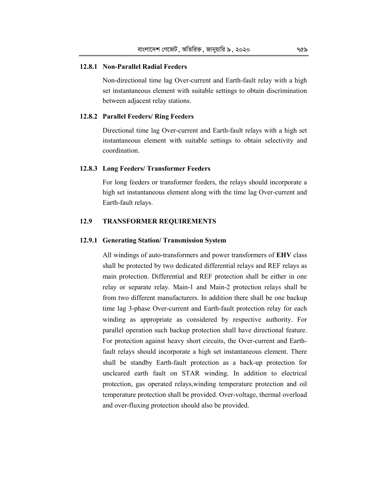### **12.8.1 Non-Parallel Radial Feeders**

 Non-directional time lag Over-current and Earth-fault relay with a high set instantaneous element with suitable settings to obtain discrimination between adjacent relay stations.

#### **12.8.2 Parallel Feeders/ Ring Feeders**

 Directional time lag Over-current and Earth-fault relays with a high set instantaneous element with suitable settings to obtain selectivity and coordination.

### **12.8.3 Long Feeders/ Transformer Feeders**

 For long feeders or transformer feeders, the relays should incorporate a high set instantaneous element along with the time lag Over-current and Earth-fault relays.

# **12.9 TRANSFORMER REQUIREMENTS**

#### **12.9.1 Generating Station/ Transmission System**

 All windings of auto-transformers and power transformers of **EHV** class shall be protected by two dedicated differential relays and REF relays as main protection. Differential and REF protection shall be either in one relay or separate relay. Main-1 and Main-2 protection relays shall be from two different manufacturers. In addition there shall be one backup time lag 3-phase Over-current and Earth-fault protection relay for each winding as appropriate as considered by respective authority. For parallel operation such backup protection shall have directional feature. For protection against heavy short circuits, the Over-current and Earthfault relays should incorporate a high set instantaneous element. There shall be standby Earth-fault protection as a back-up protection for uncleared earth fault on STAR winding. In addition to electrical protection, gas operated relays,winding temperature protection and oil temperature protection shall be provided. Over-voltage, thermal overload and over-fluxing protection should also be provided.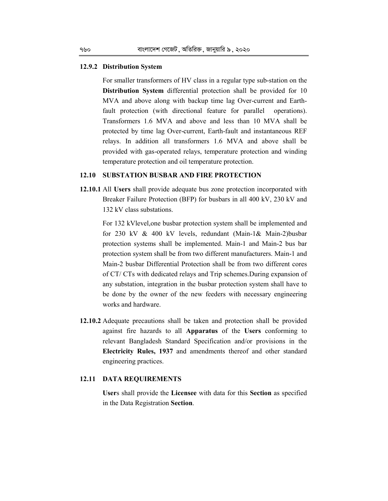### **12.9.2 Distribution System**

 For smaller transformers of HV class in a regular type sub-station on the **Distribution System** differential protection shall be provided for 10 MVA and above along with backup time lag Over-current and Earthfault protection (with directional feature for parallel operations). Transformers 1.6 MVA and above and less than 10 MVA shall be protected by time lag Over-current, Earth-fault and instantaneous REF relays. In addition all transformers 1.6 MVA and above shall be provided with gas-operated relays, temperature protection and winding temperature protection and oil temperature protection.

# **12.10 SUBSTATION BUSBAR AND FIRE PROTECTION**

**12.10.1** All **Users** shall provide adequate bus zone protection incorporated with Breaker Failure Protection (BFP) for busbars in all 400 kV, 230 kV and 132 kV class substations.

 For 132 kVlevel,one busbar protection system shall be implemented and for 230 kV & 400 kV levels, redundant (Main-1& Main-2)busbar protection systems shall be implemented. Main-1 and Main-2 bus bar protection system shall be from two different manufacturers. Main-1 and Main-2 busbar Differential Protection shall be from two different cores of CT/ CTs with dedicated relays and Trip schemes.During expansion of any substation, integration in the busbar protection system shall have to be done by the owner of the new feeders with necessary engineering works and hardware.

**12.10.2** Adequate precautions shall be taken and protection shall be provided against fire hazards to all **Apparatus** of the **Users** conforming to relevant Bangladesh Standard Specification and/or provisions in the **Electricity Rules, 1937** and amendments thereof and other standard engineering practices.

## **12.11 DATA REQUIREMENTS**

 **User**s shall provide the **Licensee** with data for this **Section** as specified in the Data Registration **Section**.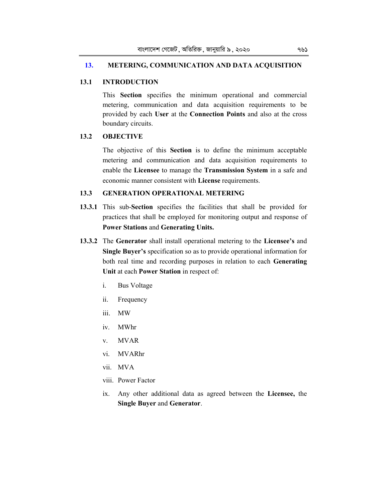## **13. METERING, COMMUNICATION AND DATA ACQUISITION**

# **13.1 INTRODUCTION**

 This **Section** specifies the minimum operational and commercial metering, communication and data acquisition requirements to be provided by each **User** at the **Connection Points** and also at the cross boundary circuits.

# **13.2 OBJECTIVE**

 The objective of this **Section** is to define the minimum acceptable metering and communication and data acquisition requirements to enable the **Licensee** to manage the **Transmission System** in a safe and economic manner consistent with **License** requirements.

## **13.3 GENERATION OPERATIONAL METERING**

- **13.3.1** This sub-**Section** specifies the facilities that shall be provided for practices that shall be employed for monitoring output and response of **Power Stations** and **Generating Units.**
- **13.3.2** The **Generator** shall install operational metering to the **Licensee's** and **Single Buyer's** specification so as to provide operational information for both real time and recording purposes in relation to each **Generating Unit** at each **Power Station** in respect of:
	- i. Bus Voltage
	- ii. Frequency
	- iii. MW
	- iv. MWhr
	- v. MVAR
	- vi. MVARhr
	- vii. MVA
	- viii. Power Factor
	- ix. Any other additional data as agreed between the **Licensee,** the **Single Buyer** and **Generator**.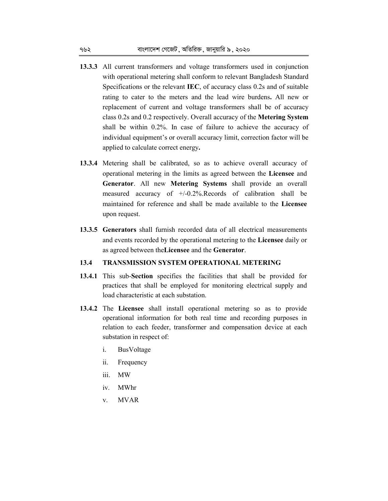- **13.3.3** All current transformers and voltage transformers used in conjunction with operational metering shall conform to relevant Bangladesh Standard Specifications or the relevant **IEC**, of accuracy class 0.2s and of suitable rating to cater to the meters and the lead wire burdens**.** All new or replacement of current and voltage transformers shall be of accuracy class 0.2s and 0.2 respectively. Overall accuracy of the **Metering System** shall be within 0.2%. In case of failure to achieve the accuracy of individual equipment's or overall accuracy limit, correction factor will be applied to calculate correct energy**.**
- **13.3.4** Metering shall be calibrated, so as to achieve overall accuracy of operational metering in the limits as agreed between the **Licensee** and **Generator**. All new **Metering Systems** shall provide an overall measured accuracy of +/-0.2%.Records of calibration shall be maintained for reference and shall be made available to the **Licensee**  upon request.
- **13.3.5 Generators** shall furnish recorded data of all electrical measurements and events recorded by the operational metering to the **Licensee** daily or as agreed between the**Licensee** and the **Generator**.

## **13.4 TRANSMISSION SYSTEM OPERATIONAL METERING**

- **13.4.1** This sub-**Section** specifies the facilities that shall be provided for practices that shall be employed for monitoring electrical supply and load characteristic at each substation.
- **13.4.2** The **Licensee** shall install operational metering so as to provide operational information for both real time and recording purposes in relation to each feeder, transformer and compensation device at each substation in respect of:
	- i. BusVoltage
	- ii. Frequency
	- iii. MW
	- iv. MWhr
	- v. MVAR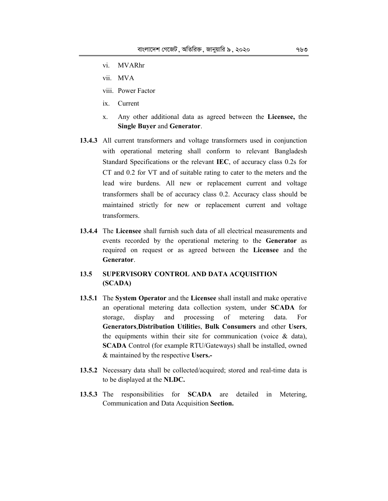- vi. MVARhr
- vii. MVA
- viii. Power Factor
- ix. Current
- x. Any other additional data as agreed between the **Licensee,** the **Single Buyer** and **Generator**.
- **13.4.3** All current transformers and voltage transformers used in conjunction with operational metering shall conform to relevant Bangladesh Standard Specifications or the relevant **IEC**, of accuracy class 0.2s for CT and 0.2 for VT and of suitable rating to cater to the meters and the lead wire burdens. All new or replacement current and voltage transformers shall be of accuracy class 0.2. Accuracy class should be maintained strictly for new or replacement current and voltage transformers.
- **13.4.4** The **Licensee** shall furnish such data of all electrical measurements and events recorded by the operational metering to the **Generator** as required on request or as agreed between the **Licensee** and the **Generator**.
- **13.5 SUPERVISORY CONTROL AND DATA ACQUISITION (SCADA)**
- **13.5.1** The **System Operator** and the **Licensee** shall install and make operative an operational metering data collection system, under **SCADA** for storage, display and processing of metering data. For **Generators**,**Distribution Utilitie**s, **Bulk Consumers** and other **Users**, the equipments within their site for communication (voice & data), **SCADA** Control (for example RTU/Gateways) shall be installed, owned & maintained by the respective **Users.-**
- **13.5.2** Necessary data shall be collected/acquired; stored and real-time data is to be displayed at the **NLDC.**
- **13.5.3** The responsibilities for **SCADA** are detailed in Metering, Communication and Data Acquisition **Section.**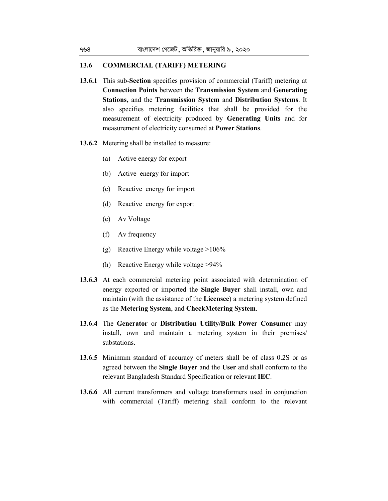### **13.6 COMMERCIAL (TARIFF) METERING**

- **13.6.1** This sub-**Section** specifies provision of commercial (Tariff) metering at **Connection Points** between the **Transmission System** and **Generating Stations,** and the **Transmission System** and **Distribution Systems**. It also specifies metering facilities that shall be provided for the measurement of electricity produced by **Generating Units** and for measurement of electricity consumed at **Power Stations**.
- **13.6.2** Metering shall be installed to measure:
	- (a) Active energy for export
	- (b) Active energy for import
	- (c) Reactive energy for import
	- (d) Reactive energy for export
	- (e) Av Voltage
	- (f) Av frequency
	- (g) Reactive Energy while voltage >106%
	- (h) Reactive Energy while voltage >94%
- **13.6.3** At each commercial metering point associated with determination of energy exported or imported the **Single Buyer** shall install, own and maintain (with the assistance of the **Licensee**) a metering system defined as the **Metering System**, and **CheckMetering System**.
- **13.6.4** The **Generator** or **Distribution Utility/Bulk Power Consumer** may install, own and maintain a metering system in their premises/ substations.
- **13.6.5** Minimum standard of accuracy of meters shall be of class 0.2S or as agreed between the **Single Buyer** and the **User** and shall conform to the relevant Bangladesh Standard Specification or relevant **IEC**.
- **13.6.6** All current transformers and voltage transformers used in conjunction with commercial (Tariff) metering shall conform to the relevant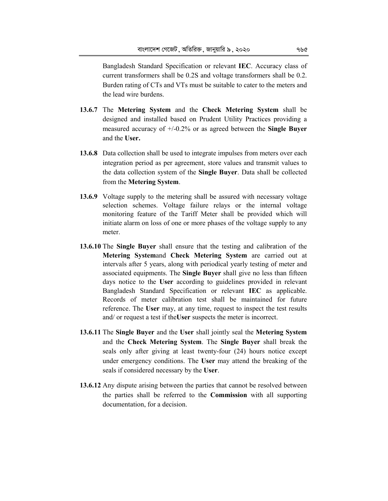Bangladesh Standard Specification or relevant **IEC**. Accuracy class of current transformers shall be 0.2S and voltage transformers shall be 0.2. Burden rating of CTs and VTs must be suitable to cater to the meters and the lead wire burdens.

- **13.6.7** The **Metering System** and the **Check Metering System** shall be designed and installed based on Prudent Utility Practices providing a measured accuracy of +/-0.2% or as agreed between the **Single Buyer**  and the **User.**
- **13.6.8** Data collection shall be used to integrate impulses from meters over each integration period as per agreement, store values and transmit values to the data collection system of the **Single Buyer**. Data shall be collected from the **Metering System**.
- **13.6.9** Voltage supply to the metering shall be assured with necessary voltage selection schemes. Voltage failure relays or the internal voltage monitoring feature of the Tariff Meter shall be provided which will initiate alarm on loss of one or more phases of the voltage supply to any meter.
- **13.6.10** The **Single Buyer** shall ensure that the testing and calibration of the **Metering System**and **Check Metering System** are carried out at intervals after 5 years, along with periodical yearly testing of meter and associated equipments. The **Single Buyer** shall give no less than fifteen days notice to the **User** according to guidelines provided in relevant Bangladesh Standard Specification or relevant **IEC** as applicable. Records of meter calibration test shall be maintained for future reference. The **User** may, at any time, request to inspect the test results and/ or request a test if the**User** suspects the meter is incorrect.
- **13.6.11** The **Single Buyer** and the **User** shall jointly seal the **Metering System** and the **Check Metering System**. The **Single Buyer** shall break the seals only after giving at least twenty-four (24) hours notice except under emergency conditions. The **User** may attend the breaking of the seals if considered necessary by the **User**.
- **13.6.12** Any dispute arising between the parties that cannot be resolved between the parties shall be referred to the **Commission** with all supporting documentation, for a decision.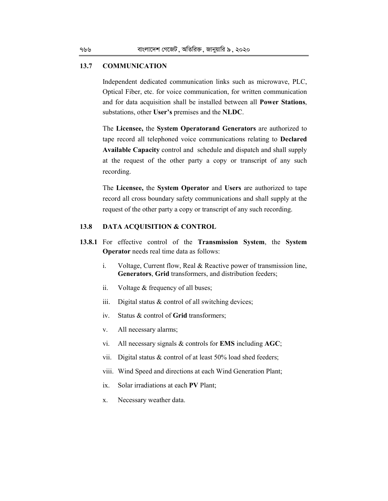## **13.7 COMMUNICATION**

 Independent dedicated communication links such as microwave, PLC, Optical Fiber, etc. for voice communication, for written communication and for data acquisition shall be installed between all **Power Stations**, substations, other **User's** premises and the **NLDC**.

 The **Licensee,** the **System Operatorand Generators** are authorized to tape record all telephoned voice communications relating to **Declared Available Capacity** control and schedule and dispatch and shall supply at the request of the other party a copy or transcript of any such recording.

 The **Licensee,** the **System Operator** and **Users** are authorized to tape record all cross boundary safety communications and shall supply at the request of the other party a copy or transcript of any such recording.

## **13.8 DATA ACQUISITION & CONTROL**

- **13.8.1** For effective control of the **Transmission System**, the **System Operator** needs real time data as follows:
	- i. Voltage, Current flow, Real & Reactive power of transmission line, **Generators**, **Grid** transformers, and distribution feeders;
	- ii. Voltage & frequency of all buses;
	- iii. Digital status  $&$  control of all switching devices;
	- iv. Status & control of **Grid** transformers;
	- v. All necessary alarms;
	- vi. All necessary signals & controls for **EMS** including **AGC**;
	- vii. Digital status & control of at least 50% load shed feeders;
	- viii. Wind Speed and directions at each Wind Generation Plant;
	- ix. Solar irradiations at each **PV** Plant;
	- x. Necessary weather data.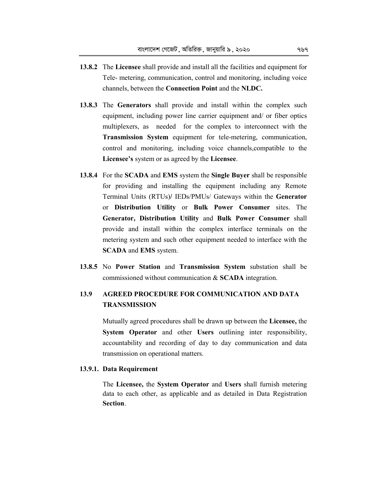- **13.8.2** The **Licensee** shall provide and install all the facilities and equipment for Tele- metering, communication, control and monitoring, including voice channels, between the **Connection Point** and the **NLDC.**
- **13.8.3** The **Generators** shall provide and install within the complex such equipment, including power line carrier equipment and/ or fiber optics multiplexers, as needed for the complex to interconnect with the **Transmission System** equipment for tele-metering, communication, control and monitoring, including voice channels,compatible to the **Licensee's** system or as agreed by the **Licensee**.
- **13.8.4** For the **SCADA** and **EMS** system the **Single Buyer** shall be responsible for providing and installing the equipment including any Remote Terminal Units (RTUs)**/** IEDs/PMUs/ Gateways within the **Generator**  or **Distribution Utility** or **Bulk Power Consumer** sites. The **Generator, Distribution Utility** and **Bulk Power Consumer** shall provide and install within the complex interface terminals on the metering system and such other equipment needed to interface with the **SCADA** and **EMS** system.
- **13.8.5** No **Power Station** and **Transmission System** substation shall be commissioned without communication & **SCADA** integration.

# **13.9 AGREED PROCEDURE FOR COMMUNICATION AND DATA TRANSMISSION**

 Mutually agreed procedures shall be drawn up between the **Licensee,** the **System Operator** and other **Users** outlining inter responsibility, accountability and recording of day to day communication and data transmission on operational matters.

### **13.9.1. Data Requirement**

 The **Licensee,** the **System Operator** and **Users** shall furnish metering data to each other, as applicable and as detailed in Data Registration **Section**.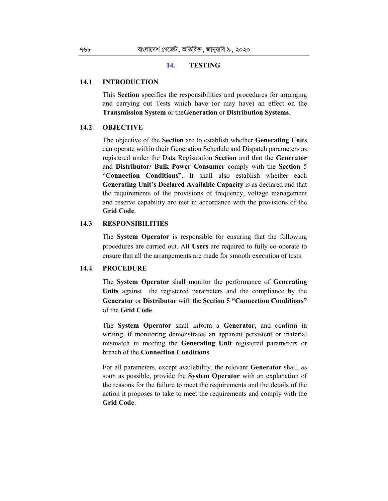### **14. TESTING**

### **14.1 INTRODUCTION**

 This **Section** specifies the responsibilities and procedures for arranging and carrying out Tests which have (or may have) an effect on the **Transmission System** or the**Generation** or **Distribution Systems**.

### **14.2 OBJECTIVE**

 The objective of the **Section** are to establish whether **Generating Units**  can operate within their Generation Schedule and Dispatch parameters as registered under the Data Registration **Section** and that the **Generator**  and **Distributor/ Bulk Power Consumer** comply with the **Section** 5 "**Connection Conditions"**. It shall also establish whether each **Generating Unit's Declared Available Capacity** is as declared and that the requirements of the provisions of frequency, voltage management and reserve capability are met in accordance with the provisions of the **Grid Code**.

### **14.3 RESPONSIBILITIES**

 The **System Operator** is responsible for ensuring that the following procedures are carried out. All **Users** are required to fully co-operate to ensure that all the arrangements are made for smooth execution of tests.

### **14.4 PROCEDURE**

 The **System Operator** shall monitor the performance of **Generating Units** against the registered parameters and the compliance by the **Generator** or **Distributor** with the **Section 5 "Connection Conditions"**  of the **Grid Code**.

 The **System Operator** shall inform a **Generator**, and confirm in writing, if monitoring demonstrates an apparent persistent or material mismatch in meeting the **Generating Unit** registered parameters or breach of the **Connection Conditions**.

 For all parameters, except availability, the relevant **Generator** shall, as soon as possible, provide the **System Operator** with an explanation of the reasons for the failure to meet the requirements and the details of the action it proposes to take to meet the requirements and comply with the **Grid Code**.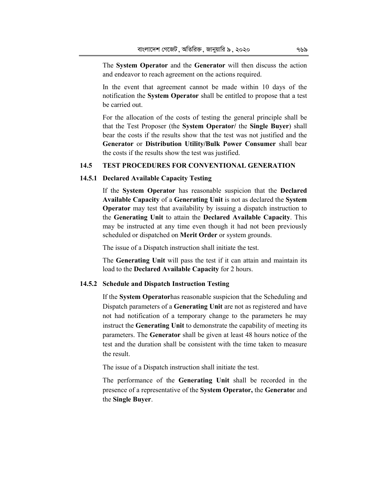The **System Operator** and the **Generator** will then discuss the action and endeavor to reach agreement on the actions required.

 In the event that agreement cannot be made within 10 days of the notification the **System Operator** shall be entitled to propose that a test be carried out.

 For the allocation of the costs of testing the general principle shall be that the Test Proposer (the **System Operator/** the **Single Buyer**) shall bear the costs if the results show that the test was not justified and the **Generator** or **Distribution Utility/Bulk Power Consumer** shall bear the costs if the results show the test was justified.

### **14.5 TEST PROCEDURES FOR CONVENTIONAL GENERATION**

### **14.5.1 Declared Available Capacity Testing**

 If the **System Operator** has reasonable suspicion that the **Declared Available Capacity** of a **Generating Unit** is not as declared the **System Operator** may test that availability by issuing a dispatch instruction to the **Generating Unit** to attain the **Declared Available Capacity**. This may be instructed at any time even though it had not been previously scheduled or dispatched on **Merit Order** or system grounds.

The issue of a Dispatch instruction shall initiate the test.

 The **Generating Unit** will pass the test if it can attain and maintain its load to the **Declared Available Capacity** for 2 hours.

#### **14.5.2 Schedule and Dispatch Instruction Testing**

 If the **System Operator**has reasonable suspicion that the Scheduling and Dispatch parameters of a **Generating Unit** are not as registered and have not had notification of a temporary change to the parameters he may instruct the **Generating Unit** to demonstrate the capability of meeting its parameters. The **Generator** shall be given at least 48 hours notice of the test and the duration shall be consistent with the time taken to measure the result.

The issue of a Dispatch instruction shall initiate the test.

 The performance of the **Generating Unit** shall be recorded in the presence of a representative of the **System Operator,** the **Generato**r and the **Single Buyer**.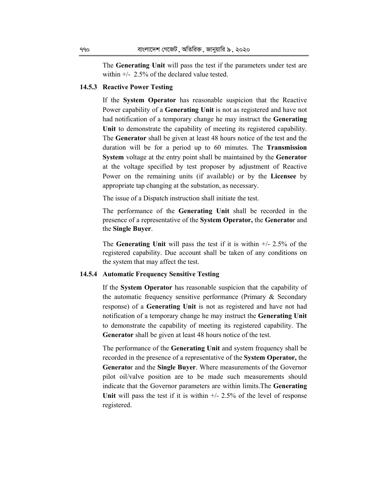The **Generating Unit** will pass the test if the parameters under test are within +/- 2.5% of the declared value tested.

### **14.5.3 Reactive Power Testing**

 If the **System Operator** has reasonable suspicion that the Reactive Power capability of a **Generating Unit** is not as registered and have not had notification of a temporary change he may instruct the **Generating Unit** to demonstrate the capability of meeting its registered capability. The **Generator** shall be given at least 48 hours notice of the test and the duration will be for a period up to 60 minutes. The **Transmission System** voltage at the entry point shall be maintained by the **Generator**  at the voltage specified by test proposer by adjustment of Reactive Power on the remaining units (if available) or by the **Licensee** by appropriate tap changing at the substation, as necessary.

The issue of a Dispatch instruction shall initiate the test.

 The performance of the **Generating Unit** shall be recorded in the presence of a representative of the **System Operator,** the **Generato**r and the **Single Buyer**.

 The **Generating Unit** will pass the test if it is within +/- 2.5% of the registered capability. Due account shall be taken of any conditions on the system that may affect the test.

### **14.5.4 Automatic Frequency Sensitive Testing**

 If the **System Operator** has reasonable suspicion that the capability of the automatic frequency sensitive performance (Primary & Secondary response) of a **Generating Unit** is not as registered and have not had notification of a temporary change he may instruct the **Generating Unit**  to demonstrate the capability of meeting its registered capability. The **Generator** shall be given at least 48 hours notice of the test.

 The performance of the **Generating Unit** and system frequency shall be recorded in the presence of a representative of the **System Operator,** the **Generato**r and the **Single Buyer**. Where measurements of the Governor pilot oil/valve position are to be made such measurements should indicate that the Governor parameters are within limits.The **Generating Unit** will pass the test if it is within  $+/- 2.5\%$  of the level of response registered.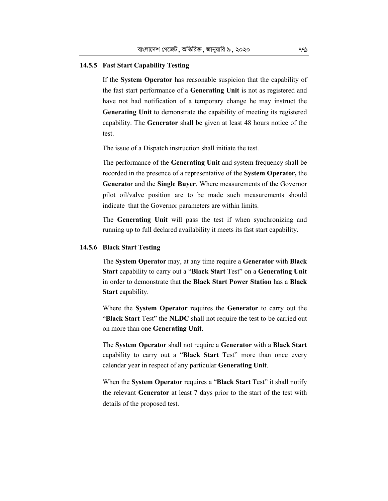# **14.5.5 Fast Start Capability Testing**

 If the **System Operator** has reasonable suspicion that the capability of the fast start performance of a **Generating Unit** is not as registered and have not had notification of a temporary change he may instruct the **Generating Unit** to demonstrate the capability of meeting its registered capability. The **Generator** shall be given at least 48 hours notice of the test.

The issue of a Dispatch instruction shall initiate the test.

 The performance of the **Generating Unit** and system frequency shall be recorded in the presence of a representative of the **System Operator,** the **Generato**r and the **Single Buyer**. Where measurements of the Governor pilot oil/valve position are to be made such measurements should indicate that the Governor parameters are within limits.

 The **Generating Unit** will pass the test if when synchronizing and running up to full declared availability it meets its fast start capability.

### **14.5.6 Black Start Testing**

 The **System Operator** may, at any time require a **Generator** with **Black Start** capability to carry out a "**Black Start** Test" on a **Generating Unit**  in order to demonstrate that the **Black Start Power Station** has a **Black Start** capability.

 Where the **System Operator** requires the **Generator** to carry out the "**Black Start** Test" the **NLDC** shall not require the test to be carried out on more than one **Generating Unit**.

 The **System Operator** shall not require a **Generator** with a **Black Start**  capability to carry out a "**Black Start** Test" more than once every calendar year in respect of any particular **Generating Unit**.

 When the **System Operator** requires a "**Black Start** Test" it shall notify the relevant **Generator** at least 7 days prior to the start of the test with details of the proposed test.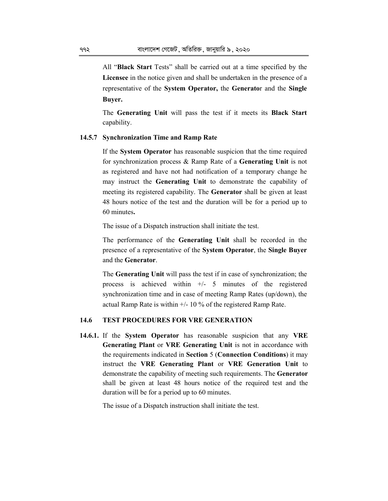All "**Black Start** Tests" shall be carried out at a time specified by the **Licensee** in the notice given and shall be undertaken in the presence of a representative of the **System Operator,** the **Generato**r and the **Single Buyer.**

 The **Generating Unit** will pass the test if it meets its **Black Start** capability.

### **14.5.7 Synchronization Time and Ramp Rate**

 If the **System Operator** has reasonable suspicion that the time required for synchronization process & Ramp Rate of a **Generating Unit** is not as registered and have not had notification of a temporary change he may instruct the **Generating Unit** to demonstrate the capability of meeting its registered capability. The **Generator** shall be given at least 48 hours notice of the test and the duration will be for a period up to 60 minutes**.** 

The issue of a Dispatch instruction shall initiate the test.

 The performance of the **Generating Unit** shall be recorded in the presence of a representative of the **System Operator**, the **Single Buyer**  and the **Generator**.

 The **Generating Unit** will pass the test if in case of synchronization; the process is achieved within +/- 5 minutes of the registered synchronization time and in case of meeting Ramp Rates (up/down), the actual Ramp Rate is within  $+/- 10\%$  of the registered Ramp Rate.

# **14.6 TEST PROCEDURES FOR VRE GENERATION**

**14.6.1.** If the **System Operator** has reasonable suspicion that any **VRE Generating Plant** or **VRE Generating Unit** is not in accordance with the requirements indicated in **Section** 5 (**Connection Conditions**) it may instruct the **VRE Generating Plant** or **VRE Generation Unit** to demonstrate the capability of meeting such requirements. The **Generator** shall be given at least 48 hours notice of the required test and the duration will be for a period up to 60 minutes.

The issue of a Dispatch instruction shall initiate the test.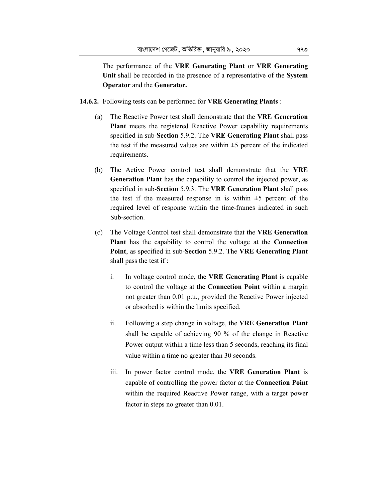The performance of the **VRE Generating Plant** or **VRE Generating Unit** shall be recorded in the presence of a representative of the **System Operator** and the **Generator.** 

- **14.6.2.** Following tests can be performed for **VRE Generating Plants** :
	- (a) The Reactive Power test shall demonstrate that the **VRE Generation Plant** meets the registered Reactive Power capability requirements specified in sub-**Section** 5.9.2. The **VRE Generating Plant** shall pass the test if the measured values are within  $\pm 5$  percent of the indicated requirements.
	- (b) The Active Power control test shall demonstrate that the **VRE Generation Plant** has the capability to control the injected power, as specified in sub-**Section** 5.9.3. The **VRE Generation Plant** shall pass the test if the measured response in is within  $\pm 5$  percent of the required level of response within the time-frames indicated in such Sub-section.
	- (c) The Voltage Control test shall demonstrate that the **VRE Generation Plant** has the capability to control the voltage at the **Connection Point**, as specified in sub-**Section** 5.9.2. The **VRE Generating Plant** shall pass the test if :
		- i. In voltage control mode, the **VRE Generating Plant** is capable to control the voltage at the **Connection Point** within a margin not greater than 0.01 p.u., provided the Reactive Power injected or absorbed is within the limits specified.
		- ii. Following a step change in voltage, the **VRE Generation Plant**  shall be capable of achieving 90 % of the change in Reactive Power output within a time less than 5 seconds, reaching its final value within a time no greater than 30 seconds.
		- iii. In power factor control mode, the **VRE Generation Plant** is capable of controlling the power factor at the **Connection Point** within the required Reactive Power range, with a target power factor in steps no greater than 0.01.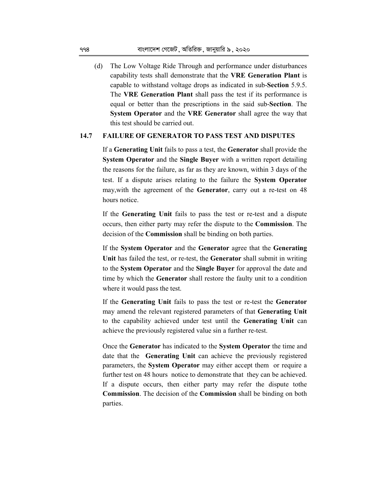(d) The Low Voltage Ride Through and performance under disturbances capability tests shall demonstrate that the **VRE Generation Plant** is capable to withstand voltage drops as indicated in sub-**Section** 5.9.5. The **VRE Generation Plant** shall pass the test if its performance is equal or better than the prescriptions in the said sub-**Section**. The **System Operator** and the **VRE Generator** shall agree the way that this test should be carried out.

## **14.7 FAILURE OF GENERATOR TO PASS TEST AND DISPUTES**

 If a **Generating Unit** fails to pass a test, the **Generator** shall provide the **System Operator** and the **Single Buyer** with a written report detailing the reasons for the failure, as far as they are known, within 3 days of the test. If a dispute arises relating to the failure the **System Operator** may,with the agreement of the **Generator**, carry out a re-test on 48 hours notice.

 If the **Generating Unit** fails to pass the test or re-test and a dispute occurs, then either party may refer the dispute to the **Commission**. The decision of the **Commission** shall be binding on both parties.

 If the **System Operator** and the **Generator** agree that the **Generating Unit** has failed the test, or re-test, the **Generator** shall submit in writing to the **System Operator** and the **Single Buyer** for approval the date and time by which the **Generator** shall restore the faulty unit to a condition where it would pass the test.

 If the **Generating Unit** fails to pass the test or re-test the **Generator**  may amend the relevant registered parameters of that **Generating Unit**  to the capability achieved under test until the **Generating Unit** can achieve the previously registered value sin a further re-test.

 Once the **Generator** has indicated to the **System Operator** the time and date that the **Generating Unit** can achieve the previously registered parameters, the **System Operator** may either accept them or require a further test on 48 hours notice to demonstrate that they can be achieved. If a dispute occurs, then either party may refer the dispute tothe **Commission**. The decision of the **Commission** shall be binding on both parties.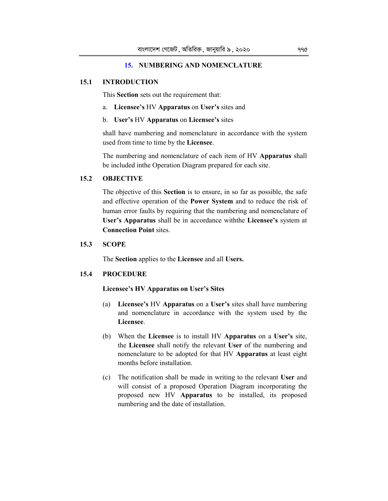# **15. NUMBERING AND NOMENCLATURE**

#### **15.1 INTRODUCTION**

This **Section** sets out the requirement that:

- a. **Licensee's** HV **Apparatus** on **User's** sites and
- b. **User's** HV **Apparatus** on **Licensee's** sites

 shall have numbering and nomenclature in accordance with the system used from time to time by the **Licensee**.

 The numbering and nomenclature of each item of HV **Apparatus** shall be included inthe Operation Diagram prepared for each site.

## **15.2 OBJECTIVE**

 The objective of this **Section** is to ensure, in so far as possible, the safe and effective operation of the **Power System** and to reduce the risk of human error faults by requiring that the numbering and nomenclature of **User's Apparatus** shall be in accordance withthe **Licensee's** system at **Connection Point** sites.

# **15.3 SCOPE**

The **Section** applies to the **Licensee** and all **Users.** 

#### **15.4 PROCEDURE**

#### **Licensee's HV Apparatus on User's Sites**

- (a) **Licensee's** HV **Apparatus** on a **User's** sites shall have numbering and nomenclature in accordance with the system used by the **Licensee**.
- (b) When the **Licensee** is to install HV **Apparatus** on a **User's** site, the **Licensee** shall notify the relevant **User** of the numbering and nomenclature to be adopted for that HV **Apparatus** at least eight months before installation.
- (c) The notification shall be made in writing to the relevant **User** and will consist of a proposed Operation Diagram incorporating the proposed new HV **Apparatus** to be installed, its proposed numbering and the date of installation.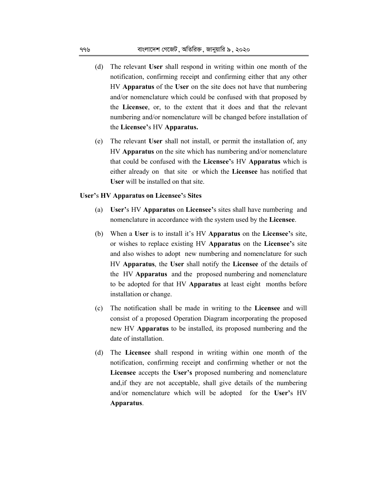- (d) The relevant **User** shall respond in writing within one month of the notification, confirming receipt and confirming either that any other HV **Apparatus** of the **User** on the site does not have that numbering and/or nomenclature which could be confused with that proposed by the **Licensee**, or, to the extent that it does and that the relevant numbering and/or nomenclature will be changed before installation of the **Licensee'**s HV **Apparatus.**
- (e) The relevant **User** shall not install, or permit the installation of, any HV **Apparatus** on the site which has numbering and/or nomenclature that could be confused with the **Licensee'**s HV **Apparatus** which is either already on that site or which the **Licensee** has notified that **User** will be installed on that site.

#### **User'**s **HV Apparatus on Licensee'**s **Sites**

- (a) **User'**s HV **Apparatus** on **Licensee'**s sites shall have numbering and nomenclature in accordance with the system used by the **Licensee**.
- (b) When a **User** is to install it's HV **Apparatus** on the **Licensee'**s site, or wishes to replace existing HV **Apparatus** on the **Licensee'**s site and also wishes to adopt new numbering and nomenclature for such HV **Apparatus**, the **User** shall notify the **Licensee** of the details of the HV **Apparatus** and the proposed numbering and nomenclature to be adopted for that HV **Apparatus** at least eight months before installation or change.
- (c) The notification shall be made in writing to the **Licensee** and will consist of a proposed Operation Diagram incorporating the proposed new HV **Apparatus** to be installed, its proposed numbering and the date of installation.
- (d) The **Licensee** shall respond in writing within one month of the notification, confirming receipt and confirming whether or not the **Licensee** accepts the **User's** proposed numbering and nomenclature and,if they are not acceptable, shall give details of the numbering and/or nomenclature which will be adopted for the **User'**s HV **Apparatus**.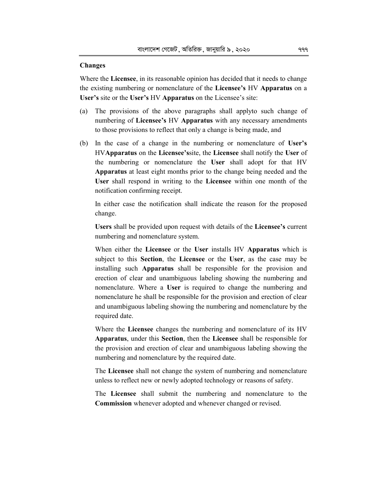### **Changes**

Where the **Licensee**, in its reasonable opinion has decided that it needs to change the existing numbering or nomenclature of the **Licensee's** HV **Apparatus** on a **User's** site or the **User's** HV **Apparatus** on the Licensee's site:

- (a) The provisions of the above paragraphs shall applyto such change of numbering of **Licensee's** HV **Apparatus** with any necessary amendments to those provisions to reflect that only a change is being made, and
- (b) In the case of a change in the numbering or nomenclature of **User's**  HV**Apparatus** on the **Licensee's**site, the **Licensee** shall notify the **User** of the numbering or nomenclature the **User** shall adopt for that HV **Apparatus** at least eight months prior to the change being needed and the **User** shall respond in writing to the **Licensee** within one month of the notification confirming receipt.

 In either case the notification shall indicate the reason for the proposed change.

 **Users** shall be provided upon request with details of the **Licensee's** current numbering and nomenclature system.

 When either the **Licensee** or the **User** installs HV **Apparatus** which is subject to this **Section**, the **Licensee** or the **User**, as the case may be installing such **Apparatus** shall be responsible for the provision and erection of clear and unambiguous labeling showing the numbering and nomenclature. Where a **User** is required to change the numbering and nomenclature he shall be responsible for the provision and erection of clear and unambiguous labeling showing the numbering and nomenclature by the required date.

 Where the **Licensee** changes the numbering and nomenclature of its HV **Apparatus**, under this **Section**, then the **Licensee** shall be responsible for the provision and erection of clear and unambiguous labeling showing the numbering and nomenclature by the required date.

 The **Licensee** shall not change the system of numbering and nomenclature unless to reflect new or newly adopted technology or reasons of safety.

 The **Licensee** shall submit the numbering and nomenclature to the **Commission** whenever adopted and whenever changed or revised.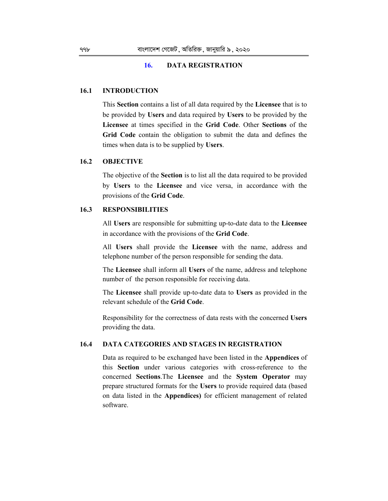### **16. DATA REGISTRATION**

### **16.1 INTRODUCTION**

 This **Section** contains a list of all data required by the **Licensee** that is to be provided by **Users** and data required by **Users** to be provided by the **Licensee** at times specified in the **Grid Code**. Other **Sections** of the **Grid Code** contain the obligation to submit the data and defines the times when data is to be supplied by **Users**.

### **16.2 OBJECTIVE**

 The objective of the **Section** is to list all the data required to be provided by **Users** to the **Licensee** and vice versa, in accordance with the provisions of the **Grid Code**.

### **16.3 RESPONSIBILITIES**

 All **Users** are responsible for submitting up-to-date data to the **Licensee** in accordance with the provisions of the **Grid Code**.

 All **Users** shall provide the **Licensee** with the name, address and telephone number of the person responsible for sending the data.

 The **Licensee** shall inform all **Users** of the name, address and telephone number of the person responsible for receiving data.

 The **Licensee** shall provide up-to-date data to **Users** as provided in the relevant schedule of the **Grid Code**.

 Responsibility for the correctness of data rests with the concerned **Users**  providing the data.

## **16.4 DATA CATEGORIES AND STAGES IN REGISTRATION**

 Data as required to be exchanged have been listed in the **Appendices** of this **Section** under various categories with cross-reference to the concerned **Sections**.The **Licensee** and the **System Operator** may prepare structured formats for the **Users** to provide required data (based on data listed in the **Appendices)** for efficient management of related software.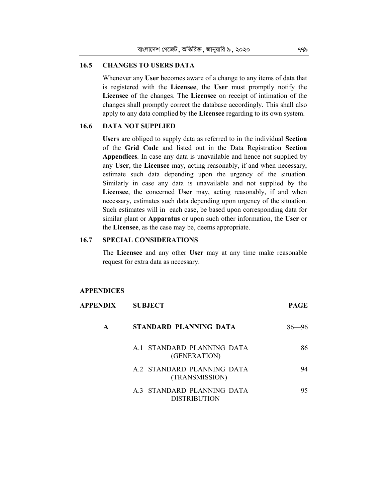### **16.5 CHANGES TO USERS DATA**

 Whenever any **User** becomes aware of a change to any items of data that is registered with the **Licensee**, the **User** must promptly notify the **Licensee** of the changes. The **Licensee** on receipt of intimation of the changes shall promptly correct the database accordingly. This shall also apply to any data complied by the **Licensee** regarding to its own system.

# **16.6 DATA NOT SUPPLIED**

 **User**s are obliged to supply data as referred to in the individual **Section**  of the **Grid Code** and listed out in the Data Registration **Section Appendices**. In case any data is unavailable and hence not supplied by any **User**, the **Licensee** may, acting reasonably, if and when necessary, estimate such data depending upon the urgency of the situation. Similarly in case any data is unavailable and not supplied by the **Licensee**, the concerned **User** may, acting reasonably, if and when necessary, estimates such data depending upon urgency of the situation. Such estimates will in each case, be based upon corresponding data for similar plant or **Apparatus** or upon such other information, the **User** or the **Licensee**, as the case may be, deems appropriate.

# **16.7 SPECIAL CONSIDERATIONS**

 The **Licensee** and any other **User** may at any time make reasonable request for extra data as necessary.

#### **APPENDICES**

| APPENDIX | <b>SUBJECT</b>                                    | <b>PAGE</b>  |
|----------|---------------------------------------------------|--------------|
| A        | STANDARD PLANNING DATA                            | -96<br>$86-$ |
|          | A 1 STANDARD PLANNING DATA<br>(GENERATION)        | 86           |
|          | A.2 STANDARD PLANNING DATA<br>(TRANSMISSION)      | 94           |
|          | A.3 STANDARD PLANNING DATA<br><b>DISTRIBUTION</b> | 95           |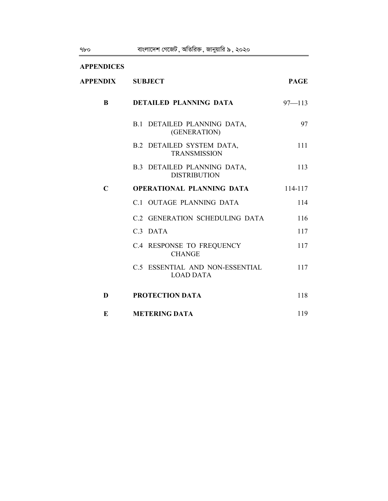| <b>APPENDICES</b> |                                                           |             |
|-------------------|-----------------------------------------------------------|-------------|
| <b>APPENDIX</b>   | <b>SUBJECT</b>                                            | <b>PAGE</b> |
| <sup>B</sup>      | <b>DETAILED PLANNING DATA</b>                             | $97 - 113$  |
|                   | <b>B.1 DETAILED PLANNING DATA,</b><br>(GENERATION)        | 97          |
|                   | <b>B.2 DETAILED SYSTEM DATA,</b><br><b>TRANSMISSION</b>   | 111         |
|                   | <b>B.3 DETAILED PLANNING DATA,</b><br><b>DISTRIBUTION</b> | 113         |
| $\mathbf C$       | OPERATIONAL PLANNING DATA                                 | 114-117     |
|                   | C.1 OUTAGE PLANNING DATA                                  | 114         |
|                   | C.2 GENERATION SCHEDULING DATA                            | 116         |
|                   | C.3 DATA                                                  | 117         |
|                   | C.4 RESPONSE TO FREQUENCY<br><b>CHANGE</b>                | 117         |
|                   | C.5 ESSENTIAL AND NON-ESSENTIAL<br><b>LOAD DATA</b>       | 117         |
| D                 | PROTECTION DATA                                           | 118         |
| E                 | <b>METERING DATA</b>                                      | 119         |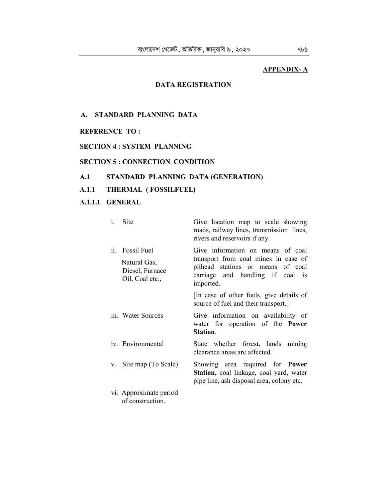# **APPENDIX- A**

# **DATA REGISTRATION**

# **A. STANDARD PLANNING DATA**

### **REFERENCE TO :**

# **SECTION 4 : SYSTEM PLANNING**

# **SECTION 5 : CONNECTION CONDITION**

# **A.1 STANDARD PLANNING DATA (GENERATION)**

# **A.1.1 THERMAL ( FOSSILFUEL)**

# **A.1.1.1 GENERAL**

| $\mathbf{i}$ . | Site                                                              | Give location map to scale showing<br>roads, railway lines, transmission lines,<br>rivers and reservoirs if any.                                                |
|----------------|-------------------------------------------------------------------|-----------------------------------------------------------------------------------------------------------------------------------------------------------------|
| ii.            | Fossil Fuel<br>Natural Gas,<br>Diesel, Furnace<br>Oil, Coal etc., | Give information on means of coal<br>transport from coal mines in case of<br>pithead stations or means of coal<br>carriage and handling if coal is<br>imported. |
|                |                                                                   | [In case of other fuels, give details of<br>source of fuel and their transport.]                                                                                |
|                | iii. Water Sources                                                | Give information on availability of<br>water for operation of the <b>Power</b><br>Station.                                                                      |
|                | iv. Environmental                                                 | State whether forest, lands mining<br>clearance areas are affected.                                                                                             |
| V.             | Site map (To Scale)                                               | Showing area required for <b>Power</b><br>Station, coal linkage, coal yard, water<br>pipe line, ash disposal area, colony etc.                                  |
|                | vi. Approximate period<br>of construction.                        |                                                                                                                                                                 |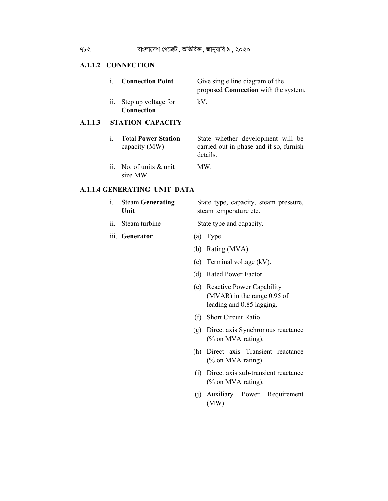# **A.1.1.2 CONNECTION**

|         | i.                | <b>Connection Point</b>                     |     | Give single line diagram of the<br>proposed <b>Connection</b> with the system.           |
|---------|-------------------|---------------------------------------------|-----|------------------------------------------------------------------------------------------|
|         | ii.               | Step up voltage for<br><b>Connection</b>    | kV. |                                                                                          |
| A.1.1.3 |                   | <b>STATION CAPACITY</b>                     |     |                                                                                          |
|         | i.                | <b>Total Power Station</b><br>capacity (MW) |     | State whether development will be<br>carried out in phase and if so, furnish<br>details. |
|         | $\overline{11}$ . | No. of units $\&$ unit<br>size MW           |     | MW.                                                                                      |
|         |                   | <b>A.1.1.4 GENERATING UNIT DATA</b>         |     |                                                                                          |
|         | 1.                | <b>Steam Generating</b><br>Unit             |     | State type, capacity, steam pressure,<br>steam temperature etc.                          |
|         | 11.               | Steam turbine                               |     | State type and capacity.                                                                 |
|         |                   | iii. Generator                              |     | $(a)$ Type.                                                                              |
|         |                   |                                             |     | (b) Rating (MVA).                                                                        |
|         |                   |                                             |     | (c) Terminal voltage (kV).                                                               |
|         |                   |                                             | (d) | Rated Power Factor.                                                                      |

- (e) Reactive Power Capability (MVAR) in the range 0.95 of leading and 0.85 lagging.
- (f) Short Circuit Ratio.
- (g) Direct axis Synchronous reactance (% on MVA rating).
- (h) Direct axis Transient reactance (% on MVA rating).
- (i) Direct axis sub-transient reactance (% on MVA rating).
- (j) Auxiliary Power Requirement (MW).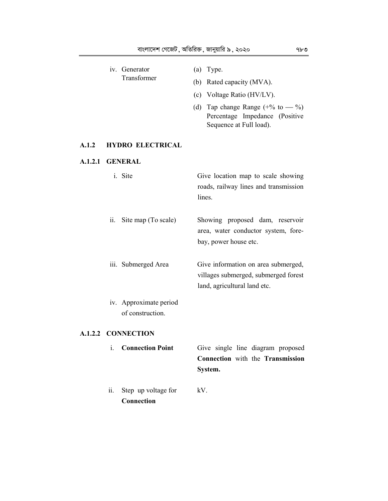|                 | ii.               | Step up voltage for<br>Connection          | kV. |                                                                                                             |
|-----------------|-------------------|--------------------------------------------|-----|-------------------------------------------------------------------------------------------------------------|
|                 |                   | <b>Connection Point</b>                    |     | Give single line diagram proposed<br>Connection with the Transmission<br>System.                            |
|                 |                   |                                            |     |                                                                                                             |
|                 |                   | A.1.2.2 CONNECTION                         |     |                                                                                                             |
|                 |                   | iv. Approximate period<br>of construction. |     |                                                                                                             |
|                 |                   | iii. Submerged Area                        |     | Give information on area submerged,<br>villages submerged, submerged forest<br>land, agricultural land etc. |
|                 | $\overline{11}$ . | Site map (To scale)                        |     | Showing proposed dam, reservoir<br>area, water conductor system, fore-<br>bay, power house etc.             |
|                 |                   | i. Site                                    |     | Give location map to scale showing<br>roads, railway lines and transmission<br>lines.                       |
| A.1.2.1 GENERAL |                   |                                            |     |                                                                                                             |
| A.1.2           |                   | <b>HYDRO ELECTRICAL</b>                    |     |                                                                                                             |
|                 |                   |                                            |     | (d) Tap change Range $(+\%$ to $-$ %)<br>Percentage Impedance (Positive<br>Sequence at Full load).          |
|                 |                   |                                            |     | (c) Voltage Ratio (HV/LV).                                                                                  |
|                 |                   | Transformer                                |     | (b) Rated capacity (MVA).                                                                                   |
|                 |                   | iv. Generator                              |     | $(a)$ Type.                                                                                                 |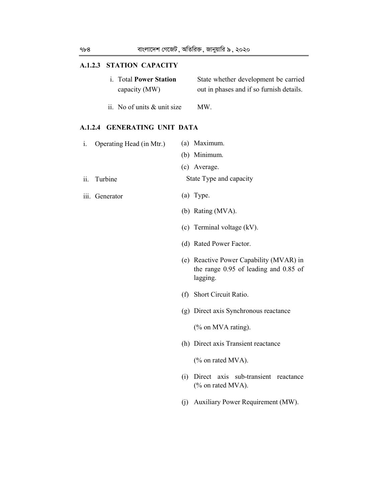### **A.1.2.3 STATION CAPACITY**

| i. Total Power Station | State whether development be carried     |
|------------------------|------------------------------------------|
| capacity (MW)          | out in phases and if so furnish details. |

ii. No of units & unit size MW.

### **A.1.2.4 GENERATING UNIT DATA**

| 1.  | Operating Head (in Mtr.) |     | (a) Maximum.                                                                                     |
|-----|--------------------------|-----|--------------------------------------------------------------------------------------------------|
|     |                          |     | (b) Minimum.                                                                                     |
|     |                          |     | (c) Average.                                                                                     |
| ii. | Turbine                  |     | State Type and capacity                                                                          |
|     | iii. Generator           |     | $(a)$ Type.                                                                                      |
|     |                          |     | (b) Rating (MVA).                                                                                |
|     |                          |     | (c) Terminal voltage $(kV)$ .                                                                    |
|     |                          |     | (d) Rated Power Factor.                                                                          |
|     |                          |     | (e) Reactive Power Capability (MVAR) in<br>the range $0.95$ of leading and $0.85$ of<br>lagging. |
|     |                          | (t) | Short Circuit Ratio.                                                                             |

(g) Direct axis Synchronous reactance

(% on MVA rating).

(h) Direct axis Transient reactance

(% on rated MVA).

- (i) Direct axis sub-transient reactance (% on rated MVA).
- (j) Auxiliary Power Requirement (MW).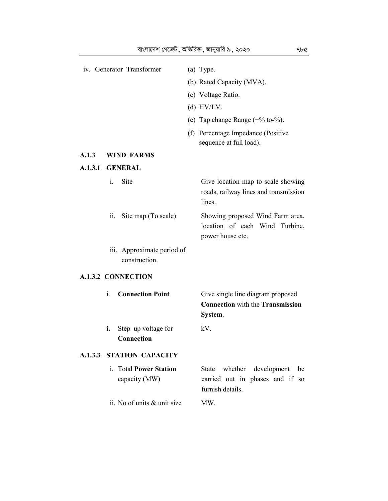| iv. Generator Transformer |     | (a) Type.                                   |                                                                                                   |
|---------------------------|-----|---------------------------------------------|---------------------------------------------------------------------------------------------------|
|                           |     |                                             | (b) Rated Capacity (MVA).                                                                         |
|                           |     |                                             | (c) Voltage Ratio.                                                                                |
|                           |     |                                             | (d) HV/LV.                                                                                        |
|                           |     |                                             | (e) Tap change Range $(+\%$ to- $\%$ ).                                                           |
|                           |     |                                             | (f) Percentage Impedance (Positive<br>sequence at full load).                                     |
| A.1.3                     |     | <b>WIND FARMS</b>                           |                                                                                                   |
| A.1.3.1                   |     | <b>GENERAL</b>                              |                                                                                                   |
|                           | i.  | Site                                        | Give location map to scale showing<br>roads, railway lines and transmission<br>lines.             |
|                           | ii. | Site map (To scale)                         | Showing proposed Wind Farm area,<br>location of each Wind Turbine,<br>power house etc.            |
|                           |     | iii. Approximate period of<br>construction. |                                                                                                   |
|                           |     | <b>A.1.3.2 CONNECTION</b>                   |                                                                                                   |
|                           | i.  | <b>Connection Point</b>                     | Give single line diagram proposed<br><b>Connection</b> with the <b>Transmission</b><br>System.    |
|                           | i.  | Step up voltage for<br>Connection           | kV.                                                                                               |
|                           |     | <b>A.1.3.3 STATION CAPACITY</b>             |                                                                                                   |
|                           |     | i. Total Power Station<br>capacity (MW)     | State whether development<br>be<br>carried out in phases and if<br>${\bf SO}$<br>furnish details. |
|                           |     | ii. No of units & unit size                 | MW.                                                                                               |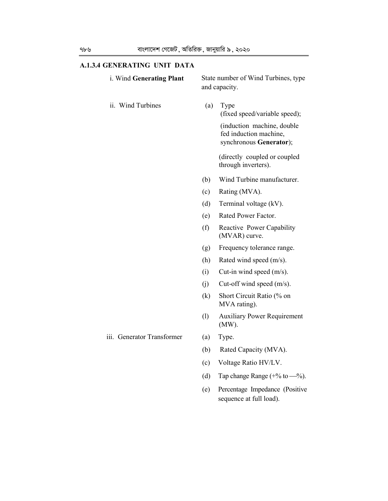# **A.1.3.4 GENERATING UNIT DATA**

| i. Wind Generating Plant   | State number of Wind Turbines, type<br>and capacity. |                                                                                 |  |
|----------------------------|------------------------------------------------------|---------------------------------------------------------------------------------|--|
| ii. Wind Turbines          | (a)                                                  | Type<br>(fixed speed/variable speed);                                           |  |
|                            |                                                      | (induction machine, double<br>fed induction machine,<br>synchronous Generator); |  |
|                            |                                                      | (directly coupled or coupled<br>through inverters).                             |  |
|                            | (b)                                                  | Wind Turbine manufacturer.                                                      |  |
|                            | (c)                                                  | Rating (MVA).                                                                   |  |
|                            | (d)                                                  | Terminal voltage (kV).                                                          |  |
|                            | (e)                                                  | Rated Power Factor.                                                             |  |
|                            | (f)                                                  | Reactive Power Capability<br>(MVAR) curve.                                      |  |
|                            | (g)                                                  | Frequency tolerance range.                                                      |  |
|                            | (h)                                                  | Rated wind speed (m/s).                                                         |  |
|                            | (i)                                                  | Cut-in wind speed $(m/s)$ .                                                     |  |
|                            | (j)                                                  | Cut-off wind speed $(m/s)$ .                                                    |  |
|                            | (k)                                                  | Short Circuit Ratio (% on<br>MVA rating).                                       |  |
|                            | (1)                                                  | <b>Auxiliary Power Requirement</b><br>$(MW)$ .                                  |  |
| iii. Generator Transformer | (a)                                                  | Type.                                                                           |  |
|                            | (b)                                                  | Rated Capacity (MVA).                                                           |  |
|                            | (c)                                                  | Voltage Ratio HV/LV.                                                            |  |
|                            | (d)                                                  | Tap change Range $(+\%$ to $-\%$ ).                                             |  |
|                            | (e)                                                  | Percentage Impedance (Positive<br>sequence at full load).                       |  |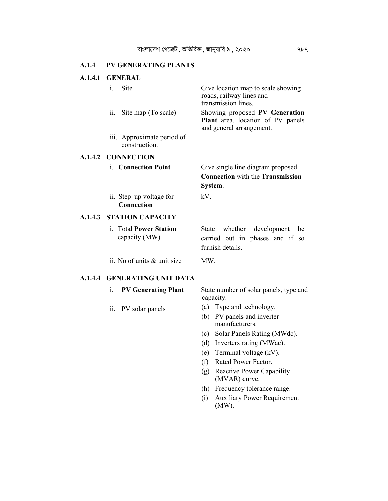# **A.1.4 PV GENERATING PLANTS**

# **A.1.4.1 GENERAL**

|         | i.<br>Site                                     | Give location map to scale showing<br>roads, railway lines and<br>transmission lines.                      |
|---------|------------------------------------------------|------------------------------------------------------------------------------------------------------------|
|         | ii.<br>Site map (To scale)                     | Showing proposed PV Generation<br>Plant area, location of PV panels<br>and general arrangement.            |
|         | iii. Approximate period of<br>construction.    |                                                                                                            |
|         | A.1.4.2 CONNECTION                             |                                                                                                            |
|         | i. Connection Point                            | Give single line diagram proposed                                                                          |
|         |                                                | <b>Connection</b> with the <b>Transmission</b>                                                             |
|         |                                                | System.                                                                                                    |
|         | ii. Step up voltage for<br><b>Connection</b>   | kV.                                                                                                        |
|         | <b>A.1.4.3 STATION CAPACITY</b>                |                                                                                                            |
|         | i. Total <b>Power Station</b><br>capacity (MW) | whether<br>State<br>development<br>be<br>carried out in phases and if<br><sub>SO</sub><br>furnish details. |
|         | ii. No of units & unit size                    | MW.                                                                                                        |
| A.1.4.4 | <b>GENERATING UNIT DATA</b>                    |                                                                                                            |
|         | i.<br><b>PV Generating Plant</b>               | State number of solar panels, type and<br>capacity.                                                        |
|         | PV solar panels<br>11.                         | (a) Type and technology.                                                                                   |
|         |                                                | PV panels and inverter<br>(b)<br>manufacturers.                                                            |
|         |                                                | Solar Panels Rating (MWdc).<br>(c)                                                                         |
|         |                                                | Inverters rating (MWac).<br>(d)                                                                            |
|         |                                                | Terminal voltage (kV).<br>(e)                                                                              |
|         |                                                | (f)<br>Rated Power Factor.                                                                                 |
|         |                                                | Reactive Power Capability<br>(g)<br>(MVAR) curve.                                                          |
|         |                                                | Frequency tolerance range.<br>(h)                                                                          |
|         |                                                | <b>Auxiliary Power Requirement</b><br>(i)<br>$(MW)$ .                                                      |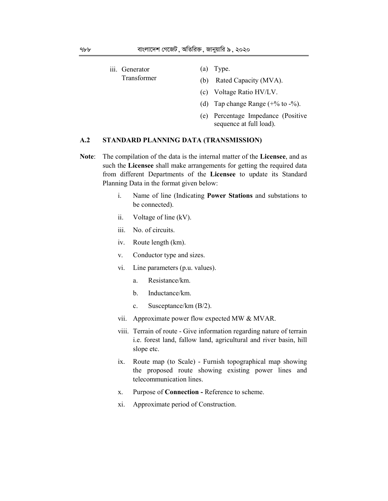- iii. Generator Transformer (a) Type. (b) Rated Capacity (MVA).
	- (c) Voltage Ratio HV/LV.
	- (d) Tap change Range  $(+\%$  to  $-\%$ ).
	- (e) Percentage Impedance (Positive sequence at full load).

# **A.2 STANDARD PLANNING DATA (TRANSMISSION)**

- **Note**: The compilation of the data is the internal matter of the **Licensee**, and as such the **Licensee** shall make arrangements for getting the required data from different Departments of the **Licensee** to update its Standard Planning Data in the format given below:
	- i. Name of line (Indicating **Power Stations** and substations to be connected).
	- ii. Voltage of line (kV).
	- iii. No. of circuits.
	- iv. Route length (km).
	- v. Conductor type and sizes.
	- vi. Line parameters (p.u. values).
		- a. Resistance/km.
		- b. Inductance/km.
		- c. Susceptance/km (B/2).
	- vii. Approximate power flow expected MW & MVAR.
	- viii. Terrain of route Give information regarding nature of terrain i.e. forest land, fallow land, agricultural and river basin, hill slope etc.
	- ix. Route map (to Scale) Furnish topographical map showing the proposed route showing existing power lines and telecommunication lines.
	- x. Purpose of **Connection** Reference to scheme.
	- xi. Approximate period of Construction.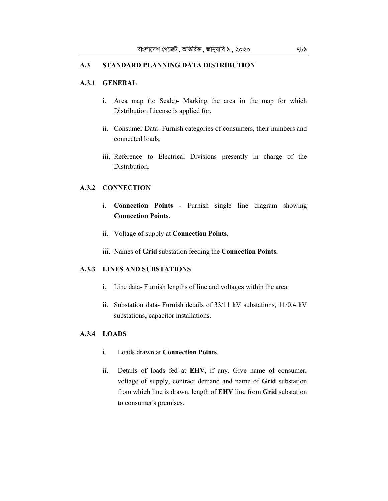### **A.3 STANDARD PLANNING DATA DISTRIBUTION**

# **A.3.1 GENERAL**

- i. Area map (to Scale)- Marking the area in the map for which Distribution License is applied for.
- ii. Consumer Data- Furnish categories of consumers, their numbers and connected loads.
- iii. Reference to Electrical Divisions presently in charge of the Distribution.

### **A.3.2 CONNECTION**

- i. **Connection Points** Furnish single line diagram showing **Connection Points**.
- ii. Voltage of supply at **Connection Points.**
- iii. Names of **Grid** substation feeding the **Connection Points.**

### **A.3.3 LINES AND SUBSTATIONS**

- i. Line data- Furnish lengths of line and voltages within the area.
- ii. Substation data- Furnish details of 33/11 kV substations, 11/0.4 kV substations, capacitor installations.

# **A.3.4 LOADS**

- i. Loads drawn at **Connection Points**.
- ii. Details of loads fed at **EHV**, if any. Give name of consumer, voltage of supply, contract demand and name of **Grid** substation from which line is drawn, length of **EHV** line from **Grid** substation to consumer's premises.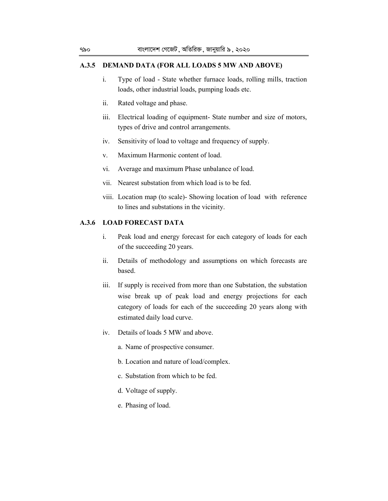# **A.3.5 DEMAND DATA (FOR ALL LOADS 5 MW AND ABOVE)**

- i. Type of load State whether furnace loads, rolling mills, traction loads, other industrial loads, pumping loads etc.
- ii. Rated voltage and phase.
- iii. Electrical loading of equipment- State number and size of motors, types of drive and control arrangements.
- iv. Sensitivity of load to voltage and frequency of supply.
- v. Maximum Harmonic content of load.
- vi. Average and maximum Phase unbalance of load.
- vii. Nearest substation from which load is to be fed.
- viii. Location map (to scale)- Showing location of load with reference to lines and substations in the vicinity.

# **A.3.6 LOAD FORECAST DATA**

- i. Peak load and energy forecast for each category of loads for each of the succeeding 20 years.
- ii. Details of methodology and assumptions on which forecasts are based.
- iii. If supply is received from more than one Substation, the substation wise break up of peak load and energy projections for each category of loads for each of the succeeding 20 years along with estimated daily load curve.
- iv. Details of loads 5 MW and above.
	- a. Name of prospective consumer.
	- b. Location and nature of load/complex.
	- c. Substation from which to be fed.
	- d. Voltage of supply.
	- e. Phasing of load.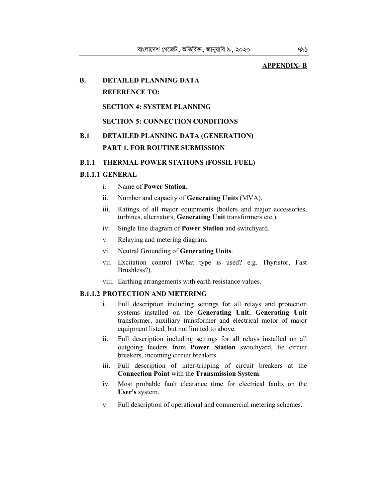### **APPENDIX- B**

### **B. DETAILED PLANNING DATA**

# **REFERENCE TO:**

## **SECTION 4: SYSTEM PLANNING**

# **SECTION 5: CONNECTION CONDITIONS**

# **B.1 DETAILED PLANNING DATA (GENERATION) PART 1. FOR ROUTINE SUBMISSION**

### **B.1.1 THERMAL POWER STATIONS (FOSSIL FUEL)**

### **B.1.1.1 GENERAL**

- i. Name of **Power Station**.
- ii. Number and capacity of **Generating Units** (MVA).
- iii. Ratings of all major equipments (boilers and major accessories, turbines, alternators, **Generating Unit** transformers etc.).
- iv. Single line diagram of **Power Station** and switchyard.
- v. Relaying and metering diagram.
- vi. Neutral Grounding of **Generating Units**.
- vii. Excitation control (What type is used? e.g. Thyristor, Fast Brushless?).
- viii. Earthing arrangements with earth resistance values.

### **B.1.1.2 PROTECTION AND METERING**

- i. Full description including settings for all relays and protection systems installed on the **Generating Unit**, **Generating Unit**  transformer, auxiliary transformer and electrical motor of major equipment listed, but not limited to above.
- ii. Full description including settings for all relays installed on all outgoing feeders from **Power Station** switchyard, tie circuit breakers, incoming circuit breakers.
- iii. Full description of inter-tripping of circuit breakers at the **Connection Point** with the **Transmission System**.
- iv. Most probable fault clearance time for electrical faults on the **User's** system.
- v. Full description of operational and commercial metering schemes.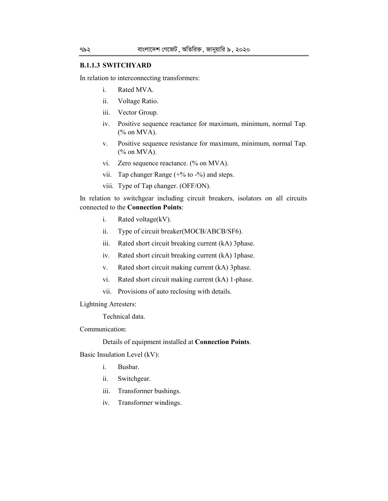### **B.1.1.3 SWITCHYARD**

In relation to interconnecting transformers:

- i. Rated MVA.
- ii. Voltage Ratio.
- iii. Vector Group.
- iv. Positive sequence reactance for maximum, minimum, normal Tap. (% on MVA).
- v. Positive sequence resistance for maximum, minimum, normal Tap. (% on MVA).
- vi. Zero sequence reactance. (% on MVA).
- vii. Tap changer Range (+% to -%) and steps.
- viii. Type of Tap changer. (OFF/ON).

In relation to switchgear including circuit breakers, isolators on all circuits connected to the **Connection Points**:

- i. Rated voltage(kV).
- ii. Type of circuit breaker(MOCB/ABCB/SF6).
- iii. Rated short circuit breaking current (kA) 3phase.
- iv. Rated short circuit breaking current (kA) 1phase.
- v. Rated short circuit making current (kA) 3phase.
- vi. Rated short circuit making current (kA) 1-phase.
- vii. Provisions of auto reclosing with details.

Lightning Arresters:

Technical data.

Communication:

Details of equipment installed at **Connection Points**.

Basic Insulation Level (kV):

- i. Busbar.
- ii. Switchgear.
- iii. Transformer bushings.
- iv. Transformer windings.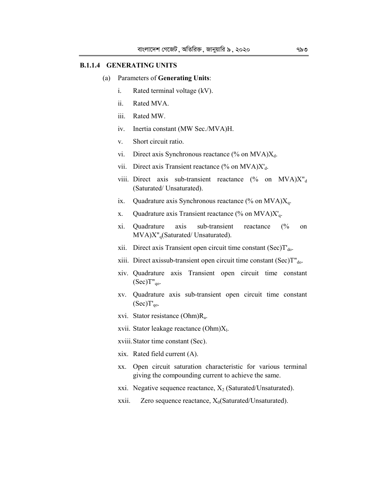### **B.1.1.4 GENERATING UNITS**

#### (a) Parameters of **Generating Units**:

- i. Rated terminal voltage (kV).
- ii. Rated MVA.
- iii. Rated MW.
- iv. Inertia constant (MW Sec./MVA)H.
- v. Short circuit ratio.
- vi. Direct axis Synchronous reactance (% on  $MVA)X_d$ .
- vii. Direct axis Transient reactance (% on  $MVA)X_d$ .
- viii. Direct axis sub-transient reactance  $(\%$  on MVA)X"<sub>d</sub> (Saturated/ Unsaturated).
- ix. Quadrature axis Synchronous reactance  $(\%$  on MVA) $X_a$ .
- x. Quadrature axis Transient reactance  $%$  on MVA) $X'_a$ .
- xi. Quadrature axis sub-transient reactance (% on MVA)X"<sub>q</sub>(Saturated/ Unsaturated).
- xii. Direct axis Transient open circuit time constant  $(Sec)T_{do}$ .
- xiii. Direct axissub-transient open circuit time constant (Sec)T"<sub>do</sub>.
- xiv. Quadrature axis Transient open circuit time constant  $(Sec)T"_{qo}$ .
- xv. Quadrature axis sub-transient open circuit time constant  $(Sec)T'_{qo}$ .
- xvi. Stator resistance (Ohm)R<sup>a</sup> .
- xvii. Stator leakage reactance (Ohm)X<sub>1</sub>.
- xviii.Stator time constant (Sec).
- xix. Rated field current (A).
- xx. Open circuit saturation characteristic for various terminal giving the compounding current to achieve the same.
- xxi. Negative sequence reactance,  $X_2$  (Saturated/Unsaturated).
- xxii. Zero sequence reactance,  $X_0$ (Saturated/Unsaturated).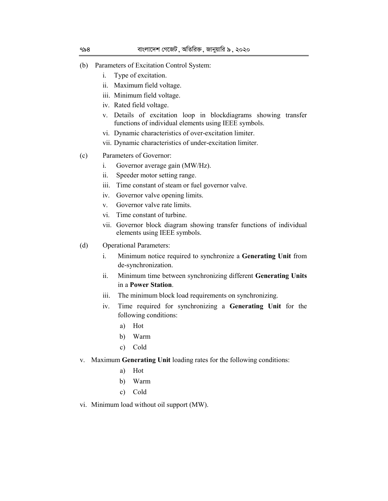- (b) Parameters of Excitation Control System:
	- i. Type of excitation.
	- ii. Maximum field voltage.
	- iii. Minimum field voltage.
	- iv. Rated field voltage.
	- v. Details of excitation loop in blockdiagrams showing transfer functions of individual elements using IEEE symbols.
	- vi. Dynamic characteristics of over-excitation limiter.
	- vii. Dynamic characteristics of under-excitation limiter.
- (c) Parameters of Governor:
	- i. Governor average gain (MW/Hz).
	- ii. Speeder motor setting range.
	- iii. Time constant of steam or fuel governor valve.
	- iv. Governor valve opening limits.
	- v. Governor valve rate limits.
	- vi. Time constant of turbine.
	- vii. Governor block diagram showing transfer functions of individual elements using IEEE symbols.
- (d) Operational Parameters:
	- i. Minimum notice required to synchronize a **Generating Unit** from de-synchronization.
	- ii. Minimum time between synchronizing different **Generating Units**  in a **Power Station**.
	- iii. The minimum block load requirements on synchronizing.
	- iv. Time required for synchronizing a **Generating Unit** for the following conditions:
		- a) Hot
		- b) Warm
		- c) Cold
- v. Maximum **Generating Unit** loading rates for the following conditions:
	- a) Hot
	- b) Warm
	- c) Cold
- vi. Minimum load without oil support (MW).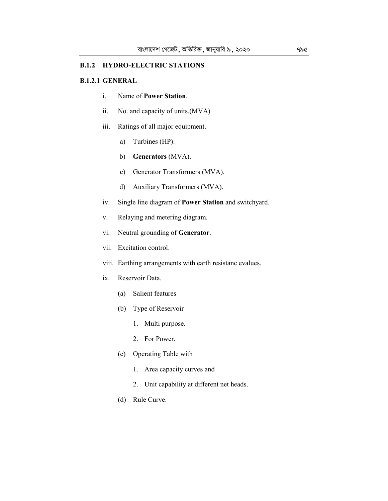#### **B.1.2 HYDRO-ELECTRIC STATIONS**

### **B.1.2.1 GENERAL**

- i. Name of **Power Station**.
- ii. No. and capacity of units.(MVA)
- iii. Ratings of all major equipment.
	- a) Turbines (HP).
	- b) **Generators** (MVA).
	- c) Generator Transformers (MVA).
	- d) Auxiliary Transformers (MVA).
- iv. Single line diagram of **Power Station** and switchyard.
- v. Relaying and metering diagram.
- vi. Neutral grounding of **Generator**.
- vii. Excitation control.
- viii. Earthing arrangements with earth resistanc evalues.
- ix. Reservoir Data.
	- (a) Salient features
	- (b) Type of Reservoir
		- 1. Multi purpose.
		- 2. For Power.
	- (c) Operating Table with
		- 1. Area capacity curves and
		- 2. Unit capability at different net heads.
	- (d) Rule Curve.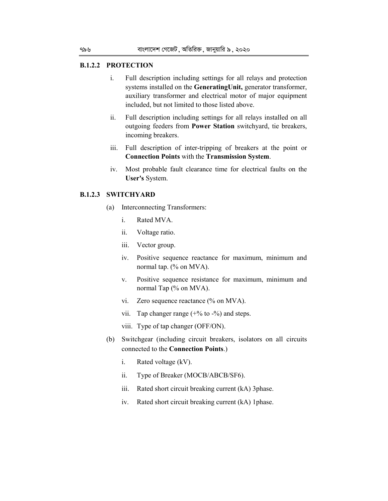### **B.1.2.2 PROTECTION**

- i. Full description including settings for all relays and protection systems installed on the **GeneratingUnit,** generator transformer, auxiliary transformer and electrical motor of major equipment included, but not limited to those listed above.
- ii. Full description including settings for all relays installed on all outgoing feeders from **Power Station** switchyard, tie breakers, incoming breakers.
- iii. Full description of inter-tripping of breakers at the point or **Connection Points** with the **Transmission System**.
- iv. Most probable fault clearance time for electrical faults on the **User's** System.

### **B.1.2.3 SWITCHYARD**

- (a) Interconnecting Transformers:
	- i. Rated MVA.
	- ii. Voltage ratio.
	- iii. Vector group.
	- iv. Positive sequence reactance for maximum, minimum and normal tap. (% on MVA).
	- v. Positive sequence resistance for maximum, minimum and normal Tap (% on MVA).
	- vi. Zero sequence reactance (% on MVA).
	- vii. Tap changer range  $(+\%$  to  $-\%$ ) and steps.
	- viii. Type of tap changer (OFF/ON).
- (b) Switchgear (including circuit breakers, isolators on all circuits connected to the **Connection Points**.)
	- i. Rated voltage (kV).
	- ii. Type of Breaker (MOCB/ABCB/SF6).
	- iii. Rated short circuit breaking current (kA) 3phase.
	- iv. Rated short circuit breaking current (kA) 1phase.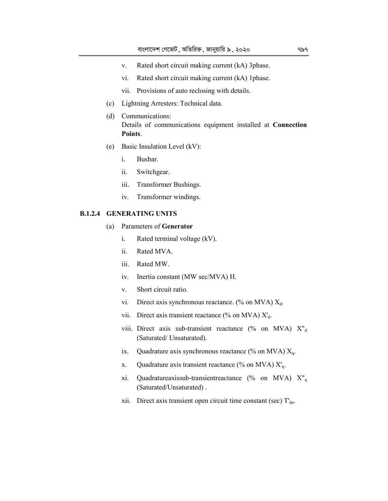- v. Rated short circuit making current (kA) 3phase.
- vi. Rated short circuit making current (kA) 1phase.
- vii. Provisions of auto reclosing with details.
- (c) Lightning Arresters: Technical data.
- (d) Communications: Details of communications equipment installed at **Connection Points**.
- (e) Basic Insulation Level (kV):
	- i. Busbar.
	- ii. Switchgear.
	- iii. Transformer Bushings.
	- iv. Transformer windings.

### **B.1.2.4 GENERATING UNITS**

- (a) Parameters of **Generator**
	- i. Rated terminal voltage (kV).
	- ii. Rated MVA.
	- iii. Rated MW.
	- iv. Inertia constant (MW sec/MVA) H.
	- v. Short circuit ratio.
	- vi. Direct axis synchronous reactance. (% on MVA)  $X_d$ .
	- vii. Direct axis transient reactance (% on MVA)  $X_d$ .
	- viii. Direct axis sub-transient reactance (% on MVA)  $X''_{d}$ (Saturated/ Unsaturated).
	- ix. Quadrature axis synchronous reactance (% on MVA)  $X_q$ .
	- x. Quadrature axis transient reactance (% on MVA)  $X<sub>q</sub>$ .
	- xi. Quadratureaxissub-transientreactance (% on MVA)  $X_{q}$ (Saturated/Unsaturated) .
	- xii. Direct axis transient open circuit time constant (sec)  $T<sub>do</sub>$ .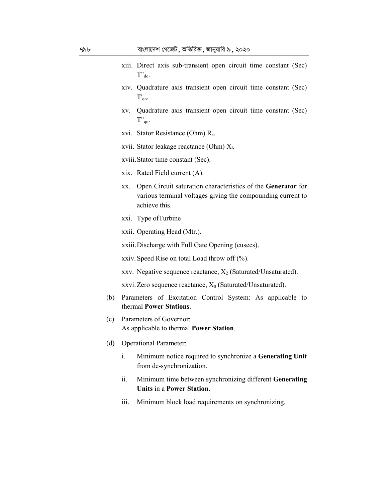- xiii. Direct axis sub-transient open circuit time constant (Sec)  $T"_{d0}$ .
- xiv. Quadrature axis transient open circuit time constant (Sec)  $T'_{qo}$ .
- xv. Quadrature axis transient open circuit time constant (Sec) T"qo.
- xvi. Stator Resistance (Ohm) R<sup>a</sup> .
- xvii. Stator leakage reactance (Ohm) X<sub>l</sub>.
- xviii.Stator time constant (Sec).
- xix. Rated Field current (A).
- xx. Open Circuit saturation characteristics of the **Generator** for various terminal voltages giving the compounding current to achieve this.
- xxi. Type ofTurbine
- xxii. Operating Head (Mtr.).
- xxiii.Discharge with Full Gate Opening (cusecs).
- xxiv.Speed Rise on total Load throw off (%).
- xxv. Negative sequence reactance,  $X_2$  (Saturated/Unsaturated).
- xxvi. Zero sequence reactance,  $X_0$  (Saturated/Unsaturated).
- (b) Parameters of Excitation Control System: As applicable to thermal **Power Stations**.
- (c) Parameters of Governor: As applicable to thermal **Power Station**.
- (d) Operational Parameter:
	- i. Minimum notice required to synchronize a **Generating Unit**  from de-synchronization.
	- ii. Minimum time between synchronizing different **Generating Units** in a **Power Station**.
	- iii. Minimum block load requirements on synchronizing.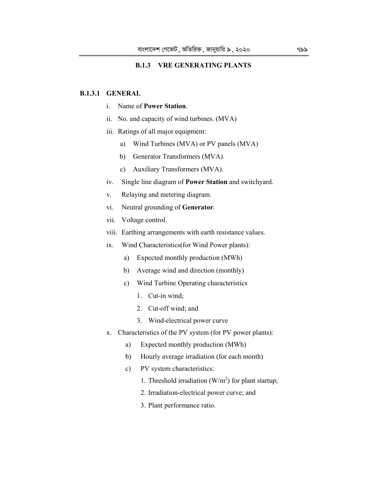# **B.1.3 VRE GENERATING PLANTS**

# **B.1.3.1 GENERAL**

- i. Name of **Power Station**.
- ii. No. and capacity of wind turbines. (MVA)
- iii. Ratings of all major equipment:
	- a) Wind Turbines (MVA) or PV panels (MVA)
	- b) Generator Transformers (MVA).
	- c) Auxiliary Transformers (MVA).
- iv. Single line diagram of **Power Station** and switchyard.
- v. Relaying and metering diagram.
- vi. Neutral grounding of **Generator**.
- vii. Voltage control.
- viii. Earthing arrangements with earth resistance values.
- ix. Wind Characteristics(for Wind Power plants):
	- a) Expected monthly production (MWh)
	- b) Average wind and direction (monthly)
	- c) Wind Turbine Operating characteristics
		- 1. Cut-in wind;
		- 2. Cut-off wind; and
		- 3. Wind-electrical power curve
- x. Characteristics of the PV system (for PV power plants):
	- a) Expected monthly production (MWh)
	- b) Hourly average irradiation (for each month)
	- c) PV system characteristics:
		- 1. Threshold irradiation  $(W/m^2)$  for plant startup;
		- 2. Irradiation-electrical power curve; and
		- 3. Plant performance ratio.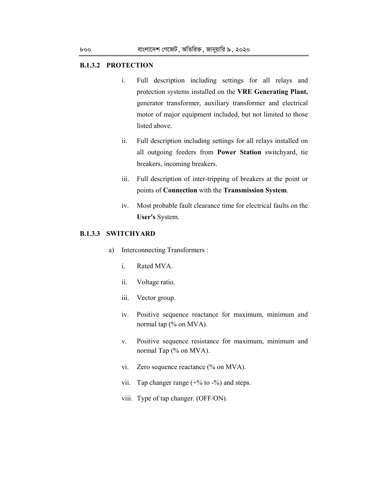#### **B.1.3.2 PROTECTION**

- i. Full description including settings for all relays and protection systems installed on the **VRE Generating Plant,** generator transformer, auxiliary transformer and electrical motor of major equipment included, but not limited to those listed above.
- ii. Full description including settings for all relays installed on all outgoing feeders from **Power Station** switchyard, tie breakers, incoming breakers.
- iii. Full description of inter-tripping of breakers at the point or points of **Connection** with the **Transmission System**.
- iv. Most probable fault clearance time for electrical faults on the **User's** System.

#### **B.1.3.3 SWITCHYARD**

- a) Interconnecting Transformers :
	- i. Rated MVA.
	- ii. Voltage ratio.
	- iii. Vector group.
	- iv. Positive sequence reactance for maximum, minimum and normal tap (% on MVA).
	- v. Positive sequence resistance for maximum, minimum and normal Tap (% on MVA).
	- vi. Zero sequence reactance (% on MVA).
	- vii. Tap changer range  $(+\%$  to  $-\%$ ) and steps.
	- viii. Type of tap changer. (OFF/ON).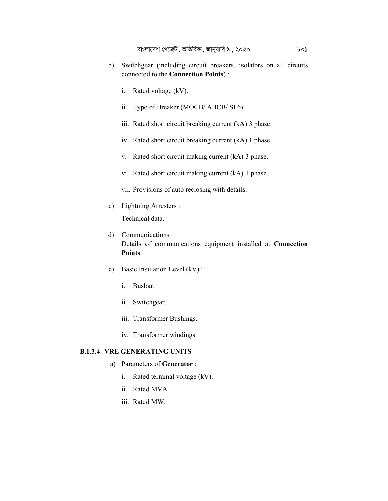- b) Switchgear (including circuit breakers, isolators on all circuits connected to the **Connection Points**) :
	- i. Rated voltage (kV).
	- ii. Type of Breaker (MOCB/ ABCB/ SF6).
	- iii. Rated short circuit breaking current (kA) 3 phase.
	- iv. Rated short circuit breaking current (kA) 1 phase.
	- v. Rated short circuit making current (kA) 3 phase.
	- vi. Rated short circuit making current (kA) 1 phase.
	- vii. Provisions of auto reclosing with details.
- c) Lightning Arresters :

Technical data.

- d) Communications : Details of communications equipment installed at **Connection Points**.
- e) Basic Insulation Level (kV) :
	- i. Busbar.
	- ii. Switchgear.
	- iii. Transformer Bushings.
	- iv. Transformer windings.

# **B.1.3.4 VRE GENERATING UNITS**

- a) Parameters of **Generator** :
	- i. Rated terminal voltage (kV).
	- ii. Rated MVA.
	- iii. Rated MW.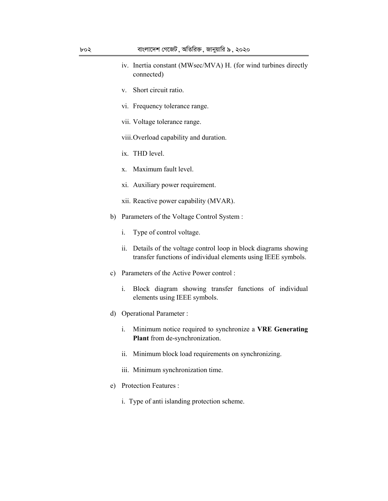- iv. Inertia constant (MWsec/MVA) H. (for wind turbines directly connected)
- v. Short circuit ratio.
- vi. Frequency tolerance range.
- vii. Voltage tolerance range.
- viii.Overload capability and duration.
- ix. THD level.
- x. Maximum fault level.
- xi. Auxiliary power requirement.
- xii. Reactive power capability (MVAR).
- b) Parameters of the Voltage Control System :
	- i. Type of control voltage.
	- ii. Details of the voltage control loop in block diagrams showing transfer functions of individual elements using IEEE symbols.
- c) Parameters of the Active Power control :
	- i. Block diagram showing transfer functions of individual elements using IEEE symbols.
- d) Operational Parameter :
	- i. Minimum notice required to synchronize a **VRE Generating Plant** from de-synchronization.
	- ii. Minimum block load requirements on synchronizing.
	- iii. Minimum synchronization time.
- e) Protection Features :
	- i. Type of anti islanding protection scheme.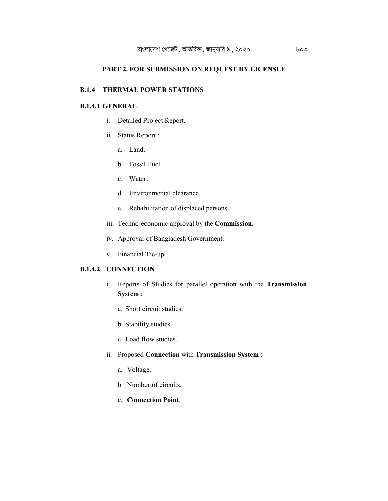# **PART 2. FOR SUBMISSION ON REQUEST BY LICENSEE**

## **B.1.4 THERMAL POWER STATIONS**

# **B.1.4.1 GENERAL**

- i. Detailed Project Report.
- ii. Status Report :
	- a. Land.
	- b. Fossil Fuel.
	- c. Water.
	- d. Environmental clearance.
	- e. Rehabilitation of displaced persons.
- iii. Techno-economic approval by the **Commission**.
- iv. Approval of Bangladesh Government.
- v. Financial Tie-up.

# **B.1.4.2 CONNECTION**

- i. Reports of Studies for parallel operation with the **Transmission System** :
	- a. Short circuit studies.
	- b. Stability studies.
	- c. Load flow studies.
- ii. Proposed **Connection** with **Transmission System** :
	- a. Voltage.
	- b. Number of circuits.
	- c. **Connection Point**.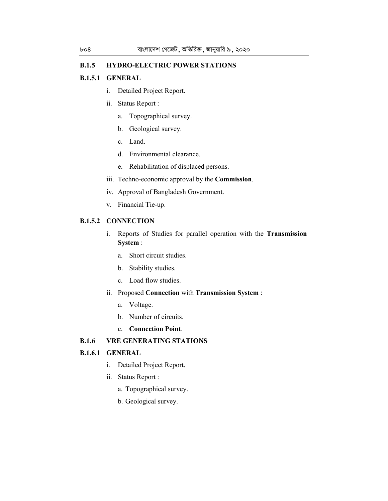# **B.1.5 HYDRO-ELECTRIC POWER STATIONS**

### **B.1.5.1 GENERAL**

- i. Detailed Project Report.
- ii. Status Report :
	- a. Topographical survey.
	- b. Geological survey.
	- c. Land.
	- d. Environmental clearance.
	- e. Rehabilitation of displaced persons.
- iii. Techno-economic approval by the **Commission**.
- iv. Approval of Bangladesh Government.
- v. Financial Tie-up.

# **B.1.5.2 CONNECTION**

- i. Reports of Studies for parallel operation with the **Transmission System** :
	- a. Short circuit studies.
	- b. Stability studies.
	- c. Load flow studies.

# ii. Proposed **Connection** with **Transmission System** :

- a. Voltage.
- b. Number of circuits.
- c. **Connection Point**.

# **B.1.6 VRE GENERATING STATIONS**

# **B.1.6.1 GENERAL**

- i. Detailed Project Report.
- ii. Status Report :
	- a. Topographical survey.
	- b. Geological survey.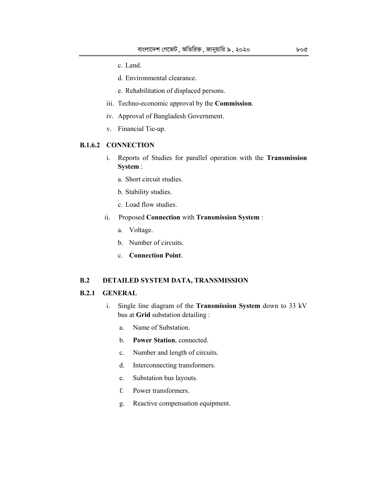- c. Land.
- d. Environmental clearance.
- e. Rehabilitation of displaced persons.
- iii. Techno-economic approval by the **Commission**.
- iv. Approval of Bangladesh Government.
- v. Financial Tie-up.

#### **B.1.6.2 CONNECTION**

- i. Reports of Studies for parallel operation with the **Transmission System** :
	- a. Short circuit studies.
	- b. Stability studies.
	- c. Load flow studies.
- ii. Proposed **Connection** with **Transmission System** :
	- a. Voltage.
	- b. Number of circuits.
	- c. **Connection Point**.

# **B.2 DETAILED SYSTEM DATA, TRANSMISSION**

#### **B.2.1 GENERAL**

- i. Single line diagram of the **Transmission System** down to 33 kV bus at **Grid** substation detailing :
	- a. Name of Substation.
	- b. **Power Station**, connected.
	- c. Number and length of circuits.
	- d. Interconnecting transformers.
	- e. Substation bus layouts.
	- f. Power transformers.
	- g. Reactive compensation equipment.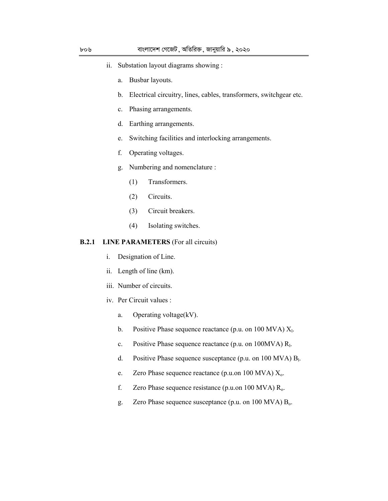- ii. Substation layout diagrams showing :
	- a. Busbar layouts.
	- b. Electrical circuitry, lines, cables, transformers, switchgear etc.
	- c. Phasing arrangements.
	- d. Earthing arrangements.
	- e. Switching facilities and interlocking arrangements.
	- f. Operating voltages.
	- g. Numbering and nomenclature :
		- (1) Transformers.
		- (2) Circuits.
		- (3) Circuit breakers.
		- (4) Isolating switches.

#### **B.2.1 LINE PARAMETERS** (For all circuits)

- i. Designation of Line.
- ii. Length of line (km).
- iii. Number of circuits.
- iv. Per Circuit values :
	- a. Operating voltage(kV).
	- b. Positive Phase sequence reactance (p.u. on 100 MVA)  $X<sub>l</sub>$ .
	- c. Positive Phase sequence reactance (p.u. on  $100MVA$ )  $R<sub>1</sub>$ .
	- d. Positive Phase sequence susceptance (p.u. on 100 MVA)  $B<sub>1</sub>$ .
	- e. Zero Phase sequence reactance (p.u.on 100 MVA)  $X_0$ .
	- f. Zero Phase sequence resistance (p.u.on 100 MVA)  $R_0$ .
	- g. Zero Phase sequence susceptance (p.u. on 100 MVA) B<sub>o</sub>.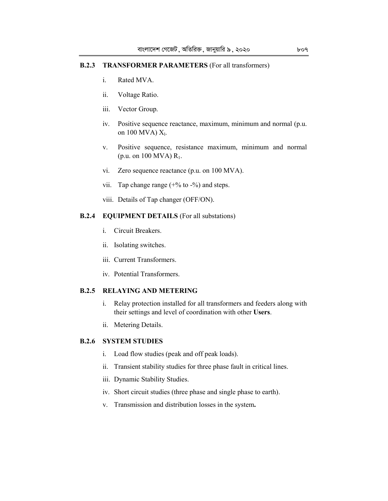# **B.2.3 TRANSFORMER PARAMETERS** (For all transformers)

- i. Rated MVA.
- ii. Voltage Ratio.
- iii. Vector Group.
- iv. Positive sequence reactance, maximum, minimum and normal (p.u. on  $100$  MVA)  $X_l$ .
- v. Positive sequence, resistance maximum, minimum and normal (p.u. on 100 MVA)  $R_1$ .
- vi. Zero sequence reactance (p.u. on 100 MVA).
- vii. Tap change range  $(+\%$  to  $-\%)$  and steps.
- viii. Details of Tap changer (OFF/ON).

# **B.2.4 EQUIPMENT DETAILS** (For all substations)

- i. Circuit Breakers.
- ii. Isolating switches.
- iii. Current Transformers.
- iv. Potential Transformers.

## **B.2.5 RELAYING AND METERING**

- i. Relay protection installed for all transformers and feeders along with their settings and level of coordination with other **Users**.
- ii. Metering Details.

# **B.2.6 SYSTEM STUDIES**

- i. Load flow studies (peak and off peak loads).
- ii. Transient stability studies for three phase fault in critical lines.
- iii. Dynamic Stability Studies.
- iv. Short circuit studies (three phase and single phase to earth).
- v. Transmission and distribution losses in the system**.**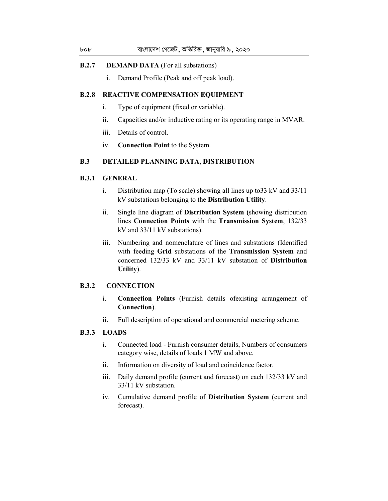# **B.2.7 DEMAND DATA** (For all substations)

i. Demand Profile (Peak and off peak load).

# **B.2.8 REACTIVE COMPENSATION EQUIPMENT**

- i. Type of equipment (fixed or variable).
- ii. Capacities and/or inductive rating or its operating range in MVAR.
- iii. Details of control.
- iv. **Connection Point** to the System.

# **B.3 DETAILED PLANNING DATA, DISTRIBUTION**

# **B.3.1 GENERAL**

- i. Distribution map (To scale) showing all lines up to33 kV and 33/11 kV substations belonging to the **Distribution Utility**.
- ii. Single line diagram of **Distribution System (**showing distribution lines **Connection Points** with the **Transmission System**, 132/33 kV and 33/11 kV substations).
- iii. Numbering and nomenclature of lines and substations (Identified with feeding **Grid** substations of the **Transmission System** and concerned 132/33 kV and 33/11 kV substation of **Distribution Utility**).

# **B.3.2 CONNECTION**

- i. **Connection Points** (Furnish details ofexisting arrangement of **Connection**).
- ii. Full description of operational and commercial metering scheme.

#### **B.3.3 LOADS**

- i. Connected load Furnish consumer details, Numbers of consumers category wise, details of loads 1 MW and above.
- ii. Information on diversity of load and coincidence factor.
- iii. Daily demand profile (current and forecast) on each 132/33 kV and 33/11 kV substation.
- iv. Cumulative demand profile of **Distribution System** (current and forecast).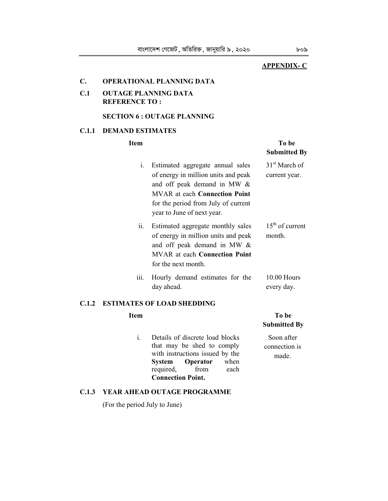# **APPENDIX- C**

## **C. OPERATIONAL PLANNING DATA**

# **C.1 OUTAGE PLANNING DATA REFERENCE TO :**

# **SECTION 6 : OUTAGE PLANNING**

## **C.1.1 DEMAND ESTIMATES**

#### **Item To be a set of the To be a set of the To be**

# **Submitted By** i. Estimated aggregate annual sales of energy in million units and peak and off peak demand in MW & MVAR at each **Connection Point** for the period from July of current year to June of next year. 31<sup>st</sup> March of current year. ii. Estimated aggregate monthly sales of energy in million units and peak and off peak demand in MW & MVAR at each **Connection Point** for the next month.  $15<sup>th</sup>$  of current month. iii. Hourly demand estimates for the day ahead. 10.00 Hours every day.

# **C.1.2 ESTIMATES OF LOAD SHEDDING**

i. Details of discrete load blocks that may be shed to comply with instructions issued by the **System Operator** when required, from each **Connection Point.**

# **Item To be a set of the set of the set of the set of the set of the set of the set of the set of the set of the set of the set of the set of the set of the set of the set of the set of the set of the set of the set of the Submitted By**

 Soon after connection is made.

#### **C.1.3 YEAR AHEAD OUTAGE PROGRAMME**

(For the period July to June)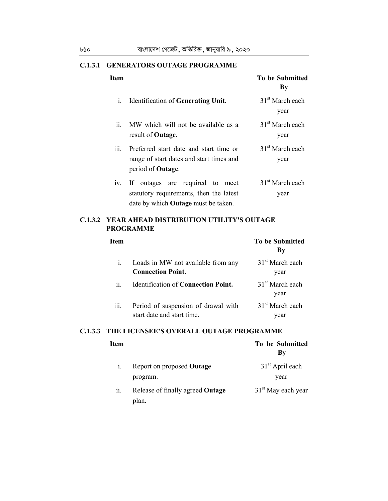# **C.1.3.1 GENERATORS OUTAGE PROGRAMME**

| Item               |                                                                                                                   | <b>To be Submitted</b><br>$\mathbf{B}\mathbf{y}$ |
|--------------------|-------------------------------------------------------------------------------------------------------------------|--------------------------------------------------|
| $\mathbf{i}$ .     | Identification of Generating Unit.                                                                                | 31 <sup>st</sup> March each<br>year              |
| ii.                | MW which will not be available as a<br>result of Outage.                                                          | $31st$ March each<br>year                        |
| $\overline{111}$ . | Preferred start date and start time or<br>range of start dates and start times and<br>period of <b>Outage</b> .   | 31 <sup>st</sup> March each<br>year              |
| 1V.                | If outages are required to meet<br>statutory requirements, then the latest<br>date by which Outage must be taken. | 31 <sup>st</sup> March each<br>year              |

# **C.1.3.2 YEAR AHEAD DISTRIBUTION UTILITY'S OUTAGE PROGRAMME**

| <b>Item</b>         |                                                                   | <b>To be Submitted</b><br>By        |
|---------------------|-------------------------------------------------------------------|-------------------------------------|
| $\mathbf{i}$ .      | Loads in MW not available from any<br><b>Connection Point.</b>    | $31st$ March each<br>year           |
| $\ddot{\mathbf{i}}$ | <b>Identification of Connection Point.</b>                        | $31st$ March each<br>year           |
| 111.                | Period of suspension of drawal with<br>start date and start time. | 31 <sup>st</sup> March each<br>year |

# **C.1.3.3 THE LICENSEE'S OVERALL OUTAGE PROGRAMME**

| Item |                                                  | To be Submitted<br>By |
|------|--------------------------------------------------|-----------------------|
| 1.   | Report on proposed Outage                        | $31st$ April each     |
|      | program.                                         | year                  |
| 11.  | Release of finally agreed <b>Outage</b><br>plan. | $31st$ May each year  |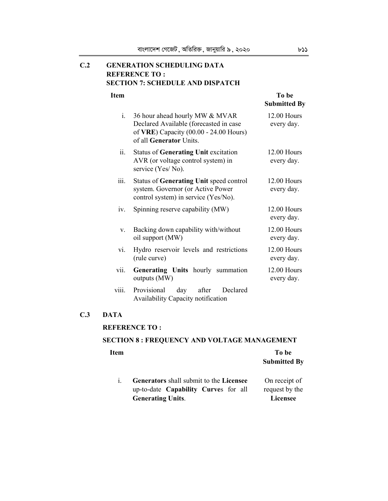# **C.2 GENERATION SCHEDULING DATA REFERENCE TO : SECTION 7: SCHEDULE AND DISPATCH**

# **Item To be a set of the set of the set of the set of the set of the set of the set of the set of the set of the set of the set of the set of the set of the set of the set of the set of the set of the set of the set of the**

|       |                                                                                                                                               | <b>Submitted By</b>              |
|-------|-----------------------------------------------------------------------------------------------------------------------------------------------|----------------------------------|
| $i$ . | 36 hour ahead hourly MW & MVAR<br>Declared Available (forecasted in case<br>of VRE) Capacity (00.00 - 24.00 Hours)<br>of all Generator Units. | 12.00 Hours<br>every day.        |
| ii.   | Status of Generating Unit excitation<br>AVR (or voltage control system) in<br>service (Yes/No).                                               | $12.00$ Hours<br>every day.      |
| iii.  | Status of Generating Unit speed control<br>system. Governor (or Active Power<br>control system) in service (Yes/No).                          | $12.00$ Hours<br>every day.      |
| iv.   | Spinning reserve capability (MW)                                                                                                              | $12.00$ Hours<br>every day.      |
| V.    | Backing down capability with/without<br>oil support (MW)                                                                                      | <b>12.00 Hours</b><br>every day. |
| vi.   | Hydro reservoir levels and restrictions<br>(rule curve)                                                                                       | 12.00 Hours<br>every day.        |
| vii.  | Generating Units hourly summation<br>outputs (MW)                                                                                             | 12.00 Hours<br>every day.        |
| V111. | day after<br>Provisional<br>Declared<br>Availability Capacity notification                                                                    |                                  |

# **C.3 DATA**

# **REFERENCE TO :**

# **SECTION 8 : FREQUENCY AND VOLTAGE MANAGEMENT**

| Item |                                         | To be               |
|------|-----------------------------------------|---------------------|
|      |                                         | <b>Submitted By</b> |
| 1.   | Generators shall submit to the Licensee | On receipt of       |
|      | up-to-date Capability Curves for all    | request by the      |
|      | <b>Generating Units.</b>                | <b>Licensee</b>     |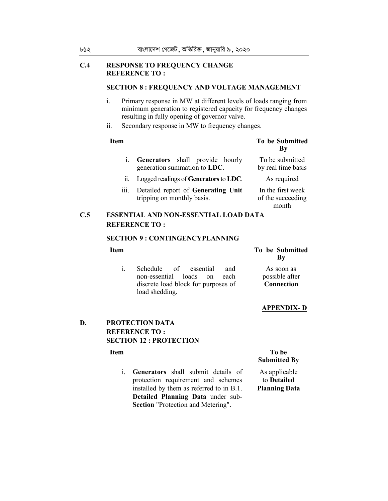## **C.4 RESPONSE TO FREQUENCY CHANGE REFERENCE TO :**

### **SECTION 8 : FREQUENCY AND VOLTAGE MANAGEMENT**

- i. Primary response in MW at different levels of loads ranging from minimum generation to registered capacity for frequency changes resulting in fully opening of governor valve.
- ii. Secondary response in MW to frequency changes.

# **Item To be Submitted By**

 In the first week of the succeeding month

| i. Generators shall provide hourly<br>generation summation to LDC. | To be submitted<br>by real time basis |
|--------------------------------------------------------------------|---------------------------------------|
| ii. Logged readings of Generators to LDC.                          | As required                           |

iii. Detailed report of **Generating Unit** tripping on monthly basis.

# **C.5 ESSENTIAL AND NON-ESSENTIAL LOAD DATA REFERENCE TO :**

#### **SECTION 9 : CONTINGENCYPLANNING**

- i. Schedule of essential and non-essential loads on each discrete load block for purposes of load shedding.
- **Item To be Submitted By**
	- As soon as possible after **Connection**

### **APPENDIX- D**

# **D. PROTECTION DATA REFERENCE TO : SECTION 12 : PROTECTION**

i. **Generators** shall submit details of protection requirement and schemes installed by them as referred to in B.1. **Detailed Planning Data** under sub-**Section** "Protection and Metering".

## **Item** To be **Submitted By**

 As applicable to **Detailed Planning Data**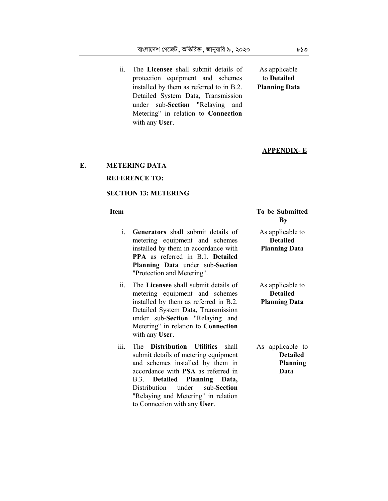ii. The **Licensee** shall submit details of protection equipment and schemes installed by them as referred to in B.2. Detailed System Data, Transmission under sub-**Section** "Relaying and Metering" in relation to **Connection** with any **User**.

As applicable to **Detailed Planning Data**

#### **APPENDIX- E**

# **E. METERING DATA REFERENCE TO:**

# **SECTION 13: METERING**

- i. **Generators** shall submit details of metering equipment and schemes installed by them in accordance with **PPA** as referred in B.1. **Detailed Planning Data** under sub-**Section**  "Protection and Metering". ii. The **Licensee** shall submit details of metering equipment and schemes installed by them as referred in B.2.
- Detailed System Data, Transmission under sub-**Section** "Relaying and Metering" in relation to **Connection** with any **User**. iii. The **Distribution Utilities** shall
- submit details of metering equipment and schemes installed by them in accordance with **PSA** as referred in B.3. **Detailed Planning Data,** Distribution under sub-**Section**  "Relaying and Metering" in relation to Connection with any **User**.

| Item |                                           | To be Submitted      |  |
|------|-------------------------------------------|----------------------|--|
|      |                                           | Bv                   |  |
| 1.   | <b>Generators</b> shall submit details of | As applicable to     |  |
|      | metering equipment and schemes            | <b>Detailed</b>      |  |
|      | installed by them in accordance with      | <b>Planning Data</b> |  |

 As applicable to **Detailed Planning Data**

 As applicable to **Detailed Planning Data**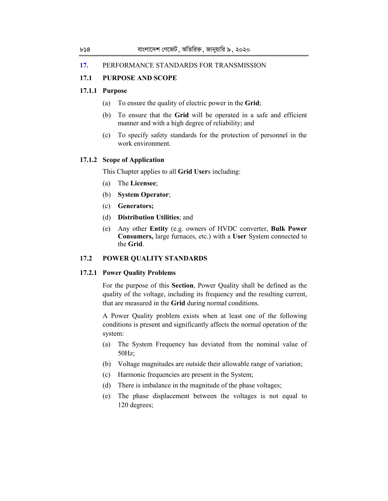#### **17.** PERFORMANCE STANDARDS FOR TRANSMISSION

# **17.1 PURPOSE AND SCOPE**

#### **17.1.1 Purpose**

- (a) To ensure the quality of electric power in the **Grid**;
- (b) To ensure that the **Grid** will be operated in a safe and efficient manner and with a high degree of reliability; and
- (c) To specify safety standards for the protection of personnel in the work environment.

# **17.1.2 Scope of Application**

This Chapter applies to all **Grid User**s including:

- (a) The **Licensee**;
- (b) **System Operator**;
- (c) **Generators;**
- (d) **Distribution Utilities**; and
- (e) Any other **Entity** (e.g. owners of HVDC converter, **Bulk Power Consumers,** large furnaces, etc.) with a **User** System connected to the **Grid**.

# **17.2 POWER QUALITY STANDARDS**

#### **17.2.1 Power Quality Problems**

For the purpose of this **Section**, Power Quality shall be defined as the quality of the voltage, including its frequency and the resulting current, that are measured in the **Grid** during normal conditions.

A Power Quality problem exists when at least one of the following conditions is present and significantly affects the normal operation of the system:

- (a) The System Frequency has deviated from the nominal value of 50Hz;
- (b) Voltage magnitudes are outside their allowable range of variation;
- (c) Harmonic frequencies are present in the System;
- (d) There is imbalance in the magnitude of the phase voltages;
- (e) The phase displacement between the voltages is not equal to 120 degrees;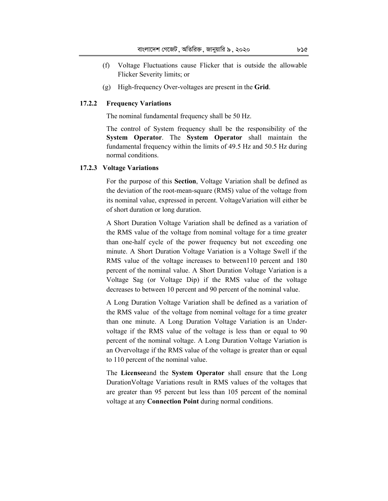- (f) Voltage Fluctuations cause Flicker that is outside the allowable Flicker Severity limits; or
- (g) High-frequency Over-voltages are present in the **Grid**.

#### **17.2.2 Frequency Variations**

The nominal fundamental frequency shall be 50 Hz.

 The control of System frequency shall be the responsibility of the **System Operator**. The **System Operator** shall maintain the fundamental frequency within the limits of 49.5 Hz and 50.5 Hz during normal conditions.

#### **17.2.3 Voltage Variations**

For the purpose of this **Section**, Voltage Variation shall be defined as the deviation of the root-mean-square (RMS) value of the voltage from its nominal value, expressed in percent. VoltageVariation will either be of short duration or long duration.

A Short Duration Voltage Variation shall be defined as a variation of the RMS value of the voltage from nominal voltage for a time greater than one-half cycle of the power frequency but not exceeding one minute. A Short Duration Voltage Variation is a Voltage Swell if the RMS value of the voltage increases to between110 percent and 180 percent of the nominal value. A Short Duration Voltage Variation is a Voltage Sag (or Voltage Dip) if the RMS value of the voltage decreases to between 10 percent and 90 percent of the nominal value.

A Long Duration Voltage Variation shall be defined as a variation of the RMS value of the voltage from nominal voltage for a time greater than one minute. A Long Duration Voltage Variation is an Undervoltage if the RMS value of the voltage is less than or equal to 90 percent of the nominal voltage. A Long Duration Voltage Variation is an Overvoltage if the RMS value of the voltage is greater than or equal to 110 percent of the nominal value.

The **Licensee**and the **System Operator** shall ensure that the Long DurationVoltage Variations result in RMS values of the voltages that are greater than 95 percent but less than 105 percent of the nominal voltage at any **Connection Point** during normal conditions.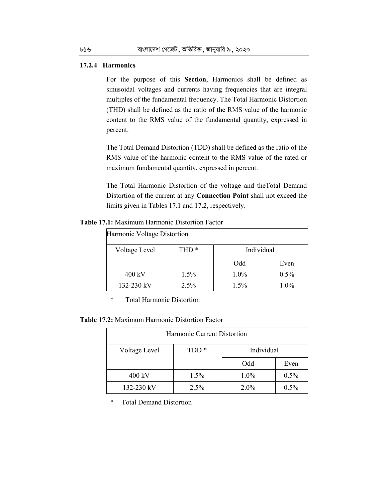#### **17.2.4 Harmonics**

For the purpose of this **Section**, Harmonics shall be defined as sinusoidal voltages and currents having frequencies that are integral multiples of the fundamental frequency. The Total Harmonic Distortion (THD) shall be defined as the ratio of the RMS value of the harmonic content to the RMS value of the fundamental quantity, expressed in percent.

The Total Demand Distortion (TDD) shall be defined as the ratio of the RMS value of the harmonic content to the RMS value of the rated or maximum fundamental quantity, expressed in percent.

The Total Harmonic Distortion of the voltage and theTotal Demand Distortion of the current at any **Connection Point** shall not exceed the limits given in Tables 17.1 and 17.2, respectively.

**Table 17.1:** Maximum Harmonic Distortion Factor

| Harmonic Voltage Distortion |                  |            |         |  |
|-----------------------------|------------------|------------|---------|--|
| Voltage Level               | THD <sup>*</sup> | Individual |         |  |
|                             |                  | Odd        | Even    |  |
| 400 kV                      | 1.5%             | $1.0\%$    | 0.5%    |  |
| 132-230 kV                  | 2.5%             | 1.5%       | $1.0\%$ |  |

\* Total Harmonic Distortion

**Table 17.2:** Maximum Harmonic Distortion Factor

| Harmonic Current Distortion |                                |         |         |
|-----------------------------|--------------------------------|---------|---------|
| Voltage Level               | TDD <sup>*</sup><br>Individual |         |         |
|                             |                                | Odd     | Even    |
| 400 kV                      | 1.5%                           | 1.0%    | 0.5%    |
| 132-230 kV                  | $2.5\%$                        | $2.0\%$ | $0.5\%$ |

\* Total Demand Distortion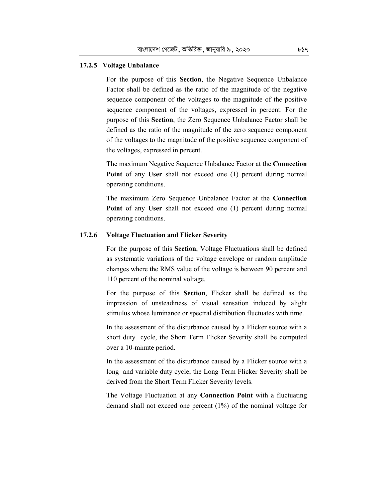#### **17.2.5 Voltage Unbalance**

For the purpose of this **Section**, the Negative Sequence Unbalance Factor shall be defined as the ratio of the magnitude of the negative sequence component of the voltages to the magnitude of the positive sequence component of the voltages, expressed in percent. For the purpose of this **Section**, the Zero Sequence Unbalance Factor shall be defined as the ratio of the magnitude of the zero sequence component of the voltages to the magnitude of the positive sequence component of the voltages, expressed in percent.

The maximum Negative Sequence Unbalance Factor at the **Connection Point** of any **User** shall not exceed one (1) percent during normal operating conditions.

The maximum Zero Sequence Unbalance Factor at the **Connection Point** of any **User** shall not exceed one (1) percent during normal operating conditions.

### **17.2.6 Voltage Fluctuation and Flicker Severity**

 For the purpose of this **Section**, Voltage Fluctuations shall be defined as systematic variations of the voltage envelope or random amplitude changes where the RMS value of the voltage is between 90 percent and 110 percent of the nominal voltage.

 For the purpose of this **Section**, Flicker shall be defined as the impression of unsteadiness of visual sensation induced by alight stimulus whose luminance or spectral distribution fluctuates with time.

 In the assessment of the disturbance caused by a Flicker source with a short duty cycle, the Short Term Flicker Severity shall be computed over a 10-minute period.

 In the assessment of the disturbance caused by a Flicker source with a long and variable duty cycle, the Long Term Flicker Severity shall be derived from the Short Term Flicker Severity levels.

 The Voltage Fluctuation at any **Connection Point** with a fluctuating demand shall not exceed one percent (1%) of the nominal voltage for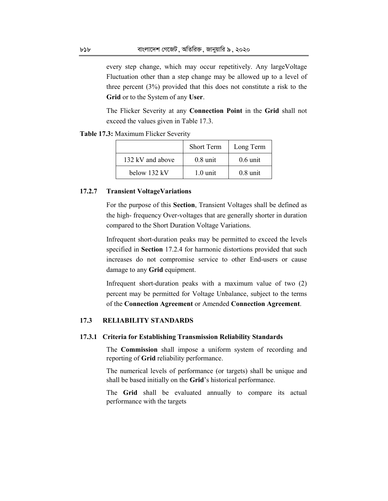every step change, which may occur repetitively. Any largeVoltage Fluctuation other than a step change may be allowed up to a level of three percent (3%) provided that this does not constitute a risk to the **Grid** or to the System of any **User**.

 The Flicker Severity at any **Connection Point** in the **Grid** shall not exceed the values given in Table 17.3.

**Table 17.3:** Maximum Flicker Severity

|                  | <b>Short Term</b>  | Long Term          |
|------------------|--------------------|--------------------|
| 132 kV and above | $0.8 \text{ unit}$ | $0.6 \text{ unit}$ |
| below 132 kV     | $1.0 \text{ unit}$ | $0.8 \text{ unit}$ |

### **17.2.7 Transient VoltageVariations**

 For the purpose of this **Section**, Transient Voltages shall be defined as the high- frequency Over-voltages that are generally shorter in duration compared to the Short Duration Voltage Variations.

 Infrequent short-duration peaks may be permitted to exceed the levels specified in **Section** 17.2.4 for harmonic distortions provided that such increases do not compromise service to other End-users or cause damage to any **Grid** equipment.

 Infrequent short-duration peaks with a maximum value of two (2) percent may be permitted for Voltage Unbalance, subject to the terms of the **Connection Agreement** or Amended **Connection Agreement**.

# **17.3 RELIABILITY STANDARDS**

#### **17.3.1 Criteria for Establishing Transmission Reliability Standards**

 The **Commission** shall impose a uniform system of recording and reporting of **Grid** reliability performance.

 The numerical levels of performance (or targets) shall be unique and shall be based initially on the **Grid**'s historical performance.

 The **Grid** shall be evaluated annually to compare its actual performance with the targets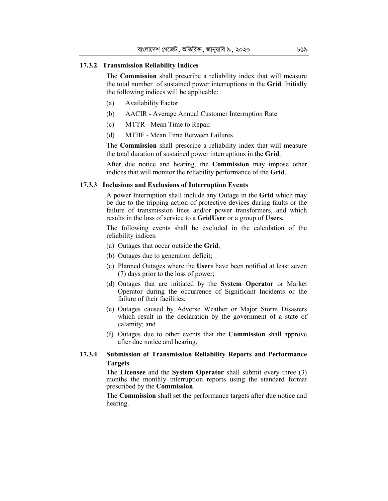## **17.3.2 Transmission Reliability Indices**

The **Commission** shall prescribe a reliability index that will measure the total number of sustained power interruptions in the **Grid**. Initially the following indices will be applicable:

- (a) Availability Factor
- (b) AACIR Average Annual Customer Interruption Rate
- (c) MTTR Mean Time to Repair
- (d) MTBF Mean Time Between Failures.

The **Commission** shall prescribe a reliability index that will measure the total duration of sustained power interruptions in the **Grid**.

After due notice and hearing, the **Commission** may impose other indices that will monitor the reliability performance of the **Grid**.

#### **17.3.3 Inclusions and Exclusions of Interruption Events**

 A power Interruption shall include any Outage in the **Grid** which may be due to the tripping action of protective devices during faults or the failure of transmission lines and/or power transformers, and which results in the loss of service to a **GridUser** or a group of **Users.**

 The following events shall be excluded in the calculation of the reliability indices:

- (a) Outages that occur outside the **Grid**;
- (b) Outages due to generation deficit;
- (c) Planned Outages where the **User**s have been notified at least seven (7) days prior to the loss of power;
- (d) Outages that are initiated by the **System Operator** or Market Operator during the occurrence of Significant Incidents or the failure of their facilities;
- (e) Outages caused by Adverse Weather or Major Storm Disasters which result in the declaration by the government of a state of calamity; and
- (f) Outages due to other events that the **Commission** shall approve after due notice and hearing.

# **17.3.4 Submission of Transmission Reliability Reports and Performance Targets**

 The **Licensee** and the **System Operator** shall submit every three (3) months the monthly interruption reports using the standard format prescribed by the **Commission**.

 The **Commission** shall set the performance targets after due notice and hearing.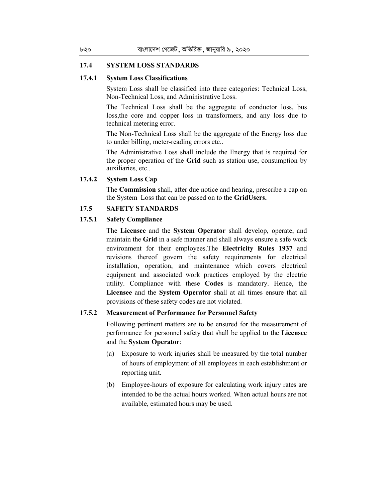#### **17.4 SYSTEM LOSS STANDARDS**

#### **17.4.1 System Loss Classifications**

 System Loss shall be classified into three categories: Technical Loss, Non-Technical Loss, and Administrative Loss.

 The Technical Loss shall be the aggregate of conductor loss, bus loss,the core and copper loss in transformers, and any loss due to technical metering error.

 The Non-Technical Loss shall be the aggregate of the Energy loss due to under billing, meter-reading errors etc..

 The Administrative Loss shall include the Energy that is required for the proper operation of the **Grid** such as station use, consumption by auxiliaries, etc..

**17.4.2 System Loss Cap** 

 The **Commission** shall, after due notice and hearing, prescribe a cap on the System Loss that can be passed on to the **GridUsers.**

# **17.5 SAFETY STANDARDS**

# **17.5.1 Safety Compliance**

The **Licensee** and the **System Operator** shall develop, operate, and maintain the **Grid** in a safe manner and shall always ensure a safe work environment for their employees.The **Electricity Rules 1937** and revisions thereof govern the safety requirements for electrical installation, operation, and maintenance which covers electrical equipment and associated work practices employed by the electric utility. Compliance with these **Codes** is mandatory. Hence, the **Licensee** and the **System Operator** shall at all times ensure that all provisions of these safety codes are not violated.

# **17.5.2 Measurement of Performance for Personnel Safety**

 Following pertinent matters are to be ensured for the measurement of performance for personnel safety that shall be applied to the **Licensee** and the **System Operator**:

- (a) Exposure to work injuries shall be measured by the total number of hours of employment of all employees in each establishment or reporting unit.
- (b) Employee-hours of exposure for calculating work injury rates are intended to be the actual hours worked. When actual hours are not available, estimated hours may be used.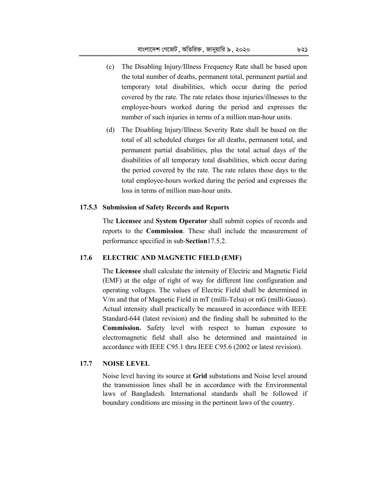- (c) The Disabling Injury/Illness Frequency Rate shall be based upon the total number of deaths, permanent total, permanent partial and temporary total disabilities, which occur during the period covered by the rate. The rate relates those injuries/illnesses to the employee-hours worked during the period and expresses the number of such injuries in terms of a million man-hour units.
- (d) The Disabling Injury/Illness Severity Rate shall be based on the total of all scheduled charges for all deaths, permanent total, and permanent partial disabilities, plus the total actual days of the disabilities of all temporary total disabilities, which occur during the period covered by the rate. The rate relates these days to the total employee-hours worked during the period and expresses the loss in terms of million man-hour units.

#### **17.5.3 Submission of Safety Records and Reports**

The **Licensee** and **System Operator** shall submit copies of records and reports to the **Commission**. These shall include the measurement of performance specified in sub-**Section**17.5.2.

# **17.6 ELECTRIC AND MAGNETIC FIELD (EMF)**

The **Licensee** shall calculate the intensity of Electric and Magnetic Field (EMF) at the edge of right of way for different line configuration and operating voltages. The values of Electric Field shall be determined in V/m and that of Magnetic Field in mT (milli-Telsa) or mG (milli-Gauss). Actual intensity shall practically be measured in accordance with IEEE Standard-644 (latest revision) and the finding shall be submitted to the **Commission.** Safety level with respect to human exposure to electromagnetic field shall also be determined and maintained in accordance with IEEE C95.1 thru IEEE C95.6 (2002 or latest revision).

# **17.7 NOISE LEVEL**

 Noise level having its source at **Grid** substations and Noise level around the transmission lines shall be in accordance with the Environmental laws of Bangladesh. International standards shall be followed if boundary conditions are missing in the pertinent laws of the country.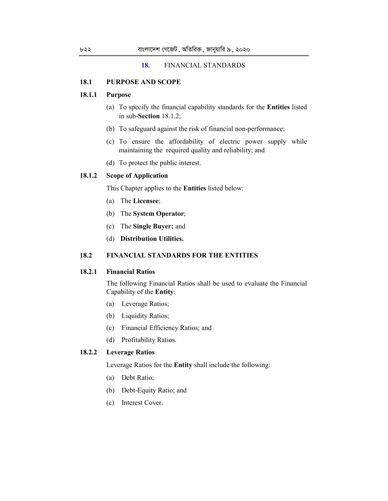#### **18.** FINANCIAL STANDARDS

#### **18.1 PURPOSE AND SCOPE**

# **18.1.1 Purpose**

- (a) To specify the financial capability standards for the **Entities** listed in sub-**Section** 18.1.2;
- (b) To safeguard against the risk of financial non-performance;
- (c) To ensure the affordability of electric power supply while maintaining the required quality and reliability; and
- (d) To protect the public interest.

## **18.1.2 Scope of Application**

This Chapter applies to the **Entities** listed below:

- (a) The **Licensee**;
- (b) The **System Operator**;
- (c) The **Single Buyer;** and
- (d) **Distribution Utilities.**

# **18.2 FINANCIAL STANDARDS FOR THE ENTITIES**

# **18.2.1 Financial Ratios**

 The following Financial Ratios shall be used to evaluate the Financial Capability of the **Entity**:

- (a) Leverage Ratios;
- (b) Liquidity Ratios;
- (c) Financial Efficiency Ratios; and
- (d) Profitability Ratios.

## **18.2.2 Leverage Ratios**

Leverage Ratios for the **Entity** shall include the following:

- (a) Debt Ratio;
- (b) Debt-Equity Ratio; and
- (c) Interest Cover.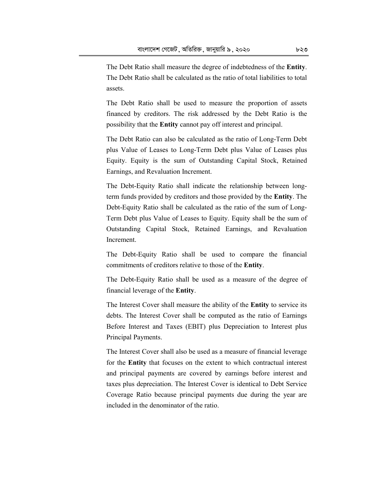The Debt Ratio shall measure the degree of indebtedness of the **Entity**. The Debt Ratio shall be calculated as the ratio of total liabilities to total assets.

 The Debt Ratio shall be used to measure the proportion of assets financed by creditors. The risk addressed by the Debt Ratio is the possibility that the **Entity** cannot pay off interest and principal.

 The Debt Ratio can also be calculated as the ratio of Long-Term Debt plus Value of Leases to Long-Term Debt plus Value of Leases plus Equity. Equity is the sum of Outstanding Capital Stock, Retained Earnings, and Revaluation Increment.

 The Debt-Equity Ratio shall indicate the relationship between longterm funds provided by creditors and those provided by the **Entity**. The Debt-Equity Ratio shall be calculated as the ratio of the sum of Long-Term Debt plus Value of Leases to Equity. Equity shall be the sum of Outstanding Capital Stock, Retained Earnings, and Revaluation Increment.

 The Debt-Equity Ratio shall be used to compare the financial commitments of creditors relative to those of the **Entity**.

 The Debt-Equity Ratio shall be used as a measure of the degree of financial leverage of the **Entity**.

 The Interest Cover shall measure the ability of the **Entity** to service its debts. The Interest Cover shall be computed as the ratio of Earnings Before Interest and Taxes (EBIT) plus Depreciation to Interest plus Principal Payments.

 The Interest Cover shall also be used as a measure of financial leverage for the **Entity** that focuses on the extent to which contractual interest and principal payments are covered by earnings before interest and taxes plus depreciation. The Interest Cover is identical to Debt Service Coverage Ratio because principal payments due during the year are included in the denominator of the ratio.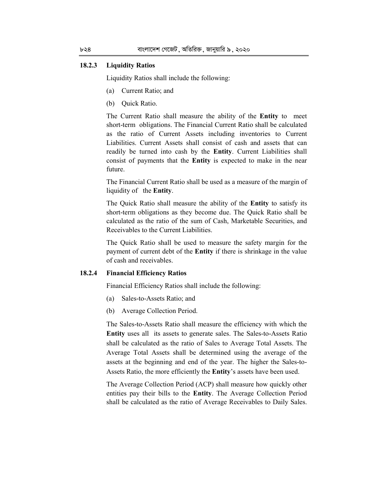#### **18.2.3 Liquidity Ratios**

Liquidity Ratios shall include the following:

- (a) Current Ratio; and
- (b) Quick Ratio.

 The Current Ratio shall measure the ability of the **Entity** to meet short-term obligations. The Financial Current Ratio shall be calculated as the ratio of Current Assets including inventories to Current Liabilities. Current Assets shall consist of cash and assets that can readily be turned into cash by the **Entity**. Current Liabilities shall consist of payments that the **Entity** is expected to make in the near future.

 The Financial Current Ratio shall be used as a measure of the margin of liquidity of the **Entity**.

 The Quick Ratio shall measure the ability of the **Entity** to satisfy its short-term obligations as they become due. The Quick Ratio shall be calculated as the ratio of the sum of Cash, Marketable Securities, and Receivables to the Current Liabilities.

 The Quick Ratio shall be used to measure the safety margin for the payment of current debt of the **Entity** if there is shrinkage in the value of cash and receivables.

#### **18.2.4 Financial Efficiency Ratios**

Financial Efficiency Ratios shall include the following:

- (a) Sales-to-Assets Ratio; and
- (b) Average Collection Period.

 The Sales-to-Assets Ratio shall measure the efficiency with which the **Entity** uses all its assets to generate sales. The Sales-to-Assets Ratio shall be calculated as the ratio of Sales to Average Total Assets. The Average Total Assets shall be determined using the average of the assets at the beginning and end of the year. The higher the Sales-to-Assets Ratio, the more efficiently the **Entity**'s assets have been used.

 The Average Collection Period (ACP) shall measure how quickly other entities pay their bills to the **Entity**. The Average Collection Period shall be calculated as the ratio of Average Receivables to Daily Sales.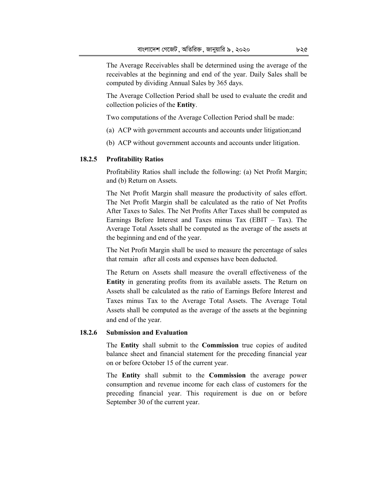The Average Receivables shall be determined using the average of the receivables at the beginning and end of the year. Daily Sales shall be computed by dividing Annual Sales by 365 days.

 The Average Collection Period shall be used to evaluate the credit and collection policies of the **Entity**.

Two computations of the Average Collection Period shall be made:

- (a) ACP with government accounts and accounts under litigation;and
- (b) ACP without government accounts and accounts under litigation.

#### **18.2.5 Profitability Ratios**

 Profitability Ratios shall include the following: (a) Net Profit Margin; and (b) Return on Assets.

 The Net Profit Margin shall measure the productivity of sales effort. The Net Profit Margin shall be calculated as the ratio of Net Profits After Taxes to Sales. The Net Profits After Taxes shall be computed as Earnings Before Interest and Taxes minus Tax (EBIT  $-$  Tax). The Average Total Assets shall be computed as the average of the assets at the beginning and end of the year.

 The Net Profit Margin shall be used to measure the percentage of sales that remain after all costs and expenses have been deducted.

 The Return on Assets shall measure the overall effectiveness of the **Entity** in generating profits from its available assets. The Return on Assets shall be calculated as the ratio of Earnings Before Interest and Taxes minus Tax to the Average Total Assets. The Average Total Assets shall be computed as the average of the assets at the beginning and end of the year.

### **18.2.6 Submission and Evaluation**

 The **Entity** shall submit to the **Commission** true copies of audited balance sheet and financial statement for the preceding financial year on or before October 15 of the current year.

 The **Entity** shall submit to the **Commission** the average power consumption and revenue income for each class of customers for the preceding financial year. This requirement is due on or before September 30 of the current year.